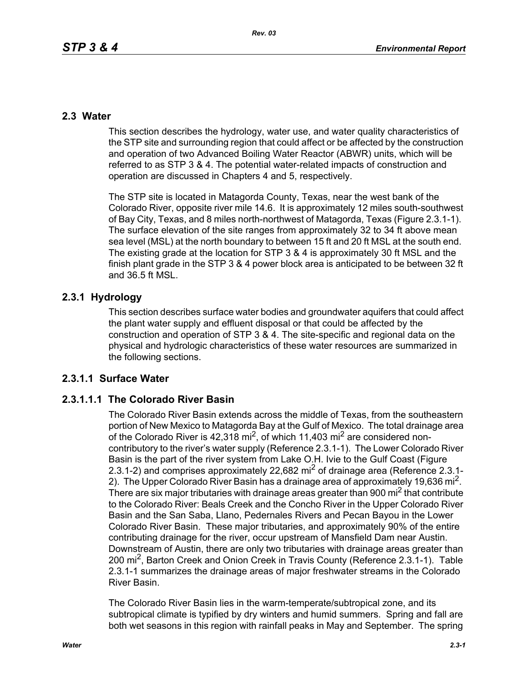## **2.3 Water**

This section describes the hydrology, water use, and water quality characteristics of the STP site and surrounding region that could affect or be affected by the construction and operation of two Advanced Boiling Water Reactor (ABWR) units, which will be referred to as STP 3 & 4. The potential water-related impacts of construction and operation are discussed in Chapters 4 and 5, respectively.

The STP site is located in Matagorda County, Texas, near the west bank of the Colorado River, opposite river mile 14.6. It is approximately 12 miles south-southwest of Bay City, Texas, and 8 miles north-northwest of Matagorda, Texas (Figure 2.3.1-1). The surface elevation of the site ranges from approximately 32 to 34 ft above mean sea level (MSL) at the north boundary to between 15 ft and 20 ft MSL at the south end. The existing grade at the location for STP 3 & 4 is approximately 30 ft MSL and the finish plant grade in the STP 3 & 4 power block area is anticipated to be between 32 ft and 36.5 ft MSL.

## **2.3.1 Hydrology**

This section describes surface water bodies and groundwater aquifers that could affect the plant water supply and effluent disposal or that could be affected by the construction and operation of STP 3 & 4. The site-specific and regional data on the physical and hydrologic characteristics of these water resources are summarized in the following sections.

## **2.3.1.1 Surface Water**

## **2.3.1.1.1 The Colorado River Basin**

The Colorado River Basin extends across the middle of Texas, from the southeastern portion of New Mexico to Matagorda Bay at the Gulf of Mexico. The total drainage area of the Colorado River is  $42,318$  mi<sup>2</sup>, of which 11,403 mi<sup>2</sup> are considered noncontributory to the river's water supply (Reference 2.3.1-1). The Lower Colorado River Basin is the part of the river system from Lake O.H. Ivie to the Gulf Coast (Figure 2.3.1-2) and comprises approximately 22.682 mi<sup>2</sup> of drainage area (Reference 2.3.1-2). The Upper Colorado River Basin has a drainage area of approximately 19,636 mi<sup>2</sup>. There are six major tributaries with drainage areas greater than 900 mi<sup>2</sup> that contribute to the Colorado River: Beals Creek and the Concho River in the Upper Colorado River Basin and the San Saba, Llano, Pedernales Rivers and Pecan Bayou in the Lower Colorado River Basin. These major tributaries, and approximately 90% of the entire contributing drainage for the river, occur upstream of Mansfield Dam near Austin. Downstream of Austin, there are only two tributaries with drainage areas greater than 200 mi2, Barton Creek and Onion Creek in Travis County (Reference 2.3.1-1). Table 2.3.1-1 summarizes the drainage areas of major freshwater streams in the Colorado River Basin.

The Colorado River Basin lies in the warm-temperate/subtropical zone, and its subtropical climate is typified by dry winters and humid summers. Spring and fall are both wet seasons in this region with rainfall peaks in May and September. The spring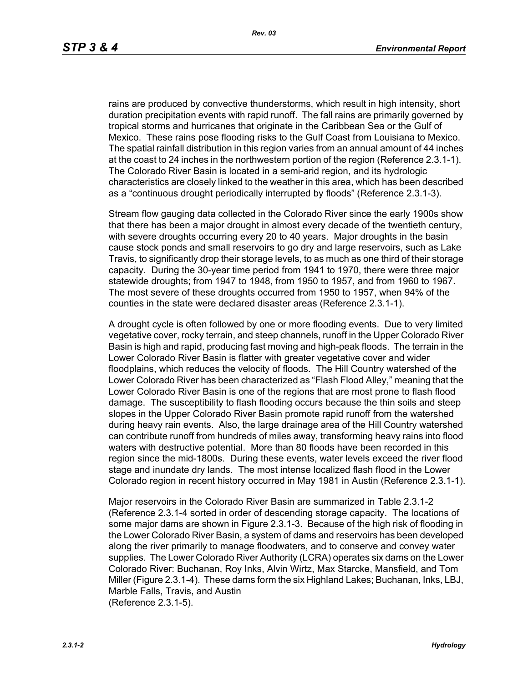rains are produced by convective thunderstorms, which result in high intensity, short duration precipitation events with rapid runoff. The fall rains are primarily governed by tropical storms and hurricanes that originate in the Caribbean Sea or the Gulf of Mexico. These rains pose flooding risks to the Gulf Coast from Louisiana to Mexico. The spatial rainfall distribution in this region varies from an annual amount of 44 inches at the coast to 24 inches in the northwestern portion of the region (Reference 2.3.1-1). The Colorado River Basin is located in a semi-arid region, and its hydrologic characteristics are closely linked to the weather in this area, which has been described as a "continuous drought periodically interrupted by floods" (Reference 2.3.1-3).

Stream flow gauging data collected in the Colorado River since the early 1900s show that there has been a major drought in almost every decade of the twentieth century, with severe droughts occurring every 20 to 40 years. Major droughts in the basin cause stock ponds and small reservoirs to go dry and large reservoirs, such as Lake Travis, to significantly drop their storage levels, to as much as one third of their storage capacity. During the 30-year time period from 1941 to 1970, there were three major statewide droughts; from 1947 to 1948, from 1950 to 1957, and from 1960 to 1967. The most severe of these droughts occurred from 1950 to 1957, when 94% of the counties in the state were declared disaster areas (Reference 2.3.1-1).

A drought cycle is often followed by one or more flooding events. Due to very limited vegetative cover, rocky terrain, and steep channels, runoff in the Upper Colorado River Basin is high and rapid, producing fast moving and high-peak floods. The terrain in the Lower Colorado River Basin is flatter with greater vegetative cover and wider floodplains, which reduces the velocity of floods. The Hill Country watershed of the Lower Colorado River has been characterized as "Flash Flood Alley," meaning that the Lower Colorado River Basin is one of the regions that are most prone to flash flood damage. The susceptibility to flash flooding occurs because the thin soils and steep slopes in the Upper Colorado River Basin promote rapid runoff from the watershed during heavy rain events. Also, the large drainage area of the Hill Country watershed can contribute runoff from hundreds of miles away, transforming heavy rains into flood waters with destructive potential. More than 80 floods have been recorded in this region since the mid-1800s. During these events, water levels exceed the river flood stage and inundate dry lands. The most intense localized flash flood in the Lower Colorado region in recent history occurred in May 1981 in Austin (Reference 2.3.1-1).

Major reservoirs in the Colorado River Basin are summarized in Table 2.3.1-2 (Reference 2.3.1-4 sorted in order of descending storage capacity. The locations of some major dams are shown in Figure 2.3.1-3. Because of the high risk of flooding in the Lower Colorado River Basin, a system of dams and reservoirs has been developed along the river primarily to manage floodwaters, and to conserve and convey water supplies. The Lower Colorado River Authority (LCRA) operates six dams on the Lower Colorado River: Buchanan, Roy Inks, Alvin Wirtz, Max Starcke, Mansfield, and Tom Miller (Figure 2.3.1-4). These dams form the six Highland Lakes; Buchanan, Inks, LBJ, Marble Falls, Travis, and Austin (Reference 2.3.1-5).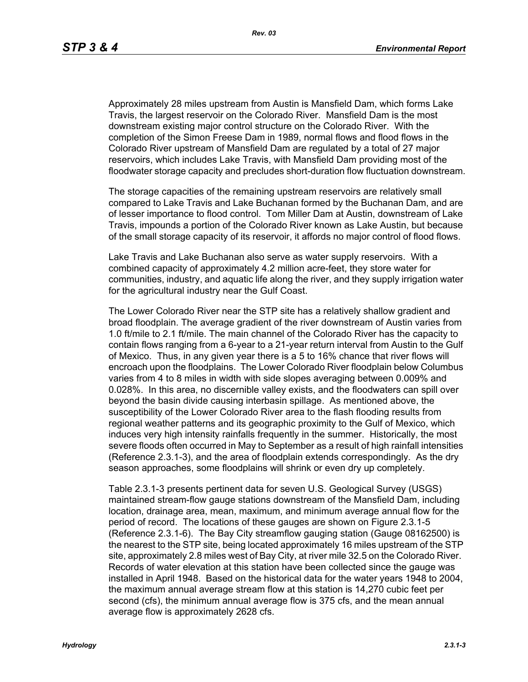Approximately 28 miles upstream from Austin is Mansfield Dam, which forms Lake Travis, the largest reservoir on the Colorado River. Mansfield Dam is the most downstream existing major control structure on the Colorado River. With the completion of the Simon Freese Dam in 1989, normal flows and flood flows in the Colorado River upstream of Mansfield Dam are regulated by a total of 27 major reservoirs, which includes Lake Travis, with Mansfield Dam providing most of the floodwater storage capacity and precludes short-duration flow fluctuation downstream.

The storage capacities of the remaining upstream reservoirs are relatively small compared to Lake Travis and Lake Buchanan formed by the Buchanan Dam, and are of lesser importance to flood control. Tom Miller Dam at Austin, downstream of Lake Travis, impounds a portion of the Colorado River known as Lake Austin, but because of the small storage capacity of its reservoir, it affords no major control of flood flows.

Lake Travis and Lake Buchanan also serve as water supply reservoirs. With a combined capacity of approximately 4.2 million acre-feet, they store water for communities, industry, and aquatic life along the river, and they supply irrigation water for the agricultural industry near the Gulf Coast.

The Lower Colorado River near the STP site has a relatively shallow gradient and broad floodplain. The average gradient of the river downstream of Austin varies from 1.0 ft/mile to 2.1 ft/mile. The main channel of the Colorado River has the capacity to contain flows ranging from a 6-year to a 21-year return interval from Austin to the Gulf of Mexico. Thus, in any given year there is a 5 to 16% chance that river flows will encroach upon the floodplains. The Lower Colorado River floodplain below Columbus varies from 4 to 8 miles in width with side slopes averaging between 0.009% and 0.028%. In this area, no discernible valley exists, and the floodwaters can spill over beyond the basin divide causing interbasin spillage. As mentioned above, the susceptibility of the Lower Colorado River area to the flash flooding results from regional weather patterns and its geographic proximity to the Gulf of Mexico, which induces very high intensity rainfalls frequently in the summer. Historically, the most severe floods often occurred in May to September as a result of high rainfall intensities (Reference 2.3.1-3), and the area of floodplain extends correspondingly. As the dry season approaches, some floodplains will shrink or even dry up completely.

Table 2.3.1-3 presents pertinent data for seven U.S. Geological Survey (USGS) maintained stream-flow gauge stations downstream of the Mansfield Dam, including location, drainage area, mean, maximum, and minimum average annual flow for the period of record. The locations of these gauges are shown on Figure 2.3.1-5 (Reference 2.3.1-6). The Bay City streamflow gauging station (Gauge 08162500) is the nearest to the STP site, being located approximately 16 miles upstream of the STP site, approximately 2.8 miles west of Bay City, at river mile 32.5 on the Colorado River. Records of water elevation at this station have been collected since the gauge was installed in April 1948. Based on the historical data for the water years 1948 to 2004, the maximum annual average stream flow at this station is 14,270 cubic feet per second (cfs), the minimum annual average flow is 375 cfs, and the mean annual average flow is approximately 2628 cfs.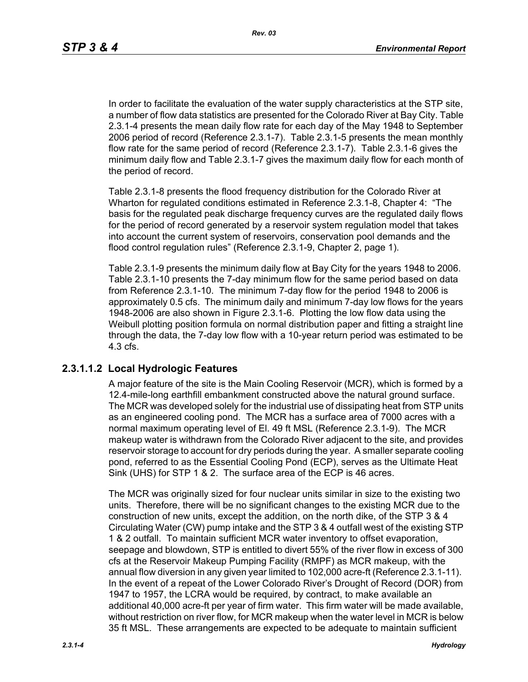In order to facilitate the evaluation of the water supply characteristics at the STP site, a number of flow data statistics are presented for the Colorado River at Bay City. Table 2.3.1-4 presents the mean daily flow rate for each day of the May 1948 to September 2006 period of record (Reference 2.3.1-7). Table 2.3.1-5 presents the mean monthly flow rate for the same period of record (Reference 2.3.1-7). Table 2.3.1-6 gives the minimum daily flow and Table 2.3.1-7 gives the maximum daily flow for each month of the period of record.

Table 2.3.1-8 presents the flood frequency distribution for the Colorado River at Wharton for regulated conditions estimated in Reference 2.3.1-8, Chapter 4: "The basis for the regulated peak discharge frequency curves are the regulated daily flows for the period of record generated by a reservoir system regulation model that takes into account the current system of reservoirs, conservation pool demands and the flood control regulation rules" (Reference 2.3.1-9, Chapter 2, page 1).

Table 2.3.1-9 presents the minimum daily flow at Bay City for the years 1948 to 2006. Table 2.3.1-10 presents the 7-day minimum flow for the same period based on data from Reference 2.3.1-10. The minimum 7-day flow for the period 1948 to 2006 is approximately 0.5 cfs. The minimum daily and minimum 7-day low flows for the years 1948-2006 are also shown in Figure 2.3.1-6. Plotting the low flow data using the Weibull plotting position formula on normal distribution paper and fitting a straight line through the data, the 7-day low flow with a 10-year return period was estimated to be 4.3 cfs.

### **2.3.1.1.2 Local Hydrologic Features**

A major feature of the site is the Main Cooling Reservoir (MCR), which is formed by a 12.4-mile-long earthfill embankment constructed above the natural ground surface. The MCR was developed solely for the industrial use of dissipating heat from STP units as an engineered cooling pond. The MCR has a surface area of 7000 acres with a normal maximum operating level of El. 49 ft MSL (Reference 2.3.1-9). The MCR makeup water is withdrawn from the Colorado River adjacent to the site, and provides reservoir storage to account for dry periods during the year. A smaller separate cooling pond, referred to as the Essential Cooling Pond (ECP), serves as the Ultimate Heat Sink (UHS) for STP 1 & 2. The surface area of the ECP is 46 acres.

The MCR was originally sized for four nuclear units similar in size to the existing two units. Therefore, there will be no significant changes to the existing MCR due to the construction of new units, except the addition, on the north dike, of the STP 3 & 4 Circulating Water (CW) pump intake and the STP 3 & 4 outfall west of the existing STP 1 & 2 outfall. To maintain sufficient MCR water inventory to offset evaporation, seepage and blowdown, STP is entitled to divert 55% of the river flow in excess of 300 cfs at the Reservoir Makeup Pumping Facility (RMPF) as MCR makeup, with the annual flow diversion in any given year limited to 102,000 acre-ft (Reference 2.3.1-11). In the event of a repeat of the Lower Colorado River's Drought of Record (DOR) from 1947 to 1957, the LCRA would be required, by contract, to make available an additional 40,000 acre-ft per year of firm water. This firm water will be made available, without restriction on river flow, for MCR makeup when the water level in MCR is below 35 ft MSL. These arrangements are expected to be adequate to maintain sufficient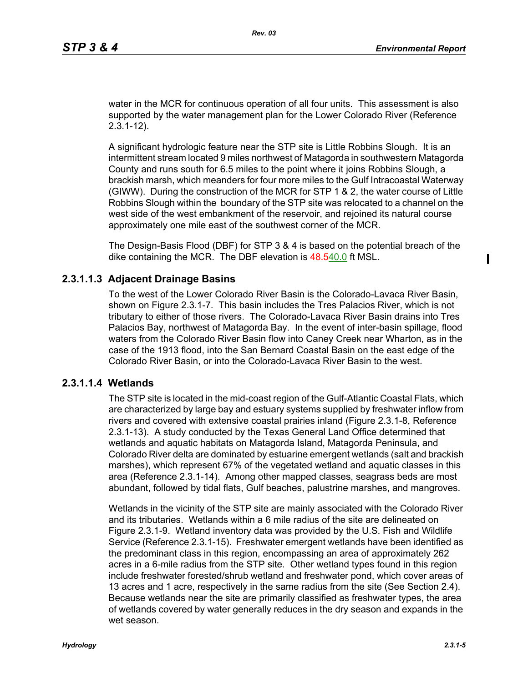water in the MCR for continuous operation of all four units. This assessment is also supported by the water management plan for the Lower Colorado River (Reference 2.3.1-12).

A significant hydrologic feature near the STP site is Little Robbins Slough. It is an intermittent stream located 9 miles northwest of Matagorda in southwestern Matagorda County and runs south for 6.5 miles to the point where it joins Robbins Slough, a brackish marsh, which meanders for four more miles to the Gulf Intracoastal Waterway (GIWW). During the construction of the MCR for STP 1 & 2, the water course of Little Robbins Slough within the boundary of the STP site was relocated to a channel on the west side of the west embankment of the reservoir, and rejoined its natural course approximately one mile east of the southwest corner of the MCR.

The Design-Basis Flood (DBF) for STP 3 & 4 is based on the potential breach of the dike containing the MCR. The DBF elevation is 48.540.0 ft MSL.

### **2.3.1.1.3 Adjacent Drainage Basins**

To the west of the Lower Colorado River Basin is the Colorado-Lavaca River Basin, shown on Figure 2.3.1-7. This basin includes the Tres Palacios River, which is not tributary to either of those rivers. The Colorado-Lavaca River Basin drains into Tres Palacios Bay, northwest of Matagorda Bay. In the event of inter-basin spillage, flood waters from the Colorado River Basin flow into Caney Creek near Wharton, as in the case of the 1913 flood, into the San Bernard Coastal Basin on the east edge of the Colorado River Basin, or into the Colorado-Lavaca River Basin to the west.

### **2.3.1.1.4 Wetlands**

The STP site is located in the mid-coast region of the Gulf-Atlantic Coastal Flats, which are characterized by large bay and estuary systems supplied by freshwater inflow from rivers and covered with extensive coastal prairies inland (Figure 2.3.1-8, Reference 2.3.1-13). A study conducted by the Texas General Land Office determined that wetlands and aquatic habitats on Matagorda Island, Matagorda Peninsula, and Colorado River delta are dominated by estuarine emergent wetlands (salt and brackish marshes), which represent 67% of the vegetated wetland and aquatic classes in this area (Reference 2.3.1-14). Among other mapped classes, seagrass beds are most abundant, followed by tidal flats, Gulf beaches, palustrine marshes, and mangroves.

Wetlands in the vicinity of the STP site are mainly associated with the Colorado River and its tributaries. Wetlands within a 6 mile radius of the site are delineated on Figure 2.3.1-9. Wetland inventory data was provided by the U.S. Fish and Wildlife Service (Reference 2.3.1-15). Freshwater emergent wetlands have been identified as the predominant class in this region, encompassing an area of approximately 262 acres in a 6-mile radius from the STP site. Other wetland types found in this region include freshwater forested/shrub wetland and freshwater pond, which cover areas of 13 acres and 1 acre, respectively in the same radius from the site (See Section 2.4). Because wetlands near the site are primarily classified as freshwater types, the area of wetlands covered by water generally reduces in the dry season and expands in the wet season.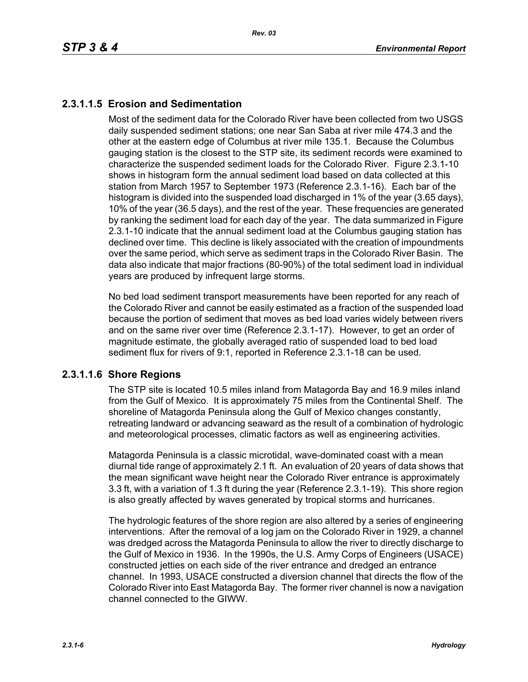# **2.3.1.1.5 Erosion and Sedimentation**

Most of the sediment data for the Colorado River have been collected from two USGS daily suspended sediment stations; one near San Saba at river mile 474.3 and the other at the eastern edge of Columbus at river mile 135.1. Because the Columbus gauging station is the closest to the STP site, its sediment records were examined to characterize the suspended sediment loads for the Colorado River. Figure 2.3.1-10 shows in histogram form the annual sediment load based on data collected at this station from March 1957 to September 1973 (Reference 2.3.1-16). Each bar of the histogram is divided into the suspended load discharged in 1% of the year (3.65 days), 10% of the year (36.5 days), and the rest of the year. These frequencies are generated by ranking the sediment load for each day of the year. The data summarized in Figure 2.3.1-10 indicate that the annual sediment load at the Columbus gauging station has declined over time. This decline is likely associated with the creation of impoundments over the same period, which serve as sediment traps in the Colorado River Basin. The data also indicate that major fractions (80-90%) of the total sediment load in individual years are produced by infrequent large storms.

No bed load sediment transport measurements have been reported for any reach of the Colorado River and cannot be easily estimated as a fraction of the suspended load because the portion of sediment that moves as bed load varies widely between rivers and on the same river over time (Reference 2.3.1-17). However, to get an order of magnitude estimate, the globally averaged ratio of suspended load to bed load sediment flux for rivers of 9:1, reported in Reference 2.3.1-18 can be used.

### **2.3.1.1.6 Shore Regions**

The STP site is located 10.5 miles inland from Matagorda Bay and 16.9 miles inland from the Gulf of Mexico. It is approximately 75 miles from the Continental Shelf. The shoreline of Matagorda Peninsula along the Gulf of Mexico changes constantly, retreating landward or advancing seaward as the result of a combination of hydrologic and meteorological processes, climatic factors as well as engineering activities.

Matagorda Peninsula is a classic microtidal, wave-dominated coast with a mean diurnal tide range of approximately 2.1 ft. An evaluation of 20 years of data shows that the mean significant wave height near the Colorado River entrance is approximately 3.3 ft, with a variation of 1.3 ft during the year (Reference 2.3.1-19). This shore region is also greatly affected by waves generated by tropical storms and hurricanes.

The hydrologic features of the shore region are also altered by a series of engineering interventions. After the removal of a log jam on the Colorado River in 1929, a channel was dredged across the Matagorda Peninsula to allow the river to directly discharge to the Gulf of Mexico in 1936. In the 1990s, the U.S. Army Corps of Engineers (USACE) constructed jetties on each side of the river entrance and dredged an entrance channel. In 1993, USACE constructed a diversion channel that directs the flow of the Colorado River into East Matagorda Bay. The former river channel is now a navigation channel connected to the GIWW.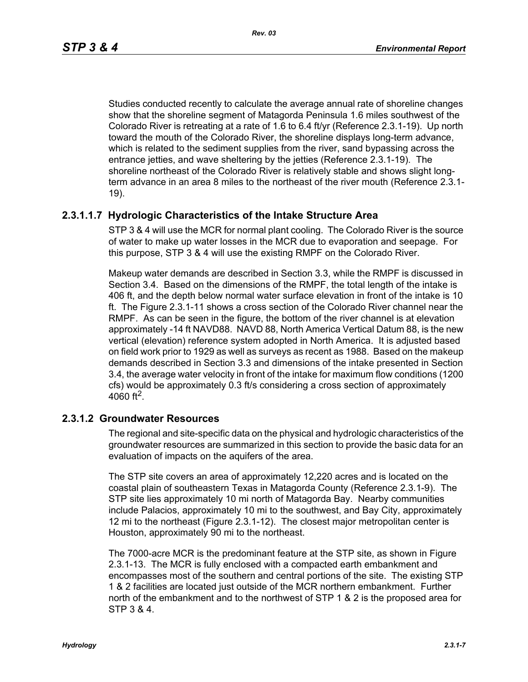*Rev. 03*

Studies conducted recently to calculate the average annual rate of shoreline changes show that the shoreline segment of Matagorda Peninsula 1.6 miles southwest of the Colorado River is retreating at a rate of 1.6 to 6.4 ft/yr (Reference 2.3.1-19). Up north toward the mouth of the Colorado River, the shoreline displays long-term advance, which is related to the sediment supplies from the river, sand bypassing across the entrance jetties, and wave sheltering by the jetties (Reference 2.3.1-19). The shoreline northeast of the Colorado River is relatively stable and shows slight longterm advance in an area 8 miles to the northeast of the river mouth (Reference 2.3.1- 19).

# **2.3.1.1.7 Hydrologic Characteristics of the Intake Structure Area**

STP 3 & 4 will use the MCR for normal plant cooling. The Colorado River is the source of water to make up water losses in the MCR due to evaporation and seepage. For this purpose, STP 3 & 4 will use the existing RMPF on the Colorado River.

Makeup water demands are described in Section 3.3, while the RMPF is discussed in Section 3.4. Based on the dimensions of the RMPF, the total length of the intake is 406 ft, and the depth below normal water surface elevation in front of the intake is 10 ft. The Figure 2.3.1-11 shows a cross section of the Colorado River channel near the RMPF. As can be seen in the figure, the bottom of the river channel is at elevation approximately -14 ft NAVD88. NAVD 88, North America Vertical Datum 88, is the new vertical (elevation) reference system adopted in North America. It is adjusted based on field work prior to 1929 as well as surveys as recent as 1988. Based on the makeup demands described in Section 3.3 and dimensions of the intake presented in Section 3.4, the average water velocity in front of the intake for maximum flow conditions (1200 cfs) would be approximately 0.3 ft/s considering a cross section of approximately 4060 ft<sup>2</sup>.

## **2.3.1.2 Groundwater Resources**

The regional and site-specific data on the physical and hydrologic characteristics of the groundwater resources are summarized in this section to provide the basic data for an evaluation of impacts on the aquifers of the area.

The STP site covers an area of approximately 12,220 acres and is located on the coastal plain of southeastern Texas in Matagorda County (Reference 2.3.1-9). The STP site lies approximately 10 mi north of Matagorda Bay. Nearby communities include Palacios, approximately 10 mi to the southwest, and Bay City, approximately 12 mi to the northeast (Figure 2.3.1-12). The closest major metropolitan center is Houston, approximately 90 mi to the northeast.

The 7000-acre MCR is the predominant feature at the STP site, as shown in Figure 2.3.1-13. The MCR is fully enclosed with a compacted earth embankment and encompasses most of the southern and central portions of the site. The existing STP 1 & 2 facilities are located just outside of the MCR northern embankment. Further north of the embankment and to the northwest of STP 1 & 2 is the proposed area for STP 3 & 4.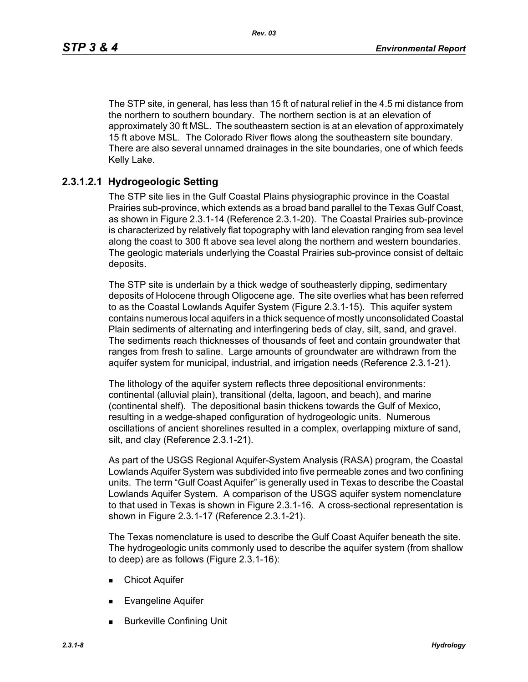The STP site, in general, has less than 15 ft of natural relief in the 4.5 mi distance from the northern to southern boundary. The northern section is at an elevation of approximately 30 ft MSL. The southeastern section is at an elevation of approximately 15 ft above MSL. The Colorado River flows along the southeastern site boundary. There are also several unnamed drainages in the site boundaries, one of which feeds Kelly Lake.

## **2.3.1.2.1 Hydrogeologic Setting**

The STP site lies in the Gulf Coastal Plains physiographic province in the Coastal Prairies sub-province, which extends as a broad band parallel to the Texas Gulf Coast, as shown in Figure 2.3.1-14 (Reference 2.3.1-20). The Coastal Prairies sub-province is characterized by relatively flat topography with land elevation ranging from sea level along the coast to 300 ft above sea level along the northern and western boundaries. The geologic materials underlying the Coastal Prairies sub-province consist of deltaic deposits.

The STP site is underlain by a thick wedge of southeasterly dipping, sedimentary deposits of Holocene through Oligocene age. The site overlies what has been referred to as the Coastal Lowlands Aquifer System (Figure 2.3.1-15). This aquifer system contains numerous local aquifers in a thick sequence of mostly unconsolidated Coastal Plain sediments of alternating and interfingering beds of clay, silt, sand, and gravel. The sediments reach thicknesses of thousands of feet and contain groundwater that ranges from fresh to saline. Large amounts of groundwater are withdrawn from the aquifer system for municipal, industrial, and irrigation needs (Reference 2.3.1-21).

The lithology of the aquifer system reflects three depositional environments: continental (alluvial plain), transitional (delta, lagoon, and beach), and marine (continental shelf). The depositional basin thickens towards the Gulf of Mexico, resulting in a wedge-shaped configuration of hydrogeologic units. Numerous oscillations of ancient shorelines resulted in a complex, overlapping mixture of sand, silt, and clay (Reference 2.3.1-21).

As part of the USGS Regional Aquifer-System Analysis (RASA) program, the Coastal Lowlands Aquifer System was subdivided into five permeable zones and two confining units. The term "Gulf Coast Aquifer" is generally used in Texas to describe the Coastal Lowlands Aquifer System. A comparison of the USGS aquifer system nomenclature to that used in Texas is shown in Figure 2.3.1-16. A cross-sectional representation is shown in Figure 2.3.1-17 (Reference 2.3.1-21).

The Texas nomenclature is used to describe the Gulf Coast Aquifer beneath the site. The hydrogeologic units commonly used to describe the aquifer system (from shallow to deep) are as follows (Figure 2.3.1-16):

- **Exercise Chicot Aquifer**
- **Evangeline Aquifer**
- Burkeville Confining Unit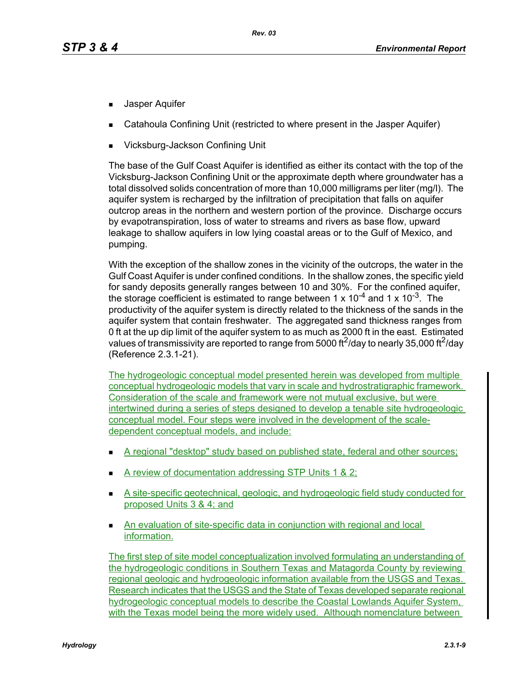- **Jasper Aquifer**
- Catahoula Confining Unit (restricted to where present in the Jasper Aquifer)
- Vicksburg-Jackson Confining Unit

The base of the Gulf Coast Aquifer is identified as either its contact with the top of the Vicksburg-Jackson Confining Unit or the approximate depth where groundwater has a total dissolved solids concentration of more than 10,000 milligrams per liter (mg/l). The aquifer system is recharged by the infiltration of precipitation that falls on aquifer outcrop areas in the northern and western portion of the province. Discharge occurs by evapotranspiration, loss of water to streams and rivers as base flow, upward leakage to shallow aquifers in low lying coastal areas or to the Gulf of Mexico, and pumping.

With the exception of the shallow zones in the vicinity of the outcrops, the water in the Gulf Coast Aquifer is under confined conditions. In the shallow zones, the specific yield for sandy deposits generally ranges between 10 and 30%. For the confined aquifer, the storage coefficient is estimated to range between 1 x  $10^{-4}$  and 1 x  $10^{-3}$ . The productivity of the aquifer system is directly related to the thickness of the sands in the aquifer system that contain freshwater. The aggregated sand thickness ranges from 0 ft at the up dip limit of the aquifer system to as much as 2000 ft in the east. Estimated values of transmissivity are reported to range from 5000 ft<sup>2</sup>/day to nearly 35,000 ft<sup>2</sup>/day (Reference 2.3.1-21).

The hydrogeologic conceptual model presented herein was developed from multiple conceptual hydrogeologic models that vary in scale and hydrostratigraphic framework. Consideration of the scale and framework were not mutual exclusive, but were intertwined during a series of steps designed to develop a tenable site hydrogeologic conceptual model. Four steps were involved in the development of the scaledependent conceptual models, and include:

- A regional "desktop" study based on published state, federal and other sources;
- A review of documentation addressing STP Units 1 & 2;
- A site-specific geotechnical, geologic, and hydrogeologic field study conducted for proposed Units 3 & 4; and
- **An evaluation of site-specific data in conjunction with regional and local** information.

The first step of site model conceptualization involved formulating an understanding of the hydrogeologic conditions in Southern Texas and Matagorda County by reviewing regional geologic and hydrogeologic information available from the USGS and Texas. Research indicates that the USGS and the State of Texas developed separate regional hydrogeologic conceptual models to describe the Coastal Lowlands Aquifer System, with the Texas model being the more widely used. Although nomenclature between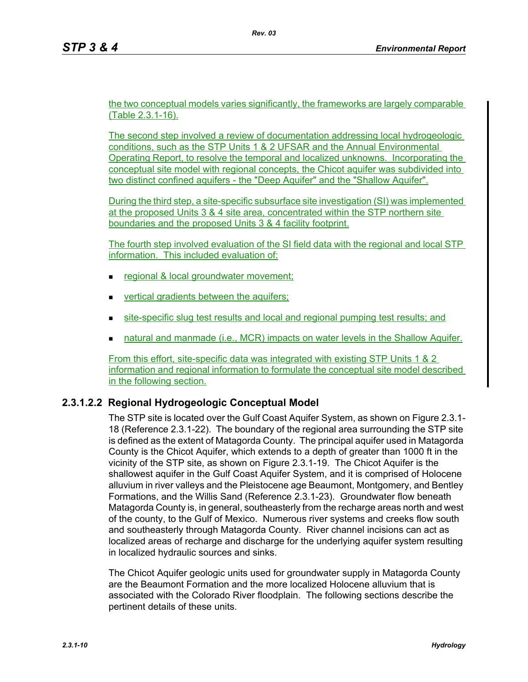the two conceptual models varies significantly, the frameworks are largely comparable (Table 2.3.1-16).

The second step involved a review of documentation addressing local hydrogeologic conditions, such as the STP Units 1 & 2 UFSAR and the Annual Environmental Operating Report, to resolve the temporal and localized unknowns. Incorporating the conceptual site model with regional concepts, the Chicot aquifer was subdivided into two distinct confined aquifers - the "Deep Aquifer" and the "Shallow Aquifer".

During the third step, a site-specific subsurface site investigation (SI) was implemented at the proposed Units 3 & 4 site area, concentrated within the STP northern site boundaries and the proposed Units 3 & 4 facility footprint.

The fourth step involved evaluation of the SI field data with the regional and local STP information. This included evaluation of:

- regional & local groundwater movement;
- **vertical gradients between the aquifers;**
- site-specific slug test results and local and regional pumping test results; and
- natural and manmade (i.e., MCR) impacts on water levels in the Shallow Aquifer.

From this effort, site-specific data was integrated with existing STP Units 1 & 2 information and regional information to formulate the conceptual site model described in the following section.

## **2.3.1.2.2 Regional Hydrogeologic Conceptual Model**

The STP site is located over the Gulf Coast Aquifer System, as shown on Figure 2.3.1- 18 (Reference 2.3.1-22). The boundary of the regional area surrounding the STP site is defined as the extent of Matagorda County. The principal aquifer used in Matagorda County is the Chicot Aquifer, which extends to a depth of greater than 1000 ft in the vicinity of the STP site, as shown on Figure 2.3.1-19. The Chicot Aquifer is the shallowest aquifer in the Gulf Coast Aquifer System, and it is comprised of Holocene alluvium in river valleys and the Pleistocene age Beaumont, Montgomery, and Bentley Formations, and the Willis Sand (Reference 2.3.1-23). Groundwater flow beneath Matagorda County is, in general, southeasterly from the recharge areas north and west of the county, to the Gulf of Mexico. Numerous river systems and creeks flow south and southeasterly through Matagorda County. River channel incisions can act as localized areas of recharge and discharge for the underlying aquifer system resulting in localized hydraulic sources and sinks.

The Chicot Aquifer geologic units used for groundwater supply in Matagorda County are the Beaumont Formation and the more localized Holocene alluvium that is associated with the Colorado River floodplain. The following sections describe the pertinent details of these units.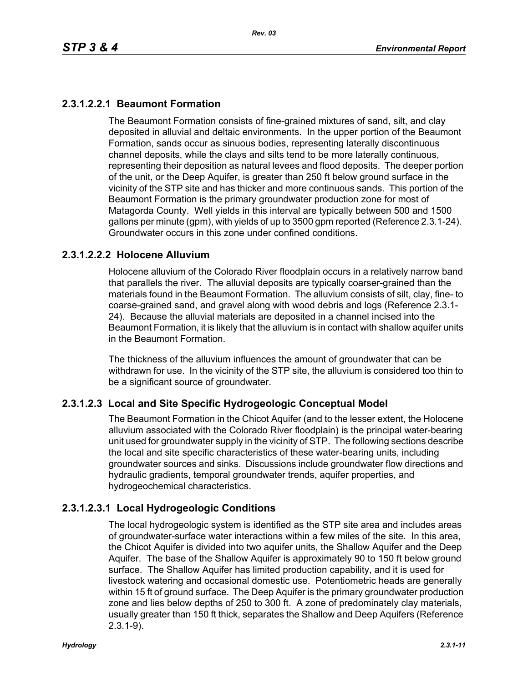# **2.3.1.2.2.1 Beaumont Formation**

The Beaumont Formation consists of fine-grained mixtures of sand, silt, and clay deposited in alluvial and deltaic environments. In the upper portion of the Beaumont Formation, sands occur as sinuous bodies, representing laterally discontinuous channel deposits, while the clays and silts tend to be more laterally continuous, representing their deposition as natural levees and flood deposits. The deeper portion of the unit, or the Deep Aquifer, is greater than 250 ft below ground surface in the vicinity of the STP site and has thicker and more continuous sands. This portion of the Beaumont Formation is the primary groundwater production zone for most of Matagorda County. Well yields in this interval are typically between 500 and 1500 gallons per minute (gpm), with yields of up to 3500 gpm reported (Reference 2.3.1-24). Groundwater occurs in this zone under confined conditions.

### **2.3.1.2.2.2 Holocene Alluvium**

Holocene alluvium of the Colorado River floodplain occurs in a relatively narrow band that parallels the river. The alluvial deposits are typically coarser-grained than the materials found in the Beaumont Formation. The alluvium consists of silt, clay, fine- to coarse-grained sand, and gravel along with wood debris and logs (Reference 2.3.1- 24). Because the alluvial materials are deposited in a channel incised into the Beaumont Formation, it is likely that the alluvium is in contact with shallow aquifer units in the Beaumont Formation.

The thickness of the alluvium influences the amount of groundwater that can be withdrawn for use. In the vicinity of the STP site, the alluvium is considered too thin to be a significant source of groundwater.

## **2.3.1.2.3 Local and Site Specific Hydrogeologic Conceptual Model**

The Beaumont Formation in the Chicot Aquifer (and to the lesser extent, the Holocene alluvium associated with the Colorado River floodplain) is the principal water-bearing unit used for groundwater supply in the vicinity of STP. The following sections describe the local and site specific characteristics of these water-bearing units, including groundwater sources and sinks. Discussions include groundwater flow directions and hydraulic gradients, temporal groundwater trends, aquifer properties, and hydrogeochemical characteristics.

## **2.3.1.2.3.1 Local Hydrogeologic Conditions**

The local hydrogeologic system is identified as the STP site area and includes areas of groundwater-surface water interactions within a few miles of the site. In this area, the Chicot Aquifer is divided into two aquifer units, the Shallow Aquifer and the Deep Aquifer. The base of the Shallow Aquifer is approximately 90 to 150 ft below ground surface. The Shallow Aquifer has limited production capability, and it is used for livestock watering and occasional domestic use. Potentiometric heads are generally within 15 ft of ground surface. The Deep Aquifer is the primary groundwater production zone and lies below depths of 250 to 300 ft. A zone of predominately clay materials, usually greater than 150 ft thick, separates the Shallow and Deep Aquifers (Reference 2.3.1-9).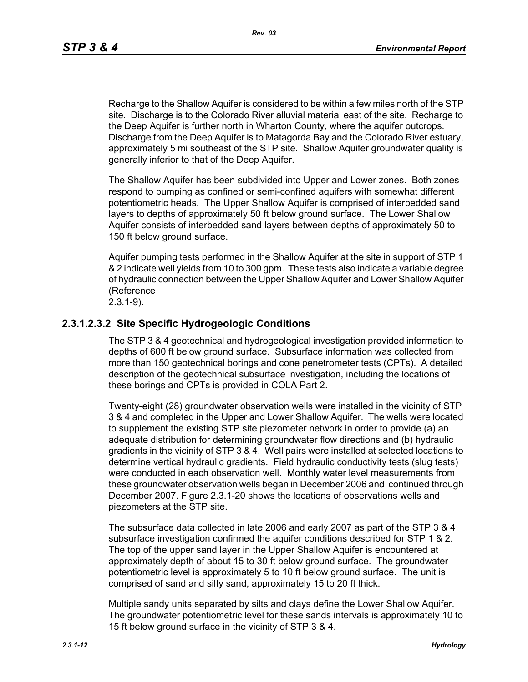*Rev. 03*

Recharge to the Shallow Aquifer is considered to be within a few miles north of the STP site. Discharge is to the Colorado River alluvial material east of the site. Recharge to the Deep Aquifer is further north in Wharton County, where the aquifer outcrops. Discharge from the Deep Aquifer is to Matagorda Bay and the Colorado River estuary, approximately 5 mi southeast of the STP site. Shallow Aquifer groundwater quality is generally inferior to that of the Deep Aquifer.

The Shallow Aquifer has been subdivided into Upper and Lower zones. Both zones respond to pumping as confined or semi-confined aquifers with somewhat different potentiometric heads. The Upper Shallow Aquifer is comprised of interbedded sand layers to depths of approximately 50 ft below ground surface. The Lower Shallow Aquifer consists of interbedded sand layers between depths of approximately 50 to 150 ft below ground surface.

Aquifer pumping tests performed in the Shallow Aquifer at the site in support of STP 1 & 2 indicate well yields from 10 to 300 gpm. These tests also indicate a variable degree of hydraulic connection between the Upper Shallow Aquifer and Lower Shallow Aquifer (Reference

# 2.3.1-9).

### **2.3.1.2.3.2 Site Specific Hydrogeologic Conditions**

The STP 3 & 4 geotechnical and hydrogeological investigation provided information to depths of 600 ft below ground surface. Subsurface information was collected from more than 150 geotechnical borings and cone penetrometer tests (CPTs). A detailed description of the geotechnical subsurface investigation, including the locations of these borings and CPTs is provided in COLA Part 2.

Twenty-eight (28) groundwater observation wells were installed in the vicinity of STP 3 & 4 and completed in the Upper and Lower Shallow Aquifer. The wells were located to supplement the existing STP site piezometer network in order to provide (a) an adequate distribution for determining groundwater flow directions and (b) hydraulic gradients in the vicinity of STP 3 & 4. Well pairs were installed at selected locations to determine vertical hydraulic gradients. Field hydraulic conductivity tests (slug tests) were conducted in each observation well. Monthly water level measurements from these groundwater observation wells began in December 2006 and continued through December 2007. Figure 2.3.1-20 shows the locations of observations wells and piezometers at the STP site.

The subsurface data collected in late 2006 and early 2007 as part of the STP 3 & 4 subsurface investigation confirmed the aquifer conditions described for STP 1 & 2. The top of the upper sand layer in the Upper Shallow Aquifer is encountered at approximately depth of about 15 to 30 ft below ground surface. The groundwater potentiometric level is approximately 5 to 10 ft below ground surface. The unit is comprised of sand and silty sand, approximately 15 to 20 ft thick.

Multiple sandy units separated by silts and clays define the Lower Shallow Aquifer. The groundwater potentiometric level for these sands intervals is approximately 10 to 15 ft below ground surface in the vicinity of STP 3 & 4.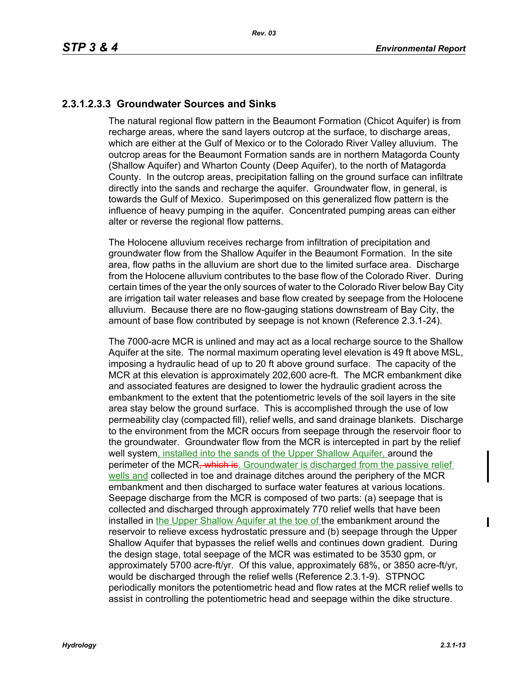# **2.3.1.2.3.3 Groundwater Sources and Sinks**

The natural regional flow pattern in the Beaumont Formation (Chicot Aquifer) is from recharge areas, where the sand layers outcrop at the surface, to discharge areas, which are either at the Gulf of Mexico or to the Colorado River Valley alluvium. The outcrop areas for the Beaumont Formation sands are in northern Matagorda County (Shallow Aquifer) and Wharton County (Deep Aquifer), to the north of Matagorda County. In the outcrop areas, precipitation falling on the ground surface can infiltrate directly into the sands and recharge the aquifer. Groundwater flow, in general, is towards the Gulf of Mexico. Superimposed on this generalized flow pattern is the influence of heavy pumping in the aquifer. Concentrated pumping areas can either alter or reverse the regional flow patterns.

The Holocene alluvium receives recharge from infiltration of precipitation and groundwater flow from the Shallow Aquifer in the Beaumont Formation. In the site area, flow paths in the alluvium are short due to the limited surface area. Discharge from the Holocene alluvium contributes to the base flow of the Colorado River. During certain times of the year the only sources of water to the Colorado River below Bay City are irrigation tail water releases and base flow created by seepage from the Holocene alluvium. Because there are no flow-gauging stations downstream of Bay City, the amount of base flow contributed by seepage is not known (Reference 2.3.1-24).

The 7000-acre MCR is unlined and may act as a local recharge source to the Shallow Aquifer at the site. The normal maximum operating level elevation is 49 ft above MSL, imposing a hydraulic head of up to 20 ft above ground surface. The capacity of the MCR at this elevation is approximately 202,600 acre-ft. The MCR embankment dike and associated features are designed to lower the hydraulic gradient across the embankment to the extent that the potentiometric levels of the soil layers in the site area stay below the ground surface. This is accomplished through the use of low permeability clay (compacted fill), relief wells, and sand drainage blankets. Discharge to the environment from the MCR occurs from seepage through the reservoir floor to the groundwater. Groundwater flow from the MCR is intercepted in part by the relief well system, installed into the sands of the Upper Shallow Aquifer, around the perimeter of the MCR, which is. Groundwater is discharged from the passive relief wells and collected in toe and drainage ditches around the periphery of the MCR embankment and then discharged to surface water features at various locations. Seepage discharge from the MCR is composed of two parts: (a) seepage that is collected and discharged through approximately 770 relief wells that have been installed in the Upper Shallow Aquifer at the toe of the embankment around the reservoir to relieve excess hydrostatic pressure and (b) seepage through the Upper Shallow Aquifer that bypasses the relief wells and continues down gradient. During the design stage, total seepage of the MCR was estimated to be 3530 gpm, or approximately 5700 acre-ft/yr. Of this value, approximately 68%, or 3850 acre-ft/yr, would be discharged through the relief wells (Reference 2.3.1-9). STPNOC periodically monitors the potentiometric head and flow rates at the MCR relief wells to assist in controlling the potentiometric head and seepage within the dike structure.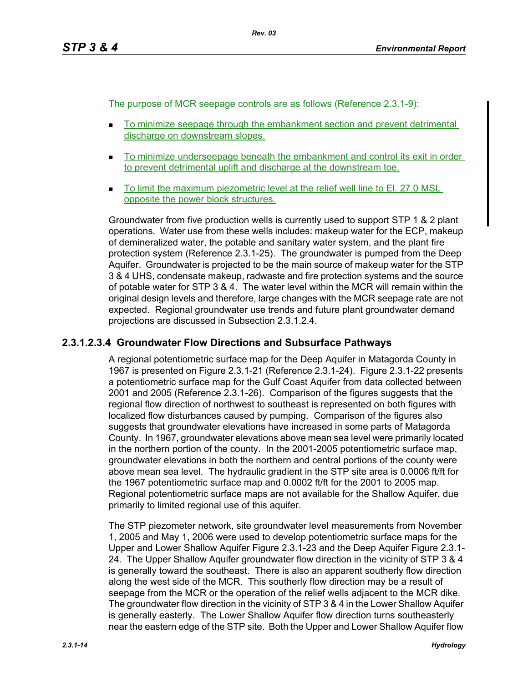The purpose of MCR seepage controls are as follows (Reference 2.3.1-9):

- To minimize seepage through the embankment section and prevent detrimental discharge on downstream slopes.
- To minimize underseepage beneath the embankment and control its exit in order to prevent detrimental uplift and discharge at the downstream toe.
- To limit the maximum piezometric level at the relief well line to El. 27.0 MSL opposite the power block structures.

Groundwater from five production wells is currently used to support STP 1 & 2 plant operations. Water use from these wells includes: makeup water for the ECP, makeup of demineralized water, the potable and sanitary water system, and the plant fire protection system (Reference 2.3.1-25). The groundwater is pumped from the Deep Aquifer. Groundwater is projected to be the main source of makeup water for the STP 3 & 4 UHS, condensate makeup, radwaste and fire protection systems and the source of potable water for STP 3 & 4. The water level within the MCR will remain within the original design levels and therefore, large changes with the MCR seepage rate are not expected. Regional groundwater use trends and future plant groundwater demand projections are discussed in Subsection 2.3.1.2.4.

## **2.3.1.2.3.4 Groundwater Flow Directions and Subsurface Pathways**

A regional potentiometric surface map for the Deep Aquifer in Matagorda County in 1967 is presented on Figure 2.3.1-21 (Reference 2.3.1-24). Figure 2.3.1-22 presents a potentiometric surface map for the Gulf Coast Aquifer from data collected between 2001 and 2005 (Reference 2.3.1-26). Comparison of the figures suggests that the regional flow direction of northwest to southeast is represented on both figures with localized flow disturbances caused by pumping. Comparison of the figures also suggests that groundwater elevations have increased in some parts of Matagorda County. In 1967, groundwater elevations above mean sea level were primarily located in the northern portion of the county. In the 2001-2005 potentiometric surface map, groundwater elevations in both the northern and central portions of the county were above mean sea level. The hydraulic gradient in the STP site area is 0.0006 ft/ft for the 1967 potentiometric surface map and 0.0002 ft/ft for the 2001 to 2005 map. Regional potentiometric surface maps are not available for the Shallow Aquifer, due primarily to limited regional use of this aquifer.

The STP piezometer network, site groundwater level measurements from November 1, 2005 and May 1, 2006 were used to develop potentiometric surface maps for the Upper and Lower Shallow Aquifer Figure 2.3.1-23 and the Deep Aquifer Figure 2.3.1- 24. The Upper Shallow Aquifer groundwater flow direction in the vicinity of STP 3 & 4 is generally toward the southeast. There is also an apparent southerly flow direction along the west side of the MCR. This southerly flow direction may be a result of seepage from the MCR or the operation of the relief wells adjacent to the MCR dike. The groundwater flow direction in the vicinity of STP 3 & 4 in the Lower Shallow Aquifer is generally easterly. The Lower Shallow Aquifer flow direction turns southeasterly near the eastern edge of the STP site. Both the Upper and Lower Shallow Aquifer flow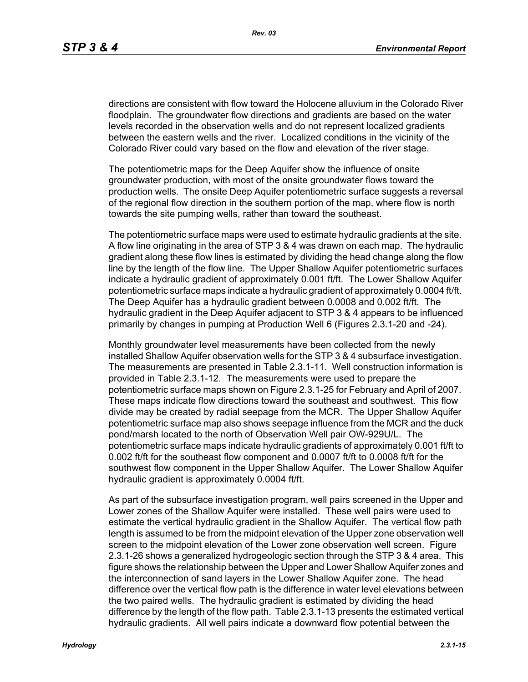directions are consistent with flow toward the Holocene alluvium in the Colorado River floodplain. The groundwater flow directions and gradients are based on the water levels recorded in the observation wells and do not represent localized gradients between the eastern wells and the river. Localized conditions in the vicinity of the Colorado River could vary based on the flow and elevation of the river stage.

The potentiometric maps for the Deep Aquifer show the influence of onsite groundwater production, with most of the onsite groundwater flows toward the production wells. The onsite Deep Aquifer potentiometric surface suggests a reversal of the regional flow direction in the southern portion of the map, where flow is north towards the site pumping wells, rather than toward the southeast.

The potentiometric surface maps were used to estimate hydraulic gradients at the site. A flow line originating in the area of STP 3 & 4 was drawn on each map. The hydraulic gradient along these flow lines is estimated by dividing the head change along the flow line by the length of the flow line. The Upper Shallow Aquifer potentiometric surfaces indicate a hydraulic gradient of approximately 0.001 ft/ft. The Lower Shallow Aquifer potentiometric surface maps indicate a hydraulic gradient of approximately 0.0004 ft/ft. The Deep Aquifer has a hydraulic gradient between 0.0008 and 0.002 ft/ft. The hydraulic gradient in the Deep Aquifer adjacent to STP 3 & 4 appears to be influenced primarily by changes in pumping at Production Well 6 (Figures 2.3.1-20 and -24).

Monthly groundwater level measurements have been collected from the newly installed Shallow Aquifer observation wells for the STP 3 & 4 subsurface investigation. The measurements are presented in Table 2.3.1-11. Well construction information is provided in Table 2.3.1-12. The measurements were used to prepare the potentiometric surface maps shown on Figure 2.3.1-25 for February and April of 2007. These maps indicate flow directions toward the southeast and southwest. This flow divide may be created by radial seepage from the MCR. The Upper Shallow Aquifer potentiometric surface map also shows seepage influence from the MCR and the duck pond/marsh located to the north of Observation Well pair OW-929U/L. The potentiometric surface maps indicate hydraulic gradients of approximately 0.001 ft/ft to 0.002 ft/ft for the southeast flow component and 0.0007 ft/ft to 0.0008 ft/ft for the southwest flow component in the Upper Shallow Aquifer. The Lower Shallow Aquifer hydraulic gradient is approximately 0.0004 ft/ft.

As part of the subsurface investigation program, well pairs screened in the Upper and Lower zones of the Shallow Aquifer were installed. These well pairs were used to estimate the vertical hydraulic gradient in the Shallow Aquifer. The vertical flow path length is assumed to be from the midpoint elevation of the Upper zone observation well screen to the midpoint elevation of the Lower zone observation well screen. Figure 2.3.1-26 shows a generalized hydrogeologic section through the STP 3 & 4 area. This figure shows the relationship between the Upper and Lower Shallow Aquifer zones and the interconnection of sand layers in the Lower Shallow Aquifer zone. The head difference over the vertical flow path is the difference in water level elevations between the two paired wells. The hydraulic gradient is estimated by dividing the head difference by the length of the flow path. Table 2.3.1-13 presents the estimated vertical hydraulic gradients. All well pairs indicate a downward flow potential between the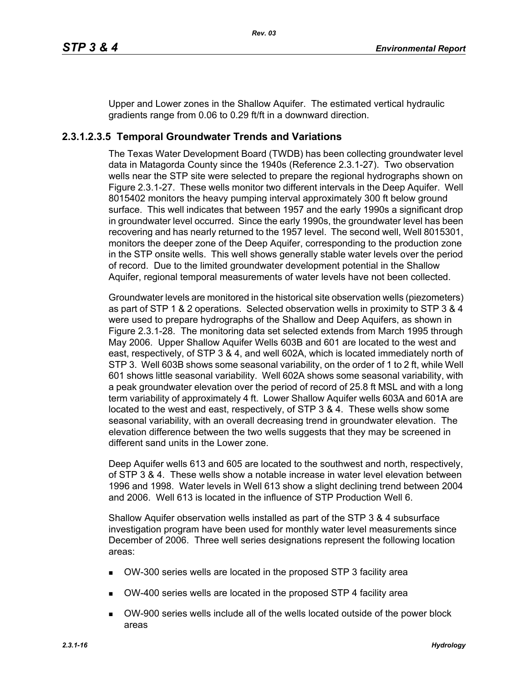Upper and Lower zones in the Shallow Aquifer. The estimated vertical hydraulic gradients range from 0.06 to 0.29 ft/ft in a downward direction.

## **2.3.1.2.3.5 Temporal Groundwater Trends and Variations**

The Texas Water Development Board (TWDB) has been collecting groundwater level data in Matagorda County since the 1940s (Reference 2.3.1-27). Two observation wells near the STP site were selected to prepare the regional hydrographs shown on Figure 2.3.1-27. These wells monitor two different intervals in the Deep Aquifer. Well 8015402 monitors the heavy pumping interval approximately 300 ft below ground surface. This well indicates that between 1957 and the early 1990s a significant drop in groundwater level occurred. Since the early 1990s, the groundwater level has been recovering and has nearly returned to the 1957 level. The second well, Well 8015301, monitors the deeper zone of the Deep Aquifer, corresponding to the production zone in the STP onsite wells. This well shows generally stable water levels over the period of record. Due to the limited groundwater development potential in the Shallow Aquifer, regional temporal measurements of water levels have not been collected.

Groundwater levels are monitored in the historical site observation wells (piezometers) as part of STP 1 & 2 operations. Selected observation wells in proximity to STP 3 & 4 were used to prepare hydrographs of the Shallow and Deep Aquifers, as shown in Figure 2.3.1-28. The monitoring data set selected extends from March 1995 through May 2006. Upper Shallow Aquifer Wells 603B and 601 are located to the west and east, respectively, of STP 3 & 4, and well 602A, which is located immediately north of STP 3. Well 603B shows some seasonal variability, on the order of 1 to 2 ft, while Well 601 shows little seasonal variability. Well 602A shows some seasonal variability, with a peak groundwater elevation over the period of record of 25.8 ft MSL and with a long term variability of approximately 4 ft. Lower Shallow Aquifer wells 603A and 601A are located to the west and east, respectively, of STP 3 & 4. These wells show some seasonal variability, with an overall decreasing trend in groundwater elevation. The elevation difference between the two wells suggests that they may be screened in different sand units in the Lower zone.

Deep Aquifer wells 613 and 605 are located to the southwest and north, respectively, of STP 3 & 4. These wells show a notable increase in water level elevation between 1996 and 1998. Water levels in Well 613 show a slight declining trend between 2004 and 2006. Well 613 is located in the influence of STP Production Well 6.

Shallow Aquifer observation wells installed as part of the STP 3 & 4 subsurface investigation program have been used for monthly water level measurements since December of 2006. Three well series designations represent the following location areas:

- OW-300 series wells are located in the proposed STP 3 facility area
- OW-400 series wells are located in the proposed STP 4 facility area
- OW-900 series wells include all of the wells located outside of the power block areas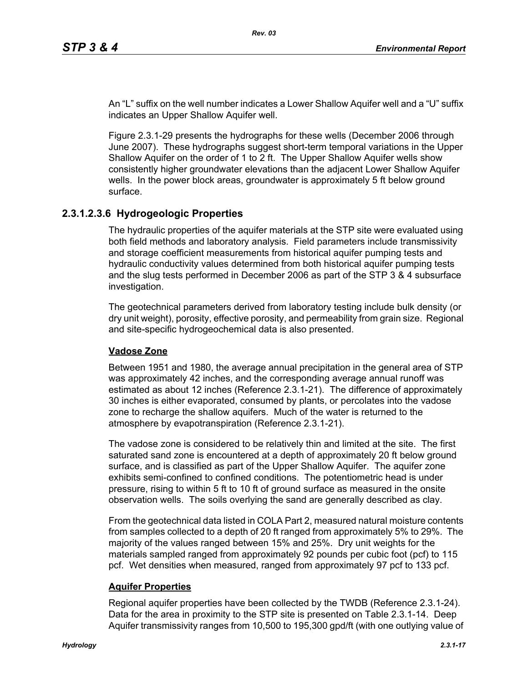An "L" suffix on the well number indicates a Lower Shallow Aquifer well and a "U" suffix indicates an Upper Shallow Aquifer well.

Figure 2.3.1-29 presents the hydrographs for these wells (December 2006 through June 2007). These hydrographs suggest short-term temporal variations in the Upper Shallow Aquifer on the order of 1 to 2 ft. The Upper Shallow Aquifer wells show consistently higher groundwater elevations than the adjacent Lower Shallow Aquifer wells. In the power block areas, groundwater is approximately 5 ft below ground surface.

### **2.3.1.2.3.6 Hydrogeologic Properties**

The hydraulic properties of the aquifer materials at the STP site were evaluated using both field methods and laboratory analysis. Field parameters include transmissivity and storage coefficient measurements from historical aquifer pumping tests and hydraulic conductivity values determined from both historical aquifer pumping tests and the slug tests performed in December 2006 as part of the STP 3 & 4 subsurface investigation.

The geotechnical parameters derived from laboratory testing include bulk density (or dry unit weight), porosity, effective porosity, and permeability from grain size. Regional and site-specific hydrogeochemical data is also presented.

### **Vadose Zone**

Between 1951 and 1980, the average annual precipitation in the general area of STP was approximately 42 inches, and the corresponding average annual runoff was estimated as about 12 inches (Reference 2.3.1-21). The difference of approximately 30 inches is either evaporated, consumed by plants, or percolates into the vadose zone to recharge the shallow aquifers. Much of the water is returned to the atmosphere by evapotranspiration (Reference 2.3.1-21).

The vadose zone is considered to be relatively thin and limited at the site. The first saturated sand zone is encountered at a depth of approximately 20 ft below ground surface, and is classified as part of the Upper Shallow Aquifer. The aquifer zone exhibits semi-confined to confined conditions. The potentiometric head is under pressure, rising to within 5 ft to 10 ft of ground surface as measured in the onsite observation wells. The soils overlying the sand are generally described as clay.

From the geotechnical data listed in COLA Part 2, measured natural moisture contents from samples collected to a depth of 20 ft ranged from approximately 5% to 29%. The majority of the values ranged between 15% and 25%. Dry unit weights for the materials sampled ranged from approximately 92 pounds per cubic foot (pcf) to 115 pcf. Wet densities when measured, ranged from approximately 97 pcf to 133 pcf.

### **Aquifer Properties**

Regional aquifer properties have been collected by the TWDB (Reference 2.3.1-24). Data for the area in proximity to the STP site is presented on Table 2.3.1-14. Deep Aquifer transmissivity ranges from 10,500 to 195,300 gpd/ft (with one outlying value of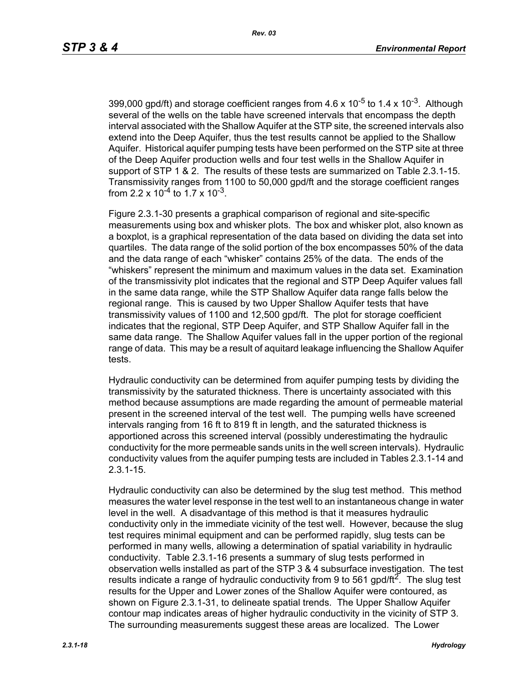399,000 gpd/ft) and storage coefficient ranges from  $4.6 \times 10^{-5}$  to 1.4 x 10<sup>-3</sup>. Although several of the wells on the table have screened intervals that encompass the depth interval associated with the Shallow Aquifer at the STP site, the screened intervals also extend into the Deep Aquifer, thus the test results cannot be applied to the Shallow Aquifer. Historical aquifer pumping tests have been performed on the STP site at three of the Deep Aquifer production wells and four test wells in the Shallow Aquifer in support of STP 1 & 2. The results of these tests are summarized on Table 2.3.1-15. Transmissivity ranges from 1100 to 50,000 gpd/ft and the storage coefficient ranges from 2.2 x  $10^{-4}$  to 1.7 x  $10^{-3}$ .

Figure 2.3.1-30 presents a graphical comparison of regional and site-specific measurements using box and whisker plots. The box and whisker plot, also known as a boxplot, is a graphical representation of the data based on dividing the data set into quartiles. The data range of the solid portion of the box encompasses 50% of the data and the data range of each "whisker" contains 25% of the data. The ends of the "whiskers" represent the minimum and maximum values in the data set. Examination of the transmissivity plot indicates that the regional and STP Deep Aquifer values fall in the same data range, while the STP Shallow Aquifer data range falls below the regional range. This is caused by two Upper Shallow Aquifer tests that have transmissivity values of 1100 and 12,500 gpd/ft. The plot for storage coefficient indicates that the regional, STP Deep Aquifer, and STP Shallow Aquifer fall in the same data range. The Shallow Aquifer values fall in the upper portion of the regional range of data. This may be a result of aquitard leakage influencing the Shallow Aquifer tests.

Hydraulic conductivity can be determined from aquifer pumping tests by dividing the transmissivity by the saturated thickness. There is uncertainty associated with this method because assumptions are made regarding the amount of permeable material present in the screened interval of the test well. The pumping wells have screened intervals ranging from 16 ft to 819 ft in length, and the saturated thickness is apportioned across this screened interval (possibly underestimating the hydraulic conductivity for the more permeable sands units in the well screen intervals). Hydraulic conductivity values from the aquifer pumping tests are included in Tables 2.3.1-14 and 2.3.1-15.

Hydraulic conductivity can also be determined by the slug test method. This method measures the water level response in the test well to an instantaneous change in water level in the well. A disadvantage of this method is that it measures hydraulic conductivity only in the immediate vicinity of the test well. However, because the slug test requires minimal equipment and can be performed rapidly, slug tests can be performed in many wells, allowing a determination of spatial variability in hydraulic conductivity. Table 2.3.1-16 presents a summary of slug tests performed in observation wells installed as part of the STP 3 & 4 subsurface investigation. The test results indicate a range of hydraulic conductivity from 9 to 561 gpd/ft<sup>2</sup>. The slug test results for the Upper and Lower zones of the Shallow Aquifer were contoured, as shown on Figure 2.3.1-31, to delineate spatial trends. The Upper Shallow Aquifer contour map indicates areas of higher hydraulic conductivity in the vicinity of STP 3. The surrounding measurements suggest these areas are localized. The Lower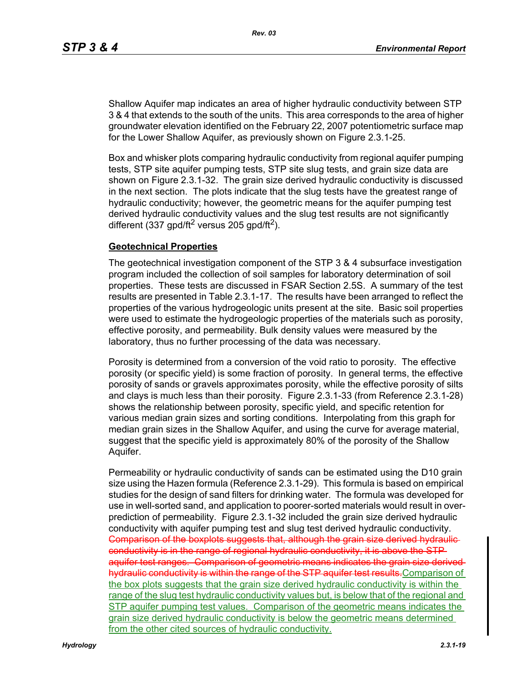Shallow Aquifer map indicates an area of higher hydraulic conductivity between STP 3 & 4 that extends to the south of the units. This area corresponds to the area of higher groundwater elevation identified on the February 22, 2007 potentiometric surface map for the Lower Shallow Aquifer, as previously shown on Figure 2.3.1-25.

Box and whisker plots comparing hydraulic conductivity from regional aquifer pumping tests, STP site aquifer pumping tests, STP site slug tests, and grain size data are shown on Figure 2.3.1-32. The grain size derived hydraulic conductivity is discussed in the next section. The plots indicate that the slug tests have the greatest range of hydraulic conductivity; however, the geometric means for the aquifer pumping test derived hydraulic conductivity values and the slug test results are not significantly different (337 gpd/ft<sup>2</sup> versus 205 gpd/ft<sup>2</sup>).

### **Geotechnical Properties**

The geotechnical investigation component of the STP 3 & 4 subsurface investigation program included the collection of soil samples for laboratory determination of soil properties. These tests are discussed in FSAR Section 2.5S. A summary of the test results are presented in Table 2.3.1-17. The results have been arranged to reflect the properties of the various hydrogeologic units present at the site. Basic soil properties were used to estimate the hydrogeologic properties of the materials such as porosity, effective porosity, and permeability. Bulk density values were measured by the laboratory, thus no further processing of the data was necessary.

Porosity is determined from a conversion of the void ratio to porosity. The effective porosity (or specific yield) is some fraction of porosity. In general terms, the effective porosity of sands or gravels approximates porosity, while the effective porosity of silts and clays is much less than their porosity. Figure 2.3.1-33 (from Reference 2.3.1-28) shows the relationship between porosity, specific yield, and specific retention for various median grain sizes and sorting conditions. Interpolating from this graph for median grain sizes in the Shallow Aquifer, and using the curve for average material, suggest that the specific yield is approximately 80% of the porosity of the Shallow Aquifer.

Permeability or hydraulic conductivity of sands can be estimated using the D10 grain size using the Hazen formula (Reference 2.3.1-29). This formula is based on empirical studies for the design of sand filters for drinking water. The formula was developed for use in well-sorted sand, and application to poorer-sorted materials would result in overprediction of permeability. Figure 2.3.1-32 included the grain size derived hydraulic conductivity with aquifer pumping test and slug test derived hydraulic conductivity. Comparison of the boxplots suggests that, although the grain size derived hydraulicconductivity is in the range of regional hydraulic conductivity, it is above the STP aquifer test ranges. Comparison of geometric means indicates the grain size derived hydraulic conductivity is within the range of the STP aquifer test results. Comparison of the box plots suggests that the grain size derived hydraulic conductivity is within the range of the slug test hydraulic conductivity values but, is below that of the regional and STP aquifer pumping test values. Comparison of the geometric means indicates the grain size derived hydraulic conductivity is below the geometric means determined from the other cited sources of hydraulic conductivity.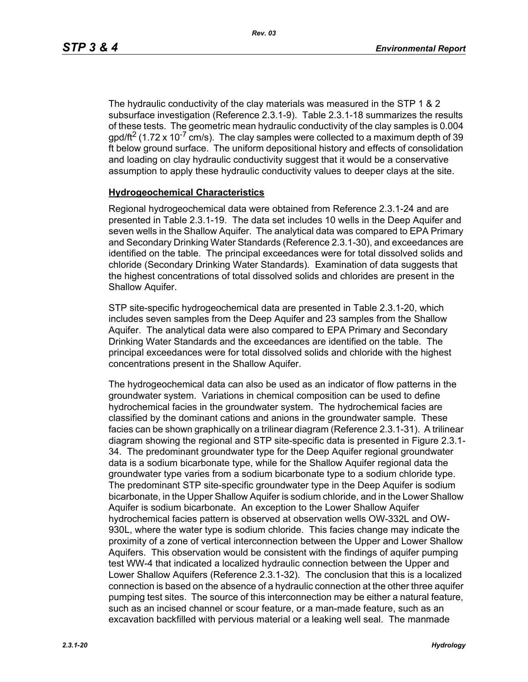The hydraulic conductivity of the clay materials was measured in the STP 1 & 2 subsurface investigation (Reference 2.3.1-9). Table 2.3.1-18 summarizes the results of these tests. The geometric mean hydraulic conductivity of the clay samples is 0.004 gpd/ft<sup>2</sup> (1.72 x 10<sup>-7</sup> cm/s). The clay samples were collected to a maximum depth of 39 ft below ground surface. The uniform depositional history and effects of consolidation and loading on clay hydraulic conductivity suggest that it would be a conservative assumption to apply these hydraulic conductivity values to deeper clays at the site.

### **Hydrogeochemical Characteristics**

Regional hydrogeochemical data were obtained from Reference 2.3.1-24 and are presented in Table 2.3.1-19. The data set includes 10 wells in the Deep Aquifer and seven wells in the Shallow Aquifer. The analytical data was compared to EPA Primary and Secondary Drinking Water Standards (Reference 2.3.1-30), and exceedances are identified on the table. The principal exceedances were for total dissolved solids and chloride (Secondary Drinking Water Standards). Examination of data suggests that the highest concentrations of total dissolved solids and chlorides are present in the Shallow Aquifer.

STP site-specific hydrogeochemical data are presented in Table 2.3.1-20, which includes seven samples from the Deep Aquifer and 23 samples from the Shallow Aquifer. The analytical data were also compared to EPA Primary and Secondary Drinking Water Standards and the exceedances are identified on the table. The principal exceedances were for total dissolved solids and chloride with the highest concentrations present in the Shallow Aquifer.

The hydrogeochemical data can also be used as an indicator of flow patterns in the groundwater system. Variations in chemical composition can be used to define hydrochemical facies in the groundwater system. The hydrochemical facies are classified by the dominant cations and anions in the groundwater sample. These facies can be shown graphically on a trilinear diagram (Reference 2.3.1-31). A trilinear diagram showing the regional and STP site-specific data is presented in Figure 2.3.1- 34. The predominant groundwater type for the Deep Aquifer regional groundwater data is a sodium bicarbonate type, while for the Shallow Aquifer regional data the groundwater type varies from a sodium bicarbonate type to a sodium chloride type. The predominant STP site-specific groundwater type in the Deep Aquifer is sodium bicarbonate, in the Upper Shallow Aquifer is sodium chloride, and in the Lower Shallow Aquifer is sodium bicarbonate. An exception to the Lower Shallow Aquifer hydrochemical facies pattern is observed at observation wells OW-332L and OW-930L, where the water type is sodium chloride. This facies change may indicate the proximity of a zone of vertical interconnection between the Upper and Lower Shallow Aquifers. This observation would be consistent with the findings of aquifer pumping test WW-4 that indicated a localized hydraulic connection between the Upper and Lower Shallow Aquifers (Reference 2.3.1-32). The conclusion that this is a localized connection is based on the absence of a hydraulic connection at the other three aquifer pumping test sites. The source of this interconnection may be either a natural feature, such as an incised channel or scour feature, or a man-made feature, such as an excavation backfilled with pervious material or a leaking well seal. The manmade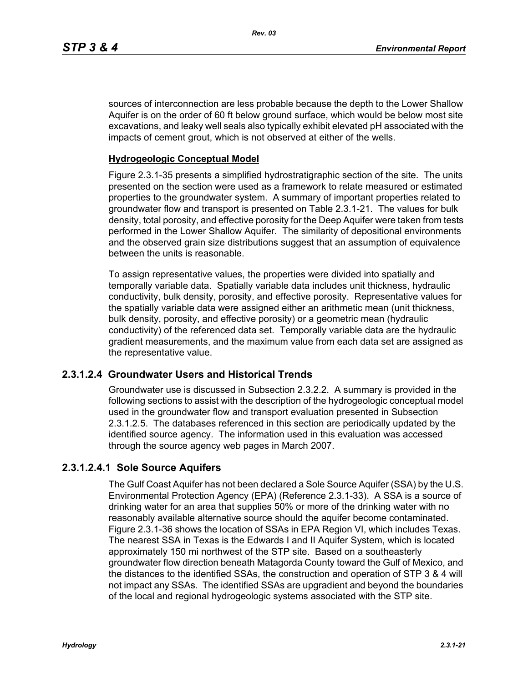sources of interconnection are less probable because the depth to the Lower Shallow Aquifer is on the order of 60 ft below ground surface, which would be below most site excavations, and leaky well seals also typically exhibit elevated pH associated with the impacts of cement grout, which is not observed at either of the wells.

### **Hydrogeologic Conceptual Model**

Figure 2.3.1-35 presents a simplified hydrostratigraphic section of the site. The units presented on the section were used as a framework to relate measured or estimated properties to the groundwater system. A summary of important properties related to groundwater flow and transport is presented on Table 2.3.1-21. The values for bulk density, total porosity, and effective porosity for the Deep Aquifer were taken from tests performed in the Lower Shallow Aquifer. The similarity of depositional environments and the observed grain size distributions suggest that an assumption of equivalence between the units is reasonable.

To assign representative values, the properties were divided into spatially and temporally variable data. Spatially variable data includes unit thickness, hydraulic conductivity, bulk density, porosity, and effective porosity. Representative values for the spatially variable data were assigned either an arithmetic mean (unit thickness, bulk density, porosity, and effective porosity) or a geometric mean (hydraulic conductivity) of the referenced data set. Temporally variable data are the hydraulic gradient measurements, and the maximum value from each data set are assigned as the representative value.

### **2.3.1.2.4 Groundwater Users and Historical Trends**

Groundwater use is discussed in Subsection 2.3.2.2. A summary is provided in the following sections to assist with the description of the hydrogeologic conceptual model used in the groundwater flow and transport evaluation presented in Subsection 2.3.1.2.5. The databases referenced in this section are periodically updated by the identified source agency. The information used in this evaluation was accessed through the source agency web pages in March 2007.

### **2.3.1.2.4.1 Sole Source Aquifers**

The Gulf Coast Aquifer has not been declared a Sole Source Aquifer (SSA) by the U.S. Environmental Protection Agency (EPA) (Reference 2.3.1-33). A SSA is a source of drinking water for an area that supplies 50% or more of the drinking water with no reasonably available alternative source should the aquifer become contaminated. Figure 2.3.1-36 shows the location of SSAs in EPA Region VI, which includes Texas. The nearest SSA in Texas is the Edwards I and II Aquifer System, which is located approximately 150 mi northwest of the STP site. Based on a southeasterly groundwater flow direction beneath Matagorda County toward the Gulf of Mexico, and the distances to the identified SSAs, the construction and operation of STP 3 & 4 will not impact any SSAs. The identified SSAs are upgradient and beyond the boundaries of the local and regional hydrogeologic systems associated with the STP site.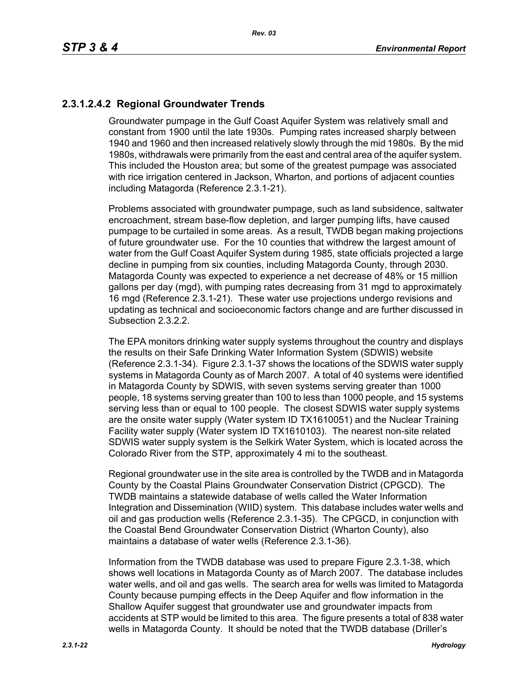# **2.3.1.2.4.2 Regional Groundwater Trends**

Groundwater pumpage in the Gulf Coast Aquifer System was relatively small and constant from 1900 until the late 1930s. Pumping rates increased sharply between 1940 and 1960 and then increased relatively slowly through the mid 1980s. By the mid 1980s, withdrawals were primarily from the east and central area of the aquifer system. This included the Houston area; but some of the greatest pumpage was associated with rice irrigation centered in Jackson, Wharton, and portions of adjacent counties including Matagorda (Reference 2.3.1-21).

Problems associated with groundwater pumpage, such as land subsidence, saltwater encroachment, stream base-flow depletion, and larger pumping lifts, have caused pumpage to be curtailed in some areas. As a result, TWDB began making projections of future groundwater use. For the 10 counties that withdrew the largest amount of water from the Gulf Coast Aquifer System during 1985, state officials projected a large decline in pumping from six counties, including Matagorda County, through 2030. Matagorda County was expected to experience a net decrease of 48% or 15 million gallons per day (mgd), with pumping rates decreasing from 31 mgd to approximately 16 mgd (Reference 2.3.1-21). These water use projections undergo revisions and updating as technical and socioeconomic factors change and are further discussed in Subsection 2.3.2.2.

The EPA monitors drinking water supply systems throughout the country and displays the results on their Safe Drinking Water Information System (SDWIS) website (Reference 2.3.1-34). Figure 2.3.1-37 shows the locations of the SDWIS water supply systems in Matagorda County as of March 2007. A total of 40 systems were identified in Matagorda County by SDWIS, with seven systems serving greater than 1000 people, 18 systems serving greater than 100 to less than 1000 people, and 15 systems serving less than or equal to 100 people. The closest SDWIS water supply systems are the onsite water supply (Water system ID TX1610051) and the Nuclear Training Facility water supply (Water system ID TX1610103). The nearest non-site related SDWIS water supply system is the Selkirk Water System, which is located across the Colorado River from the STP, approximately 4 mi to the southeast.

Regional groundwater use in the site area is controlled by the TWDB and in Matagorda County by the Coastal Plains Groundwater Conservation District (CPGCD). The TWDB maintains a statewide database of wells called the Water Information Integration and Dissemination (WIID) system. This database includes water wells and oil and gas production wells (Reference 2.3.1-35). The CPGCD, in conjunction with the Coastal Bend Groundwater Conservation District (Wharton County), also maintains a database of water wells (Reference 2.3.1-36).

Information from the TWDB database was used to prepare Figure 2.3.1-38, which shows well locations in Matagorda County as of March 2007. The database includes water wells, and oil and gas wells. The search area for wells was limited to Matagorda County because pumping effects in the Deep Aquifer and flow information in the Shallow Aquifer suggest that groundwater use and groundwater impacts from accidents at STP would be limited to this area. The figure presents a total of 838 water wells in Matagorda County. It should be noted that the TWDB database (Driller's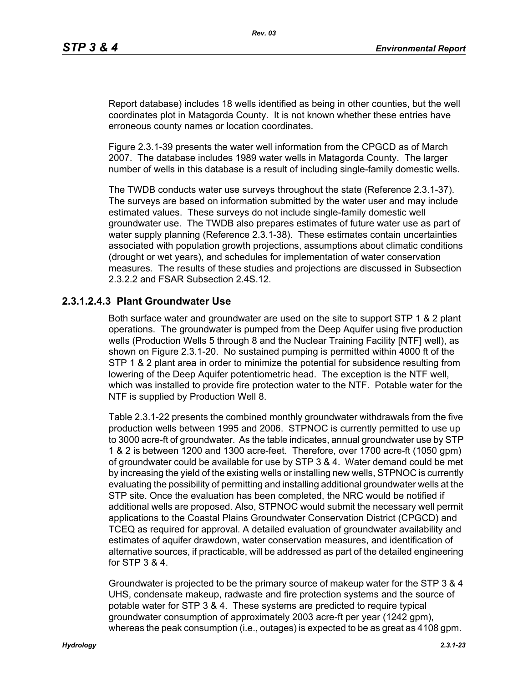Report database) includes 18 wells identified as being in other counties, but the well coordinates plot in Matagorda County. It is not known whether these entries have erroneous county names or location coordinates.

Figure 2.3.1-39 presents the water well information from the CPGCD as of March 2007. The database includes 1989 water wells in Matagorda County. The larger number of wells in this database is a result of including single-family domestic wells.

The TWDB conducts water use surveys throughout the state (Reference 2.3.1-37). The surveys are based on information submitted by the water user and may include estimated values. These surveys do not include single-family domestic well groundwater use. The TWDB also prepares estimates of future water use as part of water supply planning (Reference 2.3.1-38). These estimates contain uncertainties associated with population growth projections, assumptions about climatic conditions (drought or wet years), and schedules for implementation of water conservation measures. The results of these studies and projections are discussed in Subsection 2.3.2.2 and FSAR Subsection 2.4S.12.

# **2.3.1.2.4.3 Plant Groundwater Use**

Both surface water and groundwater are used on the site to support STP 1 & 2 plant operations. The groundwater is pumped from the Deep Aquifer using five production wells (Production Wells 5 through 8 and the Nuclear Training Facility [NTF] well), as shown on Figure 2.3.1-20. No sustained pumping is permitted within 4000 ft of the STP 1 & 2 plant area in order to minimize the potential for subsidence resulting from lowering of the Deep Aquifer potentiometric head. The exception is the NTF well, which was installed to provide fire protection water to the NTF. Potable water for the NTF is supplied by Production Well 8.

Table 2.3.1-22 presents the combined monthly groundwater withdrawals from the five production wells between 1995 and 2006. STPNOC is currently permitted to use up to 3000 acre-ft of groundwater. As the table indicates, annual groundwater use by STP 1 & 2 is between 1200 and 1300 acre-feet. Therefore, over 1700 acre-ft (1050 gpm) of groundwater could be available for use by STP 3 & 4. Water demand could be met by increasing the yield of the existing wells or installing new wells, STPNOC is currently evaluating the possibility of permitting and installing additional groundwater wells at the STP site. Once the evaluation has been completed, the NRC would be notified if additional wells are proposed. Also, STPNOC would submit the necessary well permit applications to the Coastal Plains Groundwater Conservation District (CPGCD) and TCEQ as required for approval. A detailed evaluation of groundwater availability and estimates of aquifer drawdown, water conservation measures, and identification of alternative sources, if practicable, will be addressed as part of the detailed engineering for STP 3 & 4.

Groundwater is projected to be the primary source of makeup water for the STP 3 & 4 UHS, condensate makeup, radwaste and fire protection systems and the source of potable water for STP 3 & 4. These systems are predicted to require typical groundwater consumption of approximately 2003 acre-ft per year (1242 gpm), whereas the peak consumption (i.e., outages) is expected to be as great as 4108 gpm.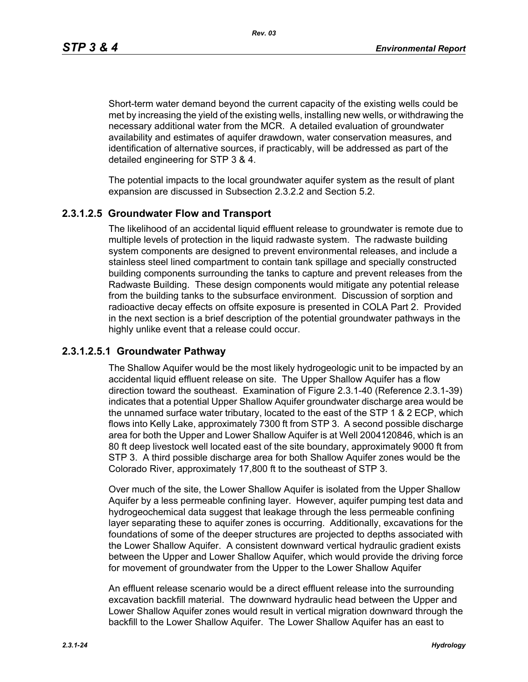*Rev. 03*

Short-term water demand beyond the current capacity of the existing wells could be met by increasing the yield of the existing wells, installing new wells, or withdrawing the necessary additional water from the MCR. A detailed evaluation of groundwater availability and estimates of aquifer drawdown, water conservation measures, and identification of alternative sources, if practicably, will be addressed as part of the detailed engineering for STP 3 & 4.

The potential impacts to the local groundwater aquifer system as the result of plant expansion are discussed in Subsection 2.3.2.2 and Section 5.2.

## **2.3.1.2.5 Groundwater Flow and Transport**

The likelihood of an accidental liquid effluent release to groundwater is remote due to multiple levels of protection in the liquid radwaste system. The radwaste building system components are designed to prevent environmental releases, and include a stainless steel lined compartment to contain tank spillage and specially constructed building components surrounding the tanks to capture and prevent releases from the Radwaste Building. These design components would mitigate any potential release from the building tanks to the subsurface environment. Discussion of sorption and radioactive decay effects on offsite exposure is presented in COLA Part 2. Provided in the next section is a brief description of the potential groundwater pathways in the highly unlike event that a release could occur.

## **2.3.1.2.5.1 Groundwater Pathway**

The Shallow Aquifer would be the most likely hydrogeologic unit to be impacted by an accidental liquid effluent release on site. The Upper Shallow Aquifer has a flow direction toward the southeast. Examination of Figure 2.3.1-40 (Reference 2.3.1-39) indicates that a potential Upper Shallow Aquifer groundwater discharge area would be the unnamed surface water tributary, located to the east of the STP 1 & 2 ECP, which flows into Kelly Lake, approximately 7300 ft from STP 3. A second possible discharge area for both the Upper and Lower Shallow Aquifer is at Well 2004120846, which is an 80 ft deep livestock well located east of the site boundary, approximately 9000 ft from STP 3. A third possible discharge area for both Shallow Aquifer zones would be the Colorado River, approximately 17,800 ft to the southeast of STP 3.

Over much of the site, the Lower Shallow Aquifer is isolated from the Upper Shallow Aquifer by a less permeable confining layer. However, aquifer pumping test data and hydrogeochemical data suggest that leakage through the less permeable confining layer separating these to aquifer zones is occurring. Additionally, excavations for the foundations of some of the deeper structures are projected to depths associated with the Lower Shallow Aquifer. A consistent downward vertical hydraulic gradient exists between the Upper and Lower Shallow Aquifer, which would provide the driving force for movement of groundwater from the Upper to the Lower Shallow Aquifer

An effluent release scenario would be a direct effluent release into the surrounding excavation backfill material. The downward hydraulic head between the Upper and Lower Shallow Aquifer zones would result in vertical migration downward through the backfill to the Lower Shallow Aquifer. The Lower Shallow Aquifer has an east to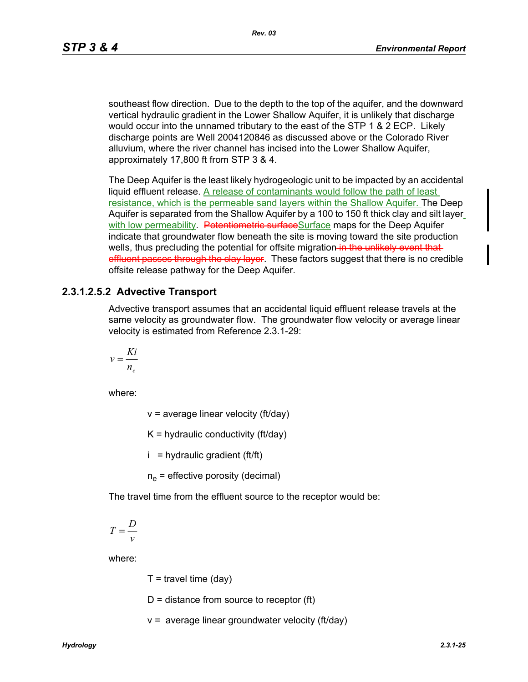southeast flow direction. Due to the depth to the top of the aquifer, and the downward vertical hydraulic gradient in the Lower Shallow Aquifer, it is unlikely that discharge would occur into the unnamed tributary to the east of the STP 1 & 2 ECP. Likely discharge points are Well 2004120846 as discussed above or the Colorado River alluvium, where the river channel has incised into the Lower Shallow Aquifer, approximately 17,800 ft from STP 3 & 4.

The Deep Aquifer is the least likely hydrogeologic unit to be impacted by an accidental liquid effluent release. A release of contaminants would follow the path of least resistance, which is the permeable sand layers within the Shallow Aquifer. The Deep Aquifer is separated from the Shallow Aquifer by a 100 to 150 ft thick clay and silt layer with low permeability. Petentiometric surfaceSurface maps for the Deep Aquifer indicate that groundwater flow beneath the site is moving toward the site production wells, thus precluding the potential for offsite migration in the unlikely event that effluent passes through the clay layer. These factors suggest that there is no credible offsite release pathway for the Deep Aquifer.

### **2.3.1.2.5.2 Advective Transport**

Advective transport assumes that an accidental liquid effluent release travels at the same velocity as groundwater flow. The groundwater flow velocity or average linear velocity is estimated from Reference 2.3.1-29:

$$
v = \frac{Ki}{n_e}
$$

where:

 $v =$  average linear velocity (ft/day)

 $K =$  hydraulic conductivity (ft/day)

 $i =$  hydraulic gradient (ft/ft)

 $n_e$  = effective porosity (decimal)

The travel time from the effluent source to the receptor would be:

$$
T = \frac{D}{v}
$$

where:

 $T =$  travel time (dav)

 $D =$  distance from source to receptor (ft)

 $v =$  average linear groundwater velocity (ft/day)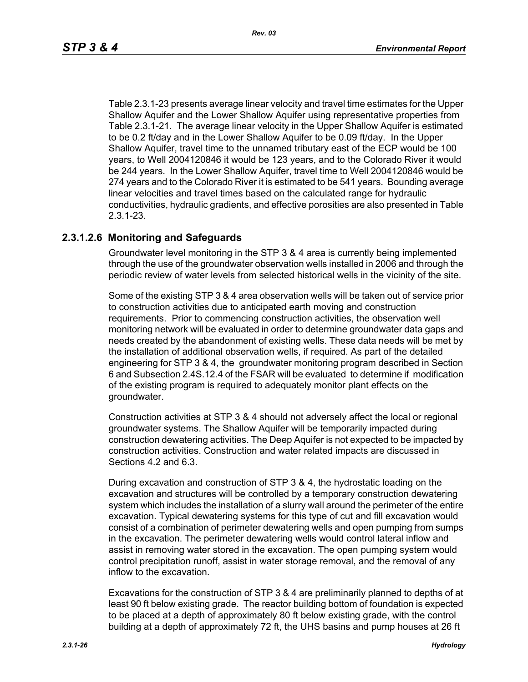Table 2.3.1-23 presents average linear velocity and travel time estimates for the Upper Shallow Aquifer and the Lower Shallow Aquifer using representative properties from Table 2.3.1-21. The average linear velocity in the Upper Shallow Aquifer is estimated to be 0.2 ft/day and in the Lower Shallow Aquifer to be 0.09 ft/day. In the Upper Shallow Aquifer, travel time to the unnamed tributary east of the ECP would be 100 years, to Well 2004120846 it would be 123 years, and to the Colorado River it would be 244 years. In the Lower Shallow Aquifer, travel time to Well 2004120846 would be 274 years and to the Colorado River it is estimated to be 541 years. Bounding average linear velocities and travel times based on the calculated range for hydraulic conductivities, hydraulic gradients, and effective porosities are also presented in Table 2.3.1-23.

### **2.3.1.2.6 Monitoring and Safeguards**

Groundwater level monitoring in the STP 3 & 4 area is currently being implemented through the use of the groundwater observation wells installed in 2006 and through the periodic review of water levels from selected historical wells in the vicinity of the site.

Some of the existing STP 3 & 4 area observation wells will be taken out of service prior to construction activities due to anticipated earth moving and construction requirements. Prior to commencing construction activities, the observation well monitoring network will be evaluated in order to determine groundwater data gaps and needs created by the abandonment of existing wells. These data needs will be met by the installation of additional observation wells, if required. As part of the detailed engineering for STP 3 & 4, the groundwater monitoring program described in Section 6 and Subsection 2.4S.12.4 of the FSAR will be evaluated to determine if modification of the existing program is required to adequately monitor plant effects on the groundwater.

Construction activities at STP 3 & 4 should not adversely affect the local or regional groundwater systems. The Shallow Aquifer will be temporarily impacted during construction dewatering activities. The Deep Aquifer is not expected to be impacted by construction activities. Construction and water related impacts are discussed in Sections 4.2 and 6.3.

During excavation and construction of STP 3 & 4, the hydrostatic loading on the excavation and structures will be controlled by a temporary construction dewatering system which includes the installation of a slurry wall around the perimeter of the entire excavation. Typical dewatering systems for this type of cut and fill excavation would consist of a combination of perimeter dewatering wells and open pumping from sumps in the excavation. The perimeter dewatering wells would control lateral inflow and assist in removing water stored in the excavation. The open pumping system would control precipitation runoff, assist in water storage removal, and the removal of any inflow to the excavation.

Excavations for the construction of STP 3 & 4 are preliminarily planned to depths of at least 90 ft below existing grade. The reactor building bottom of foundation is expected to be placed at a depth of approximately 80 ft below existing grade, with the control building at a depth of approximately 72 ft, the UHS basins and pump houses at 26 ft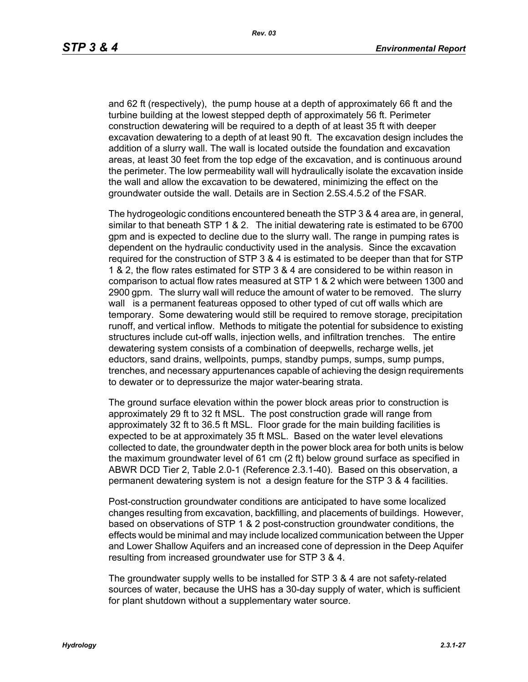and 62 ft (respectively), the pump house at a depth of approximately 66 ft and the turbine building at the lowest stepped depth of approximately 56 ft. Perimeter construction dewatering will be required to a depth of at least 35 ft with deeper excavation dewatering to a depth of at least 90 ft. The excavation design includes the addition of a slurry wall. The wall is located outside the foundation and excavation areas, at least 30 feet from the top edge of the excavation, and is continuous around the perimeter. The low permeability wall will hydraulically isolate the excavation inside the wall and allow the excavation to be dewatered, minimizing the effect on the groundwater outside the wall. Details are in Section 2.5S.4.5.2 of the FSAR.

The hydrogeologic conditions encountered beneath the STP 3 & 4 area are, in general, similar to that beneath STP 1 & 2. The initial dewatering rate is estimated to be 6700 gpm and is expected to decline due to the slurry wall. The range in pumping rates is dependent on the hydraulic conductivity used in the analysis. Since the excavation required for the construction of STP 3 & 4 is estimated to be deeper than that for STP 1 & 2, the flow rates estimated for STP 3 & 4 are considered to be within reason in comparison to actual flow rates measured at STP 1 & 2 which were between 1300 and 2900 gpm. The slurry wall will reduce the amount of water to be removed. The slurry wall is a permanent featureas opposed to other typed of cut off walls which are temporary. Some dewatering would still be required to remove storage, precipitation runoff, and vertical inflow. Methods to mitigate the potential for subsidence to existing structures include cut-off walls, injection wells, and infiltration trenches. The entire dewatering system consists of a combination of deepwells, recharge wells, jet eductors, sand drains, wellpoints, pumps, standby pumps, sumps, sump pumps, trenches, and necessary appurtenances capable of achieving the design requirements to dewater or to depressurize the major water-bearing strata.

The ground surface elevation within the power block areas prior to construction is approximately 29 ft to 32 ft MSL. The post construction grade will range from approximately 32 ft to 36.5 ft MSL. Floor grade for the main building facilities is expected to be at approximately 35 ft MSL. Based on the water level elevations collected to date, the groundwater depth in the power block area for both units is below the maximum groundwater level of 61 cm (2 ft) below ground surface as specified in ABWR DCD Tier 2, Table 2.0-1 (Reference 2.3.1-40). Based on this observation, a permanent dewatering system is not a design feature for the STP 3 & 4 facilities.

Post-construction groundwater conditions are anticipated to have some localized changes resulting from excavation, backfilling, and placements of buildings. However, based on observations of STP 1 & 2 post-construction groundwater conditions, the effects would be minimal and may include localized communication between the Upper and Lower Shallow Aquifers and an increased cone of depression in the Deep Aquifer resulting from increased groundwater use for STP 3 & 4.

The groundwater supply wells to be installed for STP 3 & 4 are not safety-related sources of water, because the UHS has a 30-day supply of water, which is sufficient for plant shutdown without a supplementary water source.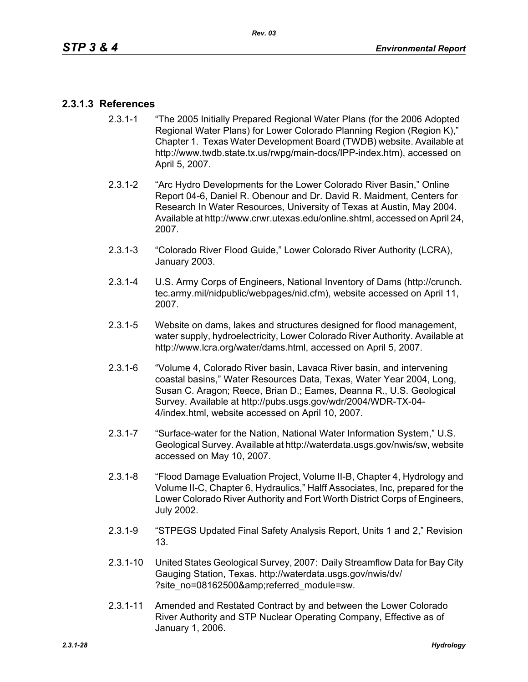# **2.3.1.3 References**

- 2.3.1-1 "The 2005 Initially Prepared Regional Water Plans (for the 2006 Adopted Regional Water Plans) for Lower Colorado Planning Region (Region K)," Chapter 1. Texas Water Development Board (TWDB) website. Available at http://www.twdb.state.tx.us/rwpg/main-docs/IPP-index.htm), accessed on April 5, 2007.
- 2.3.1-2 "Arc Hydro Developments for the Lower Colorado River Basin," Online Report 04-6, Daniel R. Obenour and Dr. David R. Maidment, Centers for Research In Water Resources, University of Texas at Austin, May 2004. Available at http://www.crwr.utexas.edu/online.shtml, accessed on April 24, 2007.
- 2.3.1-3 "Colorado River Flood Guide," Lower Colorado River Authority (LCRA), January 2003.
- 2.3.1-4 U.S. Army Corps of Engineers, National Inventory of Dams (http://crunch. tec.army.mil/nidpublic/webpages/nid.cfm), website accessed on April 11, 2007.
- 2.3.1-5 Website on dams, lakes and structures designed for flood management, water supply, hydroelectricity, Lower Colorado River Authority. Available at http://www.lcra.org/water/dams.html, accessed on April 5, 2007.
- 2.3.1-6 "Volume 4, Colorado River basin, Lavaca River basin, and intervening coastal basins," Water Resources Data, Texas, Water Year 2004, Long, Susan C. Aragon; Reece, Brian D.; Eames, Deanna R., U.S. Geological Survey. Available at http://pubs.usgs.gov/wdr/2004/WDR-TX-04- 4/index.html, website accessed on April 10, 2007.
- 2.3.1-7 "Surface-water for the Nation, National Water Information System," U.S. Geological Survey. Available at http://waterdata.usgs.gov/nwis/sw, website accessed on May 10, 2007.
- 2.3.1-8 "Flood Damage Evaluation Project, Volume II-B, Chapter 4, Hydrology and Volume II-C, Chapter 6, Hydraulics," Halff Associates, Inc, prepared for the Lower Colorado River Authority and Fort Worth District Corps of Engineers, July 2002.
- 2.3.1-9 "STPEGS Updated Final Safety Analysis Report, Units 1 and 2," Revision 13.
- 2.3.1-10 United States Geological Survey, 2007: Daily Streamflow Data for Bay City Gauging Station, Texas. http://waterdata.usgs.gov/nwis/dv/ ?site\_no=08162500&referred\_module=sw.
- 2.3.1-11 Amended and Restated Contract by and between the Lower Colorado River Authority and STP Nuclear Operating Company, Effective as of January 1, 2006.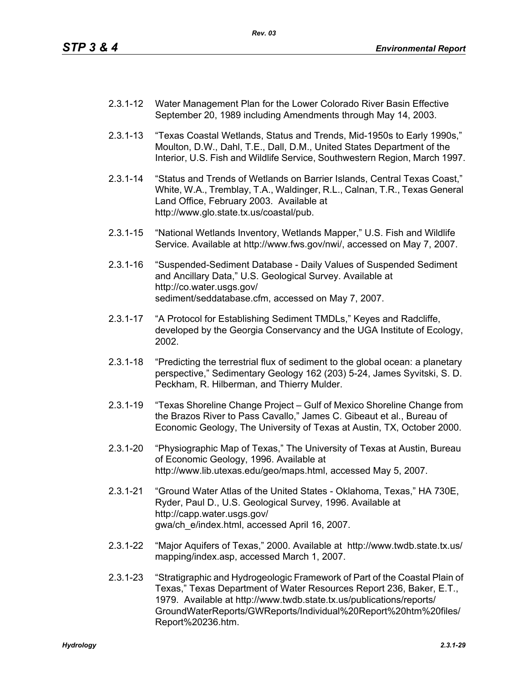- 2.3.1-12 Water Management Plan for the Lower Colorado River Basin Effective September 20, 1989 including Amendments through May 14, 2003.
- 2.3.1-13 "Texas Coastal Wetlands, Status and Trends, Mid-1950s to Early 1990s," Moulton, D.W., Dahl, T.E., Dall, D.M., United States Department of the Interior, U.S. Fish and Wildlife Service, Southwestern Region, March 1997.
- 2.3.1-14 "Status and Trends of Wetlands on Barrier Islands, Central Texas Coast," White, W.A., Tremblay, T.A., Waldinger, R.L., Calnan, T.R., Texas General Land Office, February 2003. Available at http://www.glo.state.tx.us/coastal/pub.
- 2.3.1-15 "National Wetlands Inventory, Wetlands Mapper," U.S. Fish and Wildlife Service. Available at http://www.fws.gov/nwi/, accessed on May 7, 2007.
- 2.3.1-16 "Suspended-Sediment Database Daily Values of Suspended Sediment and Ancillary Data," U.S. Geological Survey. Available at http://co.water.usgs.gov/ sediment/seddatabase.cfm, accessed on May 7, 2007.
- 2.3.1-17 "A Protocol for Establishing Sediment TMDLs," Keyes and Radcliffe, developed by the Georgia Conservancy and the UGA Institute of Ecology, 2002.
- 2.3.1-18 "Predicting the terrestrial flux of sediment to the global ocean: a planetary perspective," Sedimentary Geology 162 (203) 5-24, James Syvitski, S. D. Peckham, R. Hilberman, and Thierry Mulder.
- 2.3.1-19 "Texas Shoreline Change Project Gulf of Mexico Shoreline Change from the Brazos River to Pass Cavallo," James C. Gibeaut et al., Bureau of Economic Geology, The University of Texas at Austin, TX, October 2000.
- 2.3.1-20 "Physiographic Map of Texas," The University of Texas at Austin, Bureau of Economic Geology, 1996. Available at http://www.lib.utexas.edu/geo/maps.html, accessed May 5, 2007.
- 2.3.1-21 "Ground Water Atlas of the United States Oklahoma, Texas," HA 730E, Ryder, Paul D., U.S. Geological Survey, 1996. Available at http://capp.water.usgs.gov/ gwa/ch\_e/index.html, accessed April 16, 2007.
- 2.3.1-22 "Major Aquifers of Texas," 2000. Available at http://www.twdb.state.tx.us/ mapping/index.asp, accessed March 1, 2007.
- 2.3.1-23 "Stratigraphic and Hydrogeologic Framework of Part of the Coastal Plain of Texas," Texas Department of Water Resources Report 236, Baker, E.T., 1979. Available at http://www.twdb.state.tx.us/publications/reports/ GroundWaterReports/GWReports/Individual%20Report%20htm%20files/ Report%20236.htm.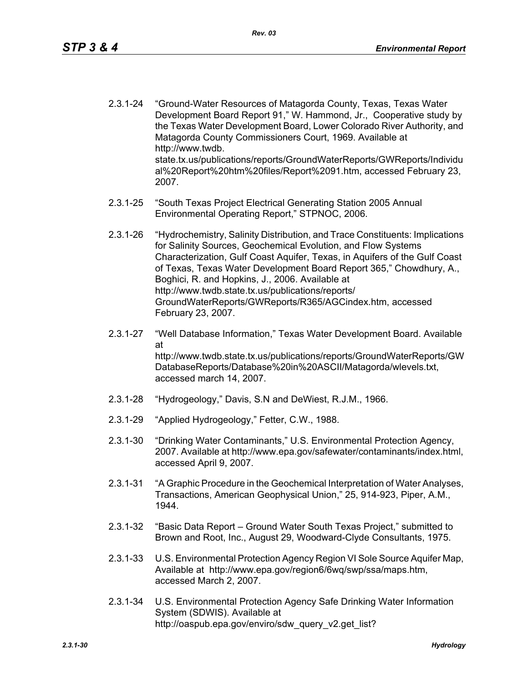- 2.3.1-24 "Ground-Water Resources of Matagorda County, Texas, Texas Water Development Board Report 91," W. Hammond, Jr., Cooperative study by the Texas Water Development Board, Lower Colorado River Authority, and Matagorda County Commissioners Court, 1969. Available at http://www.twdb. state.tx.us/publications/reports/GroundWaterReports/GWReports/Individu al%20Report%20htm%20files/Report%2091.htm, accessed February 23, 2007.
- 2.3.1-25 "South Texas Project Electrical Generating Station 2005 Annual Environmental Operating Report," STPNOC, 2006.
- 2.3.1-26 "Hydrochemistry, Salinity Distribution, and Trace Constituents: Implications for Salinity Sources, Geochemical Evolution, and Flow Systems Characterization, Gulf Coast Aquifer, Texas, in Aquifers of the Gulf Coast of Texas, Texas Water Development Board Report 365," Chowdhury, A., Boghici, R. and Hopkins, J., 2006. Available at http://www.twdb.state.tx.us/publications/reports/ GroundWaterReports/GWReports/R365/AGCindex.htm, accessed February 23, 2007.
- 2.3.1-27 "Well Database Information," Texas Water Development Board. Available at http://www.twdb.state.tx.us/publications/reports/GroundWaterReports/GW DatabaseReports/Database%20in%20ASCII/Matagorda/wlevels.txt, accessed march 14, 2007.
- 2.3.1-28 "Hydrogeology," Davis, S.N and DeWiest, R.J.M., 1966.
- 2.3.1-29 "Applied Hydrogeology," Fetter, C.W., 1988.
- 2.3.1-30 "Drinking Water Contaminants," U.S. Environmental Protection Agency, 2007. Available at http://www.epa.gov/safewater/contaminants/index.html, accessed April 9, 2007.
- 2.3.1-31 "A Graphic Procedure in the Geochemical Interpretation of Water Analyses, Transactions, American Geophysical Union," 25, 914-923, Piper, A.M., 1944.
- 2.3.1-32 "Basic Data Report Ground Water South Texas Project," submitted to Brown and Root, Inc., August 29, Woodward-Clyde Consultants, 1975.
- 2.3.1-33 U.S. Environmental Protection Agency Region VI Sole Source Aquifer Map, Available at http://www.epa.gov/region6/6wq/swp/ssa/maps.htm, accessed March 2, 2007.
- 2.3.1-34 U.S. Environmental Protection Agency Safe Drinking Water Information System (SDWIS). Available at http://oaspub.epa.gov/enviro/sdw\_query\_v2.get\_list?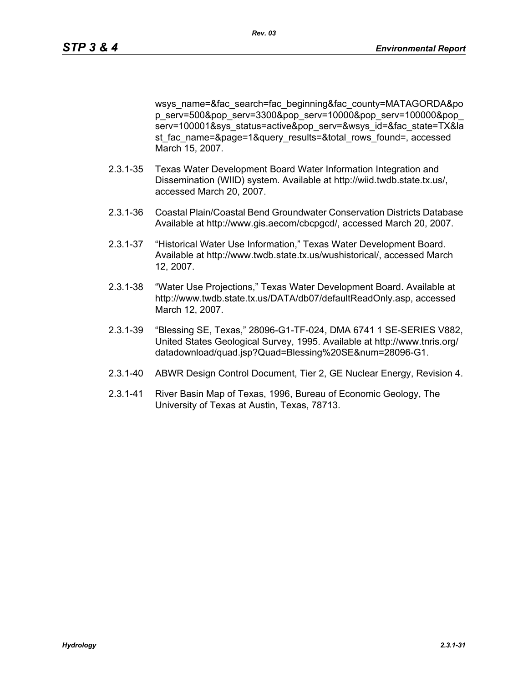wsys\_name=&fac\_search=fac\_beginning&fac\_county=MATAGORDA&po p\_serv=500&pop\_serv=3300&pop\_serv=10000&pop\_serv=100000&pop\_ serv=100001&sys\_status=active&pop\_serv=&wsys\_id=&fac\_state=TX&la st fac\_name=&page=1&query\_results=&total\_rows\_found=, accessed March 15, 2007.

- 2.3.1-35 Texas Water Development Board Water Information Integration and Dissemination (WIID) system. Available at http://wiid.twdb.state.tx.us/, accessed March 20, 2007.
- 2.3.1-36 Coastal Plain/Coastal Bend Groundwater Conservation Districts Database Available at http://www.gis.aecom/cbcpgcd/, accessed March 20, 2007.
- 2.3.1-37 "Historical Water Use Information," Texas Water Development Board. Available at http://www.twdb.state.tx.us/wushistorical/, accessed March 12, 2007.
- 2.3.1-38 "Water Use Projections," Texas Water Development Board. Available at http://www.twdb.state.tx.us/DATA/db07/defaultReadOnly.asp, accessed March 12, 2007.
- 2.3.1-39 "Blessing SE, Texas," 28096-G1-TF-024, DMA 6741 1 SE-SERIES V882, United States Geological Survey, 1995. Available at http://www.tnris.org/ datadownload/quad.jsp?Quad=Blessing%20SE&num=28096-G1.
- 2.3.1-40 ABWR Design Control Document, Tier 2, GE Nuclear Energy, Revision 4.
- 2.3.1-41 River Basin Map of Texas, 1996, Bureau of Economic Geology, The University of Texas at Austin, Texas, 78713.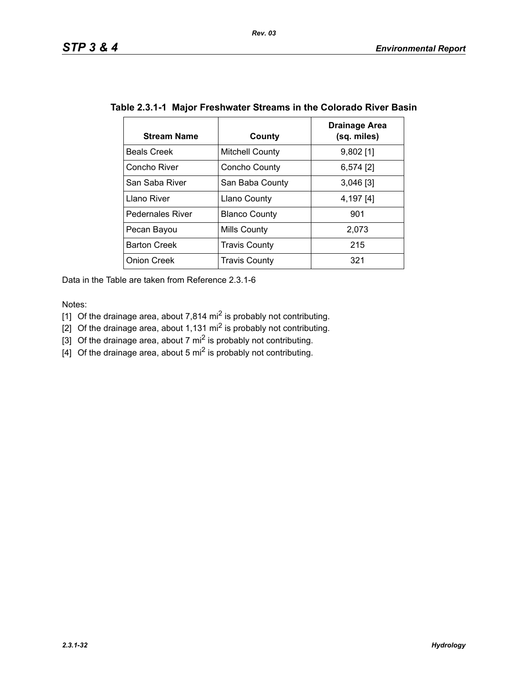| <b>Stream Name</b>      | County                 | Drainage Area<br>(sq. miles) |
|-------------------------|------------------------|------------------------------|
| <b>Beals Creek</b>      | <b>Mitchell County</b> | $9,802$ [1]                  |
| Concho River            | Concho County          | $6,574$ [2]                  |
| San Saba River          | San Baba County        | $3,046$ [3]                  |
| Llano River             | <b>Llano County</b>    | 4,197 [4]                    |
| <b>Pedernales River</b> | <b>Blanco County</b>   | 901                          |
| Pecan Bayou             | Mills County           | 2,073                        |
| <b>Barton Creek</b>     | <b>Travis County</b>   | 215                          |
| <b>Onion Creek</b>      | <b>Travis County</b>   | 321                          |

## **Table 2.3.1-1 Major Freshwater Streams in the Colorado River Basin**

Data in the Table are taken from Reference 2.3.1-6

Notes:

- [1] Of the drainage area, about 7,814 mi<sup>2</sup> is probably not contributing.
- [2] Of the drainage area, about 1,131 mi<sup>2</sup> is probably not contributing.
- [3] Of the drainage area, about 7 mi<sup>2</sup> is probably not contributing.
- $\left[4\right]$  Of the drainage area, about 5 mi<sup>2</sup> is probably not contributing.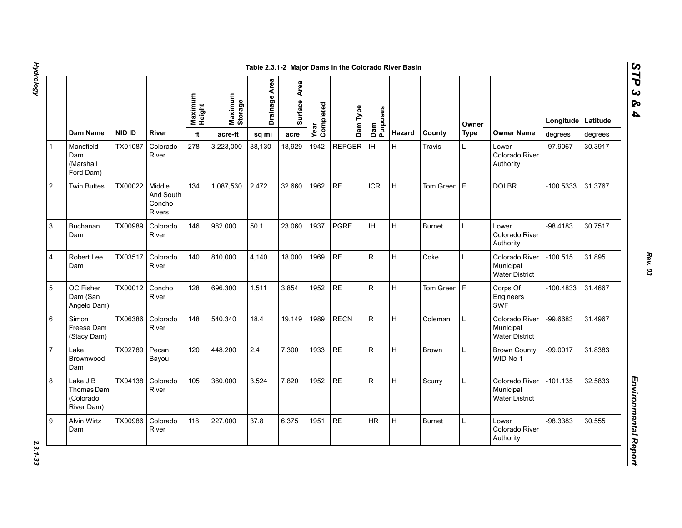|                |                                                   |               |                                         | Maximum<br>Height | Maximum<br>Storage | Drainage Area | Area<br>Surface | Year<br>Completed | Dam Type      | Dam<br>Purposes |               |               | Owner       |                                                      | Longitude Latitude |         |
|----------------|---------------------------------------------------|---------------|-----------------------------------------|-------------------|--------------------|---------------|-----------------|-------------------|---------------|-----------------|---------------|---------------|-------------|------------------------------------------------------|--------------------|---------|
|                | Dam Name                                          | <b>NID ID</b> | <b>River</b>                            | ft                | acre-ft            | sq mi         | acre            |                   |               |                 | <b>Hazard</b> | County        | <b>Type</b> | <b>Owner Name</b>                                    | degrees            | degrees |
|                | Mansfield<br>Dam<br>(Marshall<br>Ford Dam)        | TX01087       | Colorado<br>River                       | 278               | 3,223,000          | 38,130        | 18,929          | 1942              | <b>REPGER</b> | IH              | H             | Travis        | L.          | Lower<br>Colorado River<br>Authority                 | -97.9067           | 30.3917 |
| $\overline{2}$ | <b>Twin Buttes</b>                                | TX00022       | Middle<br>And South<br>Concho<br>Rivers | 134               | 1,087,530          | 2,472         | 32,660          | 1962              | <b>RE</b>     | <b>ICR</b>      | H             | Tom Green $F$ |             | DOI BR                                               | -100.5333          | 31.3767 |
| 3              | <b>Buchanan</b><br>Dam                            | TX00989       | Colorado<br>River                       | 146               | 982.000            | 50.1          | 23,060          | 1937              | <b>PGRE</b>   | <b>IH</b>       | H             | <b>Burnet</b> | L           | Lower<br>Colorado River<br>Authority                 | -98.4183           | 30.7517 |
| 4              | Robert Lee<br>Dam                                 | TX03517       | Colorado<br>River                       | 140               | 810,000            | 4,140         | 18,000          | 1969              | <b>RE</b>     | R               | H             | Coke          | L           | Colorado River<br>Municipal<br><b>Water District</b> | $-100.515$         | 31.895  |
| 5              | OC Fisher<br>Dam (San<br>Angelo Dam)              | TX00012       | Concho<br>River                         | 128               | 696,300            | 1,511         | 3,854           | 1952              | <b>RE</b>     | ${\sf R}$       | H             | Tom Green $F$ |             | Corps Of<br>Engineers<br><b>SWF</b>                  | $-100.4833$        | 31.4667 |
| 6              | Simon<br>Freese Dam<br>(Stacy Dam)                | TX06386       | Colorado<br>River                       | 148               | 540,340            | 18.4          | 19,149          | 1989              | <b>RECN</b>   | ${\sf R}$       | H             | Coleman       | L           | Colorado River<br>Municipal<br><b>Water District</b> | -99.6683           | 31.4967 |
| $\overline{7}$ | Lake<br>Brownwood<br>Dam                          | TX02789       | Pecan<br>Bayou                          | 120               | 448,200            | 2.4           | 7,300           | 1933              | <b>RE</b>     | ${\sf R}$       | H             | Brown         | L           | <b>Brown County</b><br>WID No 1                      | $-99.0017$         | 31.8383 |
| 8              | Lake J B<br>Thomas Dam<br>(Colorado<br>River Dam) | TX04138       | Colorado<br>River                       | 105               | 360,000            | 3,524         | 7,820           | 1952              | <b>RE</b>     | $\mathsf{R}$    | H             | Scurry        | L           | Colorado River<br>Municipal<br><b>Water District</b> | $-101.135$         | 32.5833 |
| 9              | <b>Alvin Wirtz</b><br>Dam                         | TX00986       | Colorado<br>River                       | 118               | 227,000            | 37.8          | 6,375           | 1951              | <b>RE</b>     | <b>HR</b>       | H             | <b>Burnet</b> | L           | Lower<br>Colorado River<br>Authority                 | -98.3383           | 30.555  |

2.3.1-33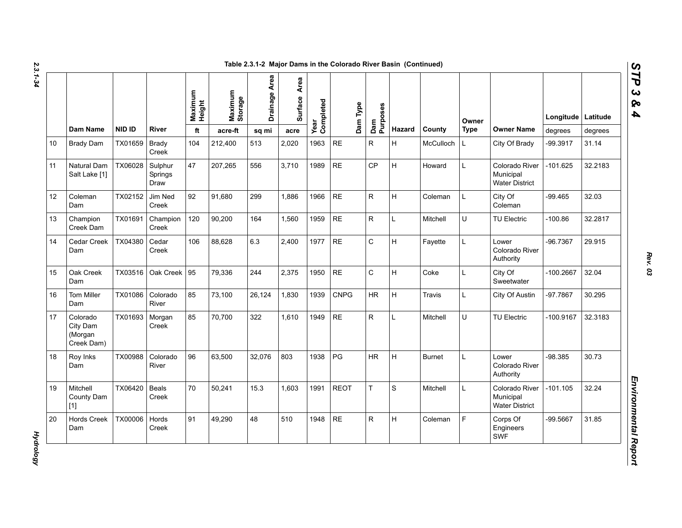| N  |  |
|----|--|
| دە |  |
|    |  |
|    |  |
| ۵  |  |
|    |  |
|    |  |

|    |                                               |         |                            | Maximum<br>Height | Maximum<br>Storage | Drainage Area | Area<br><b>Surface</b> | Year<br>Completed | Dam Type    | Dam<br>Purposes |        |               | Owner       |                                                      | Longitude   Latitude |         |
|----|-----------------------------------------------|---------|----------------------------|-------------------|--------------------|---------------|------------------------|-------------------|-------------|-----------------|--------|---------------|-------------|------------------------------------------------------|----------------------|---------|
|    | Dam Name                                      | NID ID  | <b>River</b>               | ft                | acre-ft            | sq mi         | acre                   |                   |             |                 | Hazard | County        | <b>Type</b> | <b>Owner Name</b>                                    | degrees              | degrees |
| 10 | <b>Brady Dam</b>                              | TX01659 | <b>Brady</b><br>Creek      | 104               | 212,400            | 513           | 2,020                  | 1963              | <b>RE</b>   | $\mathsf{R}$    | H      | McCulloch     | L.          | City Of Brady                                        | -99.3917             | 31.14   |
| 11 | Natural Dam<br>Salt Lake [1]                  | TX06028 | Sulphur<br>Springs<br>Draw | 47                | 207,265            | 556           | 3,710                  | 1989              | <b>RE</b>   | <b>CP</b>       | H      | Howard        | L           | Colorado River<br>Municipal<br><b>Water District</b> | $-101.625$           | 32.2183 |
| 12 | Coleman<br>Dam                                | TX02152 | Jim Ned<br>Creek           | 92                | 91,680             | 299           | 1,886                  | 1966              | <b>RE</b>   | R               | H      | Coleman       | L           | City Of<br>Coleman                                   | $-99.465$            | 32.03   |
| 13 | Champion<br>Creek Dam                         | TX01691 | Champion<br>Creek          | 120               | 90,200             | 164           | 1,560                  | 1959              | $\sf RE$    | $\mathsf R$     | L      | Mitchell      | U           | <b>TU Electric</b>                                   | $-100.86$            | 32.2817 |
| 14 | Cedar Creek<br>Dam                            | TX04380 | Cedar<br>Creek             | 106               | 88,628             | 6.3           | 2,400                  | 1977              | $\sf RE$    | $\mathsf C$     | H      | Fayette       | L.          | Lower<br>Colorado River<br>Authority                 | $-96.7367$           | 29.915  |
| 15 | Oak Creek<br>Dam                              | TX03516 | Oak Creek   95             |                   | 79,336             | 244           | 2.375                  | 1950              | <b>RE</b>   | $\mathsf{C}$    | H      | Coke          | L           | City Of<br>Sweetwater                                | $-100.2667$          | 32.04   |
| 16 | Tom Miller<br>Dam                             | TX01086 | Colorado<br>River          | 85                | 73,100             | 26,124        | 1,830                  | 1939              | <b>CNPG</b> | ${\sf HR}$      | H      | <b>Travis</b> | L           | City Of Austin                                       | -97.7867             | 30.295  |
| 17 | Colorado<br>City Dam<br>(Morgan<br>Creek Dam) | TX01693 | Morgan<br>Creek            | 85                | 70,700             | 322           | 1,610                  | 1949              | $\sf RE$    | $\mathsf R$     | Г      | Mitchell      | U           | TU Electric                                          | $-100.9167$          | 32.3183 |
| 18 | Roy Inks<br>Dam                               | TX00988 | Colorado<br>River          | 96                | 63,500             | 32,076        | 803                    | 1938              | PG          | HR              | H      | <b>Burnet</b> | L           | Lower<br>Colorado River<br>Authority                 | $-98.385$            | 30.73   |
| 19 | Mitchell<br>County Dam<br>$[1]$               | TX06420 | <b>Beals</b><br>Creek      | 70                | 50,241             | 15.3          | 1.603                  | 1991              | <b>REOT</b> | T.              | S      | Mitchell      | L           | Colorado River<br>Municipal<br><b>Water District</b> | $-101.105$           | 32.24   |
| 20 | <b>Hords Creek</b><br>Dam                     | TX00006 | Hords<br>Creek             | 91                | 49,290             | 48            | 510                    | 1948              | <b>RE</b>   | R.              | H      | Coleman       | F.          | Corps Of<br>Engineers<br>SWF                         | -99.5667             | 31.85   |

*Rev. 03*

**Hydrology** *Hydrology* 

*STP 3 & 4*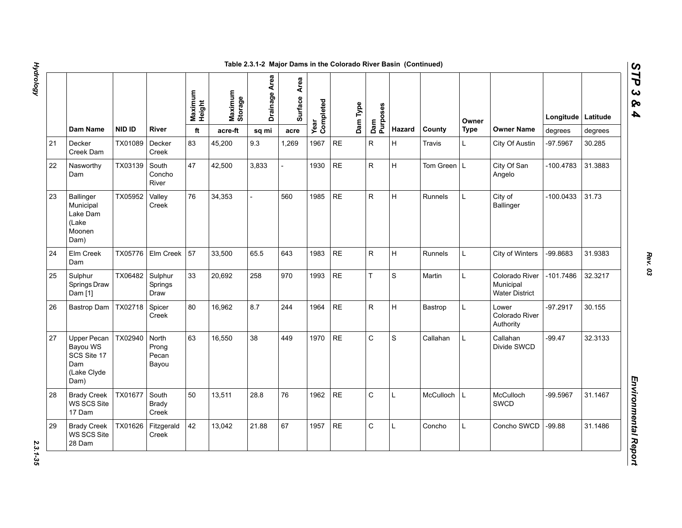|    |                                                                      |               |                                  | Maximum<br>Height | Maximum<br>Storage | Drainage Area | Area<br>Surface | Year<br>Completed | Dam Type  |    |             |                  | Owner       |                                                      | Longitude   | Latitude |
|----|----------------------------------------------------------------------|---------------|----------------------------------|-------------------|--------------------|---------------|-----------------|-------------------|-----------|----|-------------|------------------|-------------|------------------------------------------------------|-------------|----------|
|    | <b>Dam Name</b>                                                      | <b>NID ID</b> | <b>River</b>                     | ft                | acre-ft            | sq mi         | acre            |                   |           |    | Hazard      | County           | <b>Type</b> | <b>Owner Name</b>                                    | degrees     | degrees  |
| 21 | Decker<br>Creek Dam                                                  | TX01089       | Decker<br>Creek                  | 83                | 45,200             | 9.3           | 1,269           | 1967              | RE        | R  | H           | Travis           | L.          | City Of Austin                                       | -97.5967    | 30.285   |
| 22 | Nasworthy<br>Dam                                                     | TX03139       | South<br>Concho<br>River         | 47                | 42,500             | 3,833         |                 | 1930              | RE        | R  | H           | Tom Green   L    |             | City Of San<br>Angelo                                | $-100.4783$ | 31.3883  |
| 23 | Ballinger<br>Municipal<br>Lake Dam<br>(Lake<br>Moonen<br>Dam)        | TX05952       | Valley<br>Creek                  | 76                | 34,353             |               | 560             | 1985              | <b>RE</b> | R  | H           | Runnels          | L           | City of<br><b>Ballinger</b>                          | $-100.0433$ | 31.73    |
| 24 | Elm Creek<br>Dam                                                     | TX05776       | Elm Creek                        | 57                | 33,500             | 65.5          | 643             | 1983              | <b>RE</b> | R. | H           | Runnels          | L           | <b>City of Winters</b>                               | -99.8683    | 31.9383  |
| 25 | Sulphur<br>Springs Draw<br>Dam [1]                                   | TX06482       | Sulphur<br>Springs<br>Draw       | 33                | 20,692             | 258           | 970             | 1993              | $\sf RE$  | T  | S           | Martin           | L           | Colorado River<br>Municipal<br><b>Water District</b> | -101.7486   | 32.3217  |
| 26 | Bastrop Dam                                                          | TX02718       | Spicer<br>Creek                  | 80                | 16,962             | 8.7           | 244             | 1964              | $\sf RE$  | R  | H           | Bastrop          | Г           | Lower<br>Colorado River<br>Authority                 | $-97.2917$  | 30.155   |
| 27 | Upper Pecan<br>Bayou WS<br>SCS Site 17<br>Dam<br>(Lake Clyde<br>Dam) | TX02940       | North<br>Prong<br>Pecan<br>Bayou | 63                | 16,550             | 38            | 449             | 1970              | <b>RE</b> | C  | $\mathbf S$ | Callahan         | L           | Callahan<br>Divide SWCD                              | $-99.47$    | 32.3133  |
| 28 | <b>Brady Creek</b><br>WS SCS Site<br>17 Dam                          | TX01677       | South<br><b>Brady</b><br>Creek   | 50                | 13,511             | 28.8          | 76              | 1962              | <b>RE</b> | C  | Г           | <b>McCulloch</b> | L           | <b>McCulloch</b><br>SWCD                             | -99.5967    | 31.1467  |
| 29 | <b>Brady Creek</b><br>WS SCS Site<br>28 Dam                          | TX01626       | Fitzgerald<br>Creek              | 42                | 13,042             | 21.88         | 67              | 1957              | <b>RE</b> | C  | Г           | Concho           | L           | Concho SWCD                                          | $-99.88$    | 31.1486  |

2.3.1-35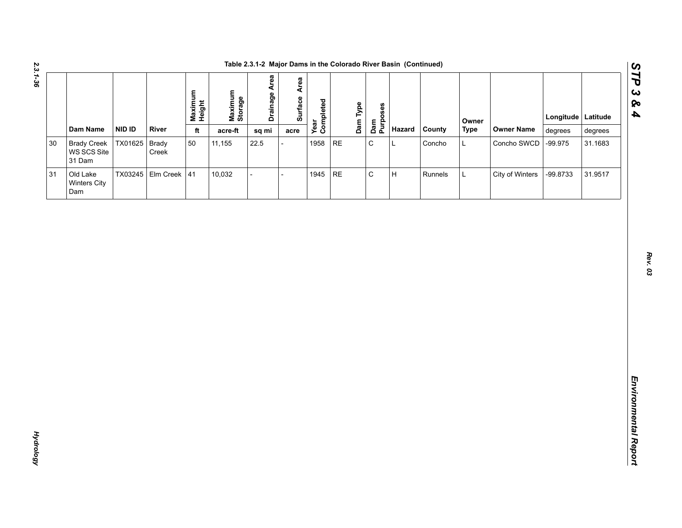| ري<br>پ |  |
|---------|--|
| .<br>86 |  |
|         |  |

|                                             |               |                      |                   |                    | Table 2.3.1-2 Major Dams in the Colorado River Basin (Continued) |              |                   |    |          |                 |        |         |             |                   |           |          |
|---------------------------------------------|---------------|----------------------|-------------------|--------------------|------------------------------------------------------------------|--------------|-------------------|----|----------|-----------------|--------|---------|-------------|-------------------|-----------|----------|
|                                             |               |                      | Maximum<br>Height | Maximum<br>Storage | <b>Drainage Area</b>                                             | Surface Area | Year<br>Completed |    | Dam Type | Dam<br>Purposes |        |         | Owner       |                   | Longitude | Latitude |
| Dam Name                                    | NID ID        | River                | $\mathsf{ft}$     | acre-ft            | sq mi                                                            | acre         |                   |    |          |                 | Hazard | County  | <b>Type</b> | <b>Owner Name</b> | degrees   | degrees  |
| <b>Brady Creek</b><br>WS SCS Site<br>31 Dam | TX01625 Brady | Creek                | 50                | 11,155             | 22.5                                                             |              | 1958 RE           |    |          | $\mathsf C$     | L      | Concho  | L           | Concho SWCD       | $-99.975$ | 31.1683  |
| Old Lake<br>Winters City<br>Dam             |               | TX03245 Elm Creek 41 |                   | 10,032             | $\overline{a}$                                                   |              | 1945              | RE |          | $\mathsf C$     | H      | Runnels | L           | City of Winters   | -99.8733  | 31.9517  |
|                                             |               |                      |                   |                    |                                                                  |              |                   |    |          |                 |        |         |             |                   |           |          |
|                                             |               |                      |                   |                    |                                                                  |              |                   |    |          |                 |        |         |             |                   |           |          |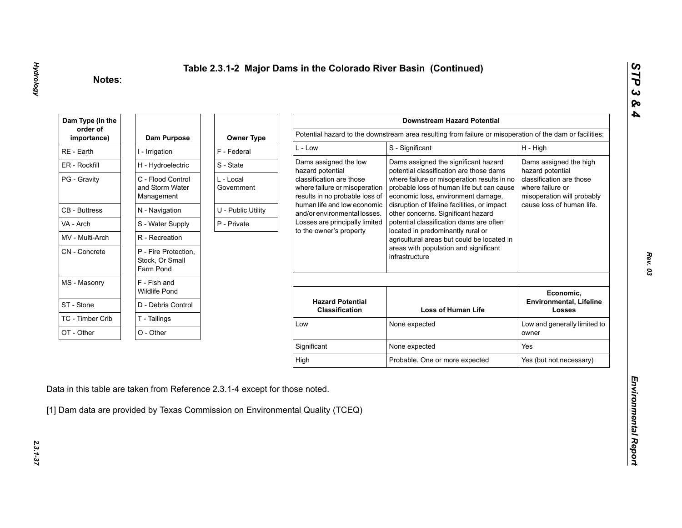| Dam Type (in the        |                                                      |                         |                                                                                             | <b>Downstream Hazard Potential</b>                                                                                             |                                                                            |
|-------------------------|------------------------------------------------------|-------------------------|---------------------------------------------------------------------------------------------|--------------------------------------------------------------------------------------------------------------------------------|----------------------------------------------------------------------------|
| order of<br>importance) | Dam Purpose                                          | <b>Owner Type</b>       |                                                                                             | Potential hazard to the downstream area resulting from failure or misoperation of the dam or facilities:                       |                                                                            |
| RE - Earth              | I - Irrigation                                       | F - Federal             | $L - Low$                                                                                   | S - Significant                                                                                                                | H - High                                                                   |
| ER - Rockfill           | H - Hydroelectric                                    | S - State               | Dams assigned the low<br>hazard potential                                                   | Dams assigned the significant hazard<br>potential classification are those dams                                                | Dams assigned the high<br>hazard potential                                 |
| PG - Gravity            | C - Flood Control<br>and Storm Water<br>Management   | L - Local<br>Government | classification are those<br>where failure or misoperation<br>results in no probable loss of | where failure or misoperation results in no<br>probable loss of human life but can cause<br>economic loss, environment damage, | classification are those<br>where failure or<br>misoperation will probably |
| <b>CB</b> - Buttress    | N - Navigation                                       | U - Public Utility      | human life and low economic<br>and/or environmental losses.                                 | disruption of lifeline facilities, or impact<br>other concerns. Significant hazard                                             | cause loss of human life.                                                  |
| VA - Arch               | S - Water Supply                                     | P - Private             | Losses are principally limited                                                              | potential classification dams are often                                                                                        |                                                                            |
| MV - Multi-Arch         | R - Recreation                                       |                         | to the owner's property                                                                     | located in predominantly rural or<br>agricultural areas but could be located in                                                |                                                                            |
| CN - Concrete           | P - Fire Protection,<br>Stock, Or Small<br>Farm Pond |                         |                                                                                             | areas with population and significant<br>infrastructure                                                                        |                                                                            |
| MS - Masonry            | F - Fish and<br><b>Wildlife Pond</b>                 |                         |                                                                                             |                                                                                                                                | Economic,                                                                  |
| ST - Stone              | D - Debris Control                                   |                         | <b>Hazard Potential</b><br><b>Classification</b>                                            | <b>Loss of Human Life</b>                                                                                                      | <b>Environmental, Lifeline</b><br><b>Losses</b>                            |
| TC - Timber Crib        | T - Tailings                                         |                         | Low                                                                                         | None expected                                                                                                                  | Low and generally limited to                                               |
| OT - Other              | O - Other                                            |                         |                                                                                             |                                                                                                                                | owner                                                                      |
|                         |                                                      |                         | Significant                                                                                 | None expected                                                                                                                  | Yes                                                                        |
|                         |                                                      |                         |                                                                                             |                                                                                                                                | Yes (but not necessary)                                                    |

2.3.1-37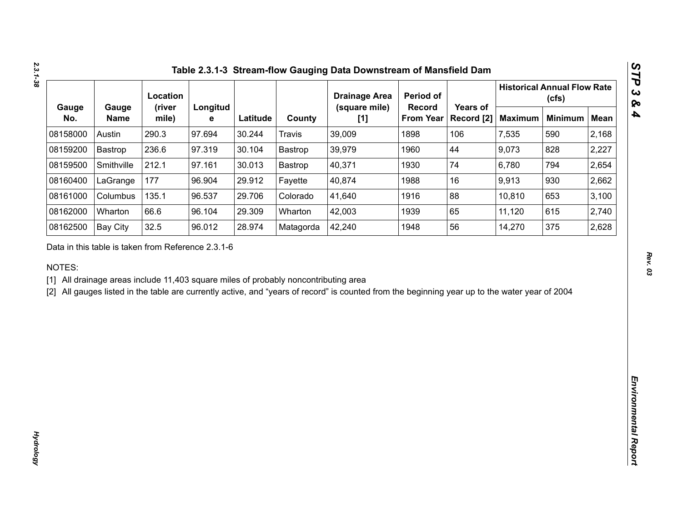|              |                      | Location                                           |               |          |                                                                                     | <b>Drainage Area</b>                                                                                                                           | Period of                  |                        |                | <b>Historical Annual Flow Rate</b><br>(cfs) |             |
|--------------|----------------------|----------------------------------------------------|---------------|----------|-------------------------------------------------------------------------------------|------------------------------------------------------------------------------------------------------------------------------------------------|----------------------------|------------------------|----------------|---------------------------------------------|-------------|
| Gauge<br>No. | Gauge<br><b>Name</b> | (river<br>mile)                                    | Longitud<br>е | Latitude | County                                                                              | (square mile)<br>[1]                                                                                                                           | Record<br><b>From Year</b> | Years of<br>Record [2] | <b>Maximum</b> | <b>Minimum</b>                              | <b>Mean</b> |
| 08158000     | Austin               | 290.3                                              | 97.694        | 30.244   | <b>Travis</b>                                                                       | 39,009                                                                                                                                         | 1898                       | 106                    | 7,535          | 590                                         | 2,168       |
| 08159200     | Bastrop              | 236.6                                              | 97.319        | 30.104   | Bastrop                                                                             | 39,979                                                                                                                                         | 1960                       | 44                     | 9,073          | 828                                         | 2,227       |
| 08159500     | Smithville           | 212.1                                              | 97.161        | 30.013   | Bastrop                                                                             | 40,371                                                                                                                                         | 1930                       | 74                     | 6,780          | 794                                         | 2,654       |
| 08160400     | LaGrange             | 177                                                | 96.904        | 29.912   | Fayette                                                                             | 40,874                                                                                                                                         | 1988                       | 16                     | 9,913          | 930                                         | 2,662       |
| 08161000     | Columbus             | 135.1                                              | 96.537        | 29.706   | Colorado                                                                            | 41,640                                                                                                                                         | 1916                       | 88                     | 10,810         | 653                                         | 3,100       |
| 08162000     | Wharton              | 66.6                                               | 96.104        | 29.309   | Wharton                                                                             | 42,003                                                                                                                                         | 1939                       | 65                     | 11,120         | 615                                         | 2,740       |
| 08162500     | <b>Bay City</b>      | 32.5                                               | 96.012        | 28.974   | Matagorda                                                                           | 42,240                                                                                                                                         | 1948                       | 56                     | 14,270         | 375                                         | 2,628       |
| NOTES:       |                      | Data in this table is taken from Reference 2.3.1-6 |               |          | [1] All drainage areas include 11,403 square miles of probably noncontributing area | [2] All gauges listed in the table are currently active, and "years of record" is counted from the beginning year up to the water year of 2004 |                            |                        |                |                                             |             |
|              |                      |                                                    |               |          |                                                                                     |                                                                                                                                                |                            |                        |                |                                             |             |
|              |                      |                                                    |               |          |                                                                                     |                                                                                                                                                |                            |                        |                |                                             |             |
|              |                      |                                                    |               |          |                                                                                     |                                                                                                                                                |                            |                        |                |                                             |             |
|              |                      |                                                    |               |          |                                                                                     |                                                                                                                                                |                            |                        |                |                                             |             |
|              |                      |                                                    |               |          |                                                                                     |                                                                                                                                                |                            |                        |                |                                             |             |
|              |                      |                                                    |               |          |                                                                                     |                                                                                                                                                |                            |                        |                |                                             |             |
|              |                      |                                                    |               |          |                                                                                     |                                                                                                                                                |                            |                        |                |                                             |             |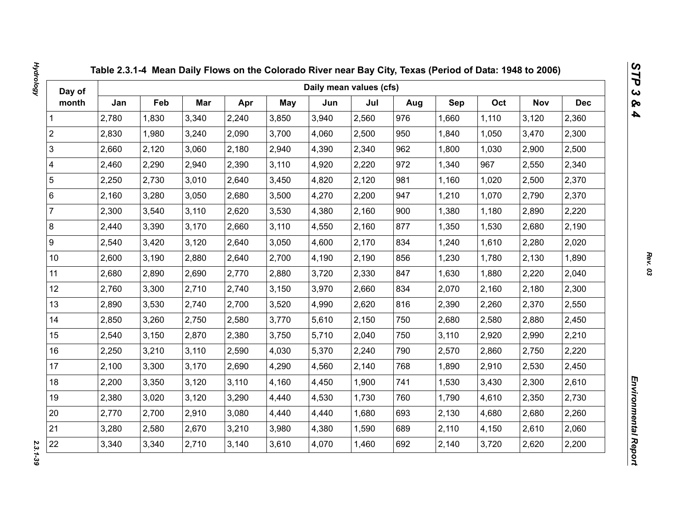| Day of                  |       |       |       |       |            | Daily mean values (cfs) |       |     |       |       |            |            |
|-------------------------|-------|-------|-------|-------|------------|-------------------------|-------|-----|-------|-------|------------|------------|
| month                   | Jan   | Feb   | Mar   | Apr   | <b>May</b> | Jun                     | Jul   | Aug | Sep   | Oct   | <b>Nov</b> | <b>Dec</b> |
| 1                       | 2,780 | 1,830 | 3,340 | 2,240 | 3,850      | 3,940                   | 2,560 | 976 | 1,660 | 1,110 | 3,120      | 2,360      |
| $\overline{2}$          | 2,830 | 1,980 | 3,240 | 2,090 | 3,700      | 4,060                   | 2,500 | 950 | 1,840 | 1,050 | 3,470      | 2,300      |
| 3                       | 2,660 | 2,120 | 3,060 | 2,180 | 2,940      | 4,390                   | 2,340 | 962 | 1,800 | 1,030 | 2,900      | 2,500      |
| $\overline{\mathbf{4}}$ | 2,460 | 2,290 | 2,940 | 2,390 | 3,110      | 4,920                   | 2,220 | 972 | 1,340 | 967   | 2,550      | 2,340      |
| $\sqrt{5}$              | 2,250 | 2,730 | 3,010 | 2,640 | 3,450      | 4,820                   | 2,120 | 981 | 1,160 | 1,020 | 2,500      | 2,370      |
| $\,6\,$                 | 2,160 | 3,280 | 3,050 | 2,680 | 3,500      | 4,270                   | 2,200 | 947 | 1,210 | 1,070 | 2,790      | 2,370      |
| $\overline{7}$          | 2,300 | 3,540 | 3,110 | 2,620 | 3,530      | 4,380                   | 2,160 | 900 | 1,380 | 1,180 | 2,890      | 2,220      |
| $\bf 8$                 | 2,440 | 3,390 | 3,170 | 2,660 | 3,110      | 4,550                   | 2,160 | 877 | 1,350 | 1,530 | 2,680      | 2,190      |
| $\boldsymbol{9}$        | 2,540 | 3,420 | 3,120 | 2,640 | 3,050      | 4,600                   | 2,170 | 834 | 1,240 | 1,610 | 2,280      | 2,020      |
| 10 <sup>1</sup>         | 2,600 | 3,190 | 2,880 | 2,640 | 2,700      | 4,190                   | 2,190 | 856 | 1,230 | 1,780 | 2,130      | 1,890      |
| 11                      | 2,680 | 2,890 | 2,690 | 2,770 | 2,880      | 3,720                   | 2,330 | 847 | 1,630 | 1,880 | 2,220      | 2,040      |
| 12                      | 2,760 | 3,300 | 2,710 | 2,740 | 3,150      | 3,970                   | 2,660 | 834 | 2,070 | 2,160 | 2,180      | 2,300      |
| 13                      | 2,890 | 3,530 | 2,740 | 2,700 | 3,520      | 4,990                   | 2,620 | 816 | 2,390 | 2,260 | 2,370      | 2,550      |
| 14                      | 2,850 | 3,260 | 2,750 | 2,580 | 3,770      | 5,610                   | 2,150 | 750 | 2,680 | 2,580 | 2,880      | 2,450      |
| 15                      | 2,540 | 3,150 | 2,870 | 2,380 | 3,750      | 5,710                   | 2,040 | 750 | 3,110 | 2,920 | 2,990      | 2,210      |
| 16                      | 2,250 | 3,210 | 3,110 | 2,590 | 4,030      | 5,370                   | 2,240 | 790 | 2,570 | 2,860 | 2,750      | 2,220      |
| 17                      | 2,100 | 3,300 | 3,170 | 2,690 | 4,290      | 4,560                   | 2,140 | 768 | 1,890 | 2,910 | 2,530      | 2,450      |
| 18                      | 2,200 | 3,350 | 3,120 | 3,110 | 4,160      | 4,450                   | 1,900 | 741 | 1,530 | 3,430 | 2,300      | 2,610      |
| 19                      | 2,380 | 3,020 | 3,120 | 3,290 | 4,440      | 4,530                   | 1,730 | 760 | 1,790 | 4,610 | 2,350      | 2,730      |
| 20                      | 2,770 | 2,700 | 2,910 | 3,080 | 4,440      | 4,440                   | 1,680 | 693 | 2,130 | 4,680 | 2,680      | 2,260      |
| 21                      | 3,280 | 2,580 | 2,670 | 3,210 | 3,980      | 4,380                   | 1,590 | 689 | 2,110 | 4,150 | 2,610      | 2,060      |
| 22                      | 3,340 | 3,340 | 2,710 | 3,140 | 3,610      | 4,070                   | 1,460 | 692 | 2,140 | 3,720 | 2,620      | 2,200      |

2.3.1-39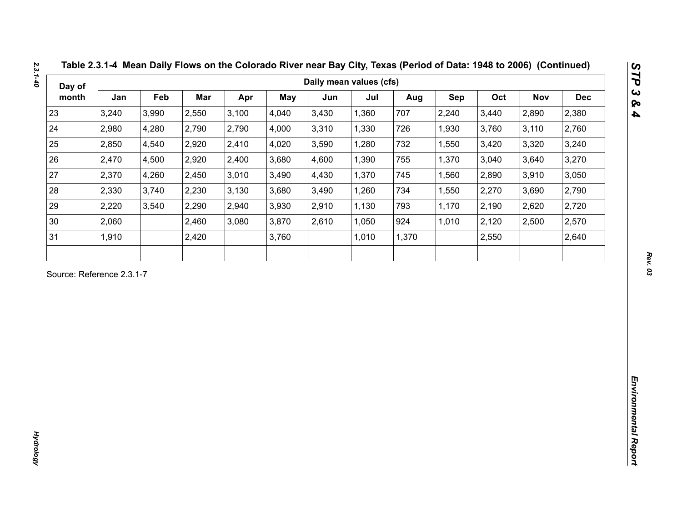| Day of |       |       |       |       |       | Daily mean values (cfs) |       |       |       |       |            |            |
|--------|-------|-------|-------|-------|-------|-------------------------|-------|-------|-------|-------|------------|------------|
| month  | Jan   | Feb   | Mar   | Apr   | May   | Jun                     | Jul   | Aug   | Sep   | Oct   | <b>Nov</b> | <b>Dec</b> |
| 23     | 3,240 | 3,990 | 2,550 | 3,100 | 4,040 | 3,430                   | 1,360 | 707   | 2,240 | 3,440 | 2,890      | 2,380      |
| 24     | 2,980 | 4,280 | 2,790 | 2,790 | 4,000 | 3,310                   | 1,330 | 726   | 1,930 | 3,760 | 3,110      | 2,760      |
| 25     | 2,850 | 4,540 | 2,920 | 2,410 | 4,020 | 3,590                   | 1,280 | 732   | 1,550 | 3,420 | 3,320      | 3,240      |
| 26     | 2,470 | 4,500 | 2,920 | 2,400 | 3,680 | 4,600                   | 1,390 | 755   | 1,370 | 3,040 | 3,640      | 3,270      |
| 27     | 2,370 | 4,260 | 2,450 | 3,010 | 3,490 | 4,430                   | 1,370 | 745   | 1,560 | 2,890 | 3,910      | 3,050      |
| 28     | 2,330 | 3,740 | 2,230 | 3,130 | 3,680 | 3,490                   | 1,260 | 734   | 1,550 | 2,270 | 3,690      | 2,790      |
| 29     | 2,220 | 3,540 | 2,290 | 2,940 | 3,930 | 2,910                   | 1,130 | 793   | 1,170 | 2,190 | 2,620      | 2,720      |
| 30     | 2,060 |       | 2,460 | 3,080 | 3,870 | 2,610                   | 1,050 | 924   | 1,010 | 2,120 | 2,500      | 2,570      |
| 31     | 1,910 |       | 2,420 |       | 3,760 |                         | 1,010 | 1,370 |       | 2,550 |            | 2,640      |
|        |       |       |       |       |       |                         |       |       |       |       |            |            |
|        |       |       |       |       |       |                         |       |       |       |       |            |            |
|        |       |       |       |       |       |                         |       |       |       |       |            |            |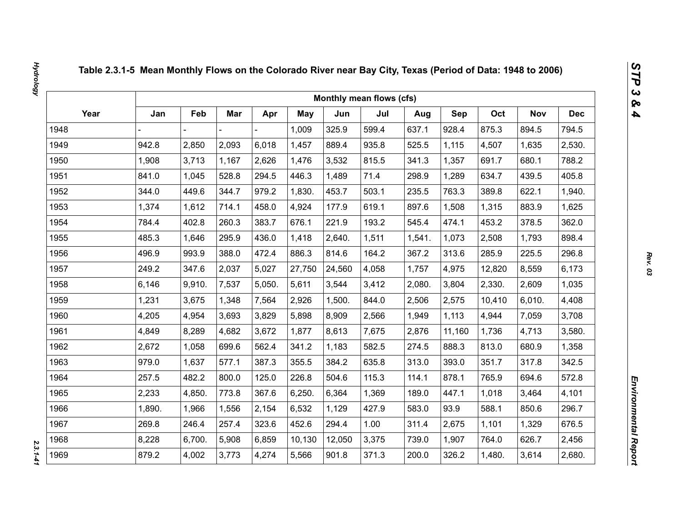|      |        |        |       |        |        |        | Monthly mean flows (cfs) |        |            |        |            |            |
|------|--------|--------|-------|--------|--------|--------|--------------------------|--------|------------|--------|------------|------------|
| Year | Jan    | Feb    | Mar   | Apr    | May    | Jun    | Jul                      | Aug    | <b>Sep</b> | Oct    | <b>Nov</b> | <b>Dec</b> |
| 1948 |        |        |       |        | 1,009  | 325.9  | 599.4                    | 637.1  | 928.4      | 875.3  | 894.5      | 794.5      |
| 1949 | 942.8  | 2,850  | 2,093 | 6,018  | 1,457  | 889.4  | 935.8                    | 525.5  | 1,115      | 4,507  | 1,635      | 2,530.     |
| 1950 | 1,908  | 3,713  | 1,167 | 2,626  | 1,476  | 3,532  | 815.5                    | 341.3  | 1,357      | 691.7  | 680.1      | 788.2      |
| 1951 | 841.0  | 1,045  | 528.8 | 294.5  | 446.3  | 1,489  | 71.4                     | 298.9  | 1,289      | 634.7  | 439.5      | 405.8      |
| 1952 | 344.0  | 449.6  | 344.7 | 979.2  | 1,830. | 453.7  | 503.1                    | 235.5  | 763.3      | 389.8  | 622.1      | 1,940.     |
| 1953 | 1,374  | 1,612  | 714.1 | 458.0  | 4,924  | 177.9  | 619.1                    | 897.6  | 1,508      | 1,315  | 883.9      | 1,625      |
| 1954 | 784.4  | 402.8  | 260.3 | 383.7  | 676.1  | 221.9  | 193.2                    | 545.4  | 474.1      | 453.2  | 378.5      | 362.0      |
| 1955 | 485.3  | 1,646  | 295.9 | 436.0  | 1,418  | 2,640. | 1,511                    | 1,541. | 1,073      | 2,508  | 1,793      | 898.4      |
| 1956 | 496.9  | 993.9  | 388.0 | 472.4  | 886.3  | 814.6  | 164.2                    | 367.2  | 313.6      | 285.9  | 225.5      | 296.8      |
| 1957 | 249.2  | 347.6  | 2,037 | 5,027  | 27,750 | 24,560 | 4,058                    | 1,757  | 4,975      | 12,820 | 8,559      | 6,173      |
| 1958 | 6,146  | 9,910. | 7,537 | 5,050. | 5,611  | 3,544  | 3,412                    | 2,080. | 3,804      | 2,330. | 2,609      | 1,035      |
| 1959 | 1,231  | 3,675  | 1,348 | 7,564  | 2,926  | 1,500. | 844.0                    | 2,506  | 2,575      | 10,410 | 6,010.     | 4,408      |
| 1960 | 4,205  | 4,954  | 3,693 | 3,829  | 5,898  | 8,909  | 2,566                    | 1,949  | 1,113      | 4,944  | 7,059      | 3,708      |
| 1961 | 4,849  | 8,289  | 4,682 | 3,672  | 1,877  | 8,613  | 7,675                    | 2,876  | 11,160     | 1,736  | 4,713      | 3,580.     |
| 1962 | 2,672  | 1,058  | 699.6 | 562.4  | 341.2  | 1,183  | 582.5                    | 274.5  | 888.3      | 813.0  | 680.9      | 1,358      |
| 1963 | 979.0  | 1,637  | 577.1 | 387.3  | 355.5  | 384.2  | 635.8                    | 313.0  | 393.0      | 351.7  | 317.8      | 342.5      |
| 1964 | 257.5  | 482.2  | 800.0 | 125.0  | 226.8  | 504.6  | 115.3                    | 114.1  | 878.1      | 765.9  | 694.6      | 572.8      |
| 1965 | 2,233  | 4,850. | 773.8 | 367.6  | 6,250. | 6,364  | 1,369                    | 189.0  | 447.1      | 1,018  | 3,464      | 4,101      |
| 1966 | 1,890. | 1,966  | 1,556 | 2,154  | 6,532  | 1,129  | 427.9                    | 583.0  | 93.9       | 588.1  | 850.6      | 296.7      |
| 1967 | 269.8  | 246.4  | 257.4 | 323.6  | 452.6  | 294.4  | 1.00                     | 311.4  | 2,675      | 1,101  | 1,329      | 676.5      |
| 1968 | 8,228  | 6,700. | 5,908 | 6,859  | 10,130 | 12,050 | 3,375                    | 739.0  | 1,907      | 764.0  | 626.7      | 2,456      |
| 1969 | 879.2  | 4,002  | 3,773 | 4,274  | 5,566  | 901.8  | 371.3                    | 200.0  | 326.2      | 1,480. | 3,614      | 2,680.     |

 $2.3.1 - 41$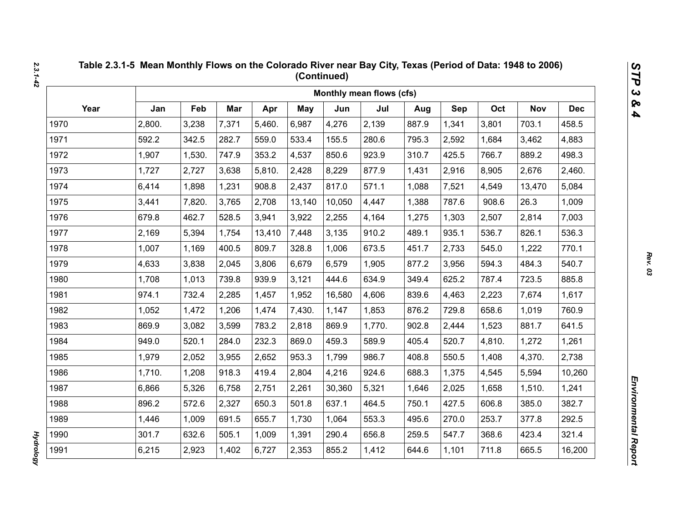|      |        |        |       |        |            |        | Monthly mean flows (cfs) |       |       |        |            |            |
|------|--------|--------|-------|--------|------------|--------|--------------------------|-------|-------|--------|------------|------------|
| Year | Jan    | Feb    | Mar   | Apr    | <b>May</b> | Jun    | Jul                      | Aug   | Sep   | Oct    | <b>Nov</b> | <b>Dec</b> |
| 1970 | 2,800. | 3,238  | 7,371 | 5,460. | 6,987      | 4,276  | 2,139                    | 887.9 | 1,341 | 3,801  | 703.1      | 458.5      |
| 1971 | 592.2  | 342.5  | 282.7 | 559.0  | 533.4      | 155.5  | 280.6                    | 795.3 | 2,592 | 1,684  | 3,462      | 4,883      |
| 1972 | 1,907  | 1,530. | 747.9 | 353.2  | 4,537      | 850.6  | 923.9                    | 310.7 | 425.5 | 766.7  | 889.2      | 498.3      |
| 1973 | 1,727  | 2,727  | 3,638 | 5,810. | 2,428      | 8,229  | 877.9                    | 1,431 | 2,916 | 8,905  | 2,676      | 2,460.     |
| 1974 | 6,414  | 1,898  | 1,231 | 908.8  | 2,437      | 817.0  | 571.1                    | 1,088 | 7,521 | 4,549  | 13,470     | 5,084      |
| 1975 | 3,441  | 7,820. | 3,765 | 2,708  | 13,140     | 10,050 | 4,447                    | 1,388 | 787.6 | 908.6  | 26.3       | 1,009      |
| 1976 | 679.8  | 462.7  | 528.5 | 3,941  | 3,922      | 2,255  | 4,164                    | 1,275 | 1,303 | 2,507  | 2,814      | 7,003      |
| 1977 | 2,169  | 5,394  | 1,754 | 13,410 | 7,448      | 3,135  | 910.2                    | 489.1 | 935.1 | 536.7  | 826.1      | 536.3      |
| 1978 | 1,007  | 1,169  | 400.5 | 809.7  | 328.8      | 1,006  | 673.5                    | 451.7 | 2,733 | 545.0  | 1,222      | 770.1      |
| 1979 | 4,633  | 3,838  | 2,045 | 3,806  | 6,679      | 6,579  | 1,905                    | 877.2 | 3,956 | 594.3  | 484.3      | 540.7      |
| 1980 | 1,708  | 1,013  | 739.8 | 939.9  | 3,121      | 444.6  | 634.9                    | 349.4 | 625.2 | 787.4  | 723.5      | 885.8      |
| 1981 | 974.1  | 732.4  | 2,285 | 1,457  | 1,952      | 16,580 | 4,606                    | 839.6 | 4,463 | 2,223  | 7,674      | 1,617      |
| 1982 | 1,052  | 1,472  | 1,206 | 1,474  | 7,430.     | 1,147  | 1,853                    | 876.2 | 729.8 | 658.6  | 1,019      | 760.9      |
| 1983 | 869.9  | 3,082  | 3,599 | 783.2  | 2,818      | 869.9  | 1,770.                   | 902.8 | 2,444 | 1,523  | 881.7      | 641.5      |
| 1984 | 949.0  | 520.1  | 284.0 | 232.3  | 869.0      | 459.3  | 589.9                    | 405.4 | 520.7 | 4,810. | 1,272      | 1,261      |
| 1985 | 1,979  | 2,052  | 3,955 | 2,652  | 953.3      | 1,799  | 986.7                    | 408.8 | 550.5 | 1,408  | 4,370.     | 2,738      |
| 1986 | 1,710. | 1,208  | 918.3 | 419.4  | 2,804      | 4,216  | 924.6                    | 688.3 | 1,375 | 4,545  | 5,594      | 10,260     |
| 1987 | 6,866  | 5,326  | 6,758 | 2,751  | 2,261      | 30,360 | 5,321                    | 1,646 | 2,025 | 1,658  | 1,510.     | 1,241      |
| 1988 | 896.2  | 572.6  | 2,327 | 650.3  | 501.8      | 637.1  | 464.5                    | 750.1 | 427.5 | 606.8  | 385.0      | 382.7      |
| 1989 | 1,446  | 1,009  | 691.5 | 655.7  | 1,730      | 1,064  | 553.3                    | 495.6 | 270.0 | 253.7  | 377.8      | 292.5      |
| 1990 | 301.7  | 632.6  | 505.1 | 1,009  | 1,391      | 290.4  | 656.8                    | 259.5 | 547.7 | 368.6  | 423.4      | 321.4      |
| 1991 | 6,215  | 2,923  | 1,402 | 6,727  | 2,353      | 855.2  | 1,412                    | 644.6 | 1,101 | 711.8  | 665.5      | 16,200     |

**Hydrology** *Hydrology*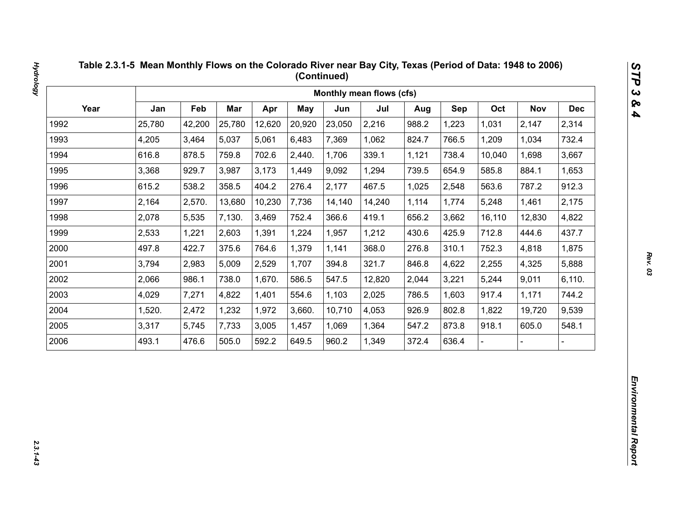|      |        |        |            |        |        |        | Monthly mean flows (cfs) |       |       |        |            |            |
|------|--------|--------|------------|--------|--------|--------|--------------------------|-------|-------|--------|------------|------------|
| Year | Jan    | Feb    | <b>Mar</b> | Apr    | May    | Jun    | Jul                      | Aug   | Sep   | Oct    | <b>Nov</b> | <b>Dec</b> |
| 1992 | 25,780 | 42,200 | 25,780     | 12,620 | 20,920 | 23,050 | 2,216                    | 988.2 | 1,223 | 1,031  | 2,147      | 2,314      |
| 1993 | 4,205  | 3,464  | 5,037      | 5,061  | 6,483  | 7,369  | 1,062                    | 824.7 | 766.5 | 1,209  | 1,034      | 732.4      |
| 1994 | 616.8  | 878.5  | 759.8      | 702.6  | 2,440. | 1,706  | 339.1                    | 1,121 | 738.4 | 10,040 | 1,698      | 3,667      |
| 1995 | 3,368  | 929.7  | 3,987      | 3,173  | 1,449  | 9,092  | 1,294                    | 739.5 | 654.9 | 585.8  | 884.1      | 1,653      |
| 1996 | 615.2  | 538.2  | 358.5      | 404.2  | 276.4  | 2,177  | 467.5                    | 1,025 | 2,548 | 563.6  | 787.2      | 912.3      |
| 1997 | 2,164  | 2,570. | 13,680     | 10,230 | 7,736  | 14,140 | 14,240                   | 1,114 | 1,774 | 5,248  | 1,461      | 2,175      |
| 1998 | 2,078  | 5,535  | 7,130.     | 3,469  | 752.4  | 366.6  | 419.1                    | 656.2 | 3,662 | 16,110 | 12,830     | 4,822      |
| 1999 | 2,533  | 1,221  | 2,603      | 1,391  | 1,224  | 1,957  | 1,212                    | 430.6 | 425.9 | 712.8  | 444.6      | 437.7      |
| 2000 | 497.8  | 422.7  | 375.6      | 764.6  | 1,379  | 1,141  | 368.0                    | 276.8 | 310.1 | 752.3  | 4,818      | 1,875      |
| 2001 | 3,794  | 2,983  | 5,009      | 2,529  | 1,707  | 394.8  | 321.7                    | 846.8 | 4,622 | 2,255  | 4,325      | 5,888      |
| 2002 | 2,066  | 986.1  | 738.0      | 1,670. | 586.5  | 547.5  | 12,820                   | 2,044 | 3,221 | 5,244  | 9,011      | 6,110.     |
| 2003 | 4,029  | 7,271  | 4,822      | 1,401  | 554.6  | 1,103  | 2,025                    | 786.5 | 1,603 | 917.4  | 1,171      | 744.2      |
| 2004 | 1,520. | 2,472  | 1,232      | 1,972  | 3,660. | 10,710 | 4,053                    | 926.9 | 802.8 | 1,822  | 19,720     | 9,539      |
| 2005 | 3,317  | 5,745  | 7,733      | 3,005  | 1,457  | 1,069  | 1,364                    | 547.2 | 873.8 | 918.1  | 605.0      | 548.1      |
| 2006 | 493.1  | 476.6  | 505.0      | 592.2  | 649.5  | 960.2  | 1,349                    | 372.4 | 636.4 |        |            |            |

 $2.3.1 - 4.3$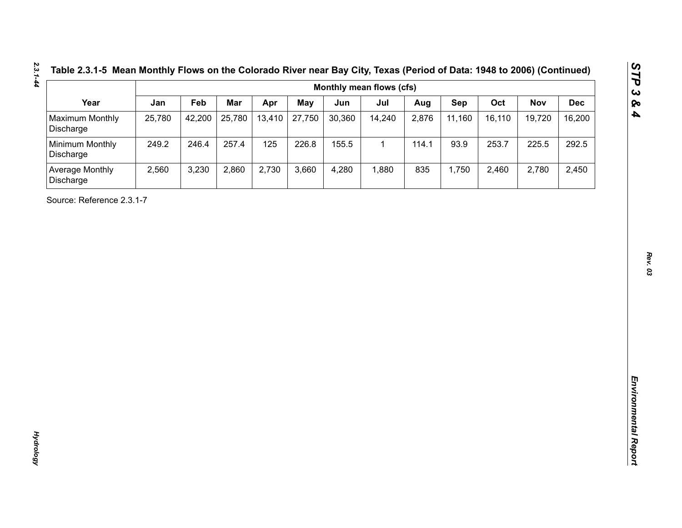|  | Table 2.3.1-5 Mean Monthly Flows on the Colorado River near Bay City, Texas (Period of Data: 1948 to 2006) (Continue |
|--|----------------------------------------------------------------------------------------------------------------------|
|  | Monthly mean flows (cfs)                                                                                             |

| Year<br>Maximum Monthly<br>Discharge<br>Minimum Monthly<br>Discharge<br>Average Monthly<br>Discharge<br>Source: Reference 2.3.1-7 | Jan<br>25,780<br>249.2<br>2,560 | Feb<br>42,200<br>246.4<br>3,230 | Mar<br>25,780<br>257.4<br>2,860 | Apr<br>13,410<br>125<br>2,730 | <b>May</b><br>27,750<br>226.8<br>3,660 | Jun<br>30,360<br>155.5<br>4,280 | Jul<br>14,240<br>$\mathbf{1}$<br>1,880 | Aug<br>2,876<br>114.1<br>835 | Sep<br>11,160<br>93.9<br>1,750 | Oct<br>16,110<br>253.7<br>2,460 | <b>Nov</b><br>19,720<br>225.5<br>2,780 | <b>Dec</b><br>16,200<br>292.5<br>2,450 |
|-----------------------------------------------------------------------------------------------------------------------------------|---------------------------------|---------------------------------|---------------------------------|-------------------------------|----------------------------------------|---------------------------------|----------------------------------------|------------------------------|--------------------------------|---------------------------------|----------------------------------------|----------------------------------------|
|                                                                                                                                   |                                 |                                 |                                 |                               |                                        |                                 |                                        |                              |                                |                                 |                                        |                                        |
|                                                                                                                                   |                                 |                                 |                                 |                               |                                        |                                 |                                        |                              |                                |                                 |                                        |                                        |
|                                                                                                                                   |                                 |                                 |                                 |                               |                                        |                                 |                                        |                              |                                |                                 |                                        |                                        |
|                                                                                                                                   |                                 |                                 |                                 |                               |                                        |                                 |                                        |                              |                                |                                 |                                        |                                        |
|                                                                                                                                   |                                 |                                 |                                 |                               |                                        |                                 |                                        |                              |                                |                                 |                                        |                                        |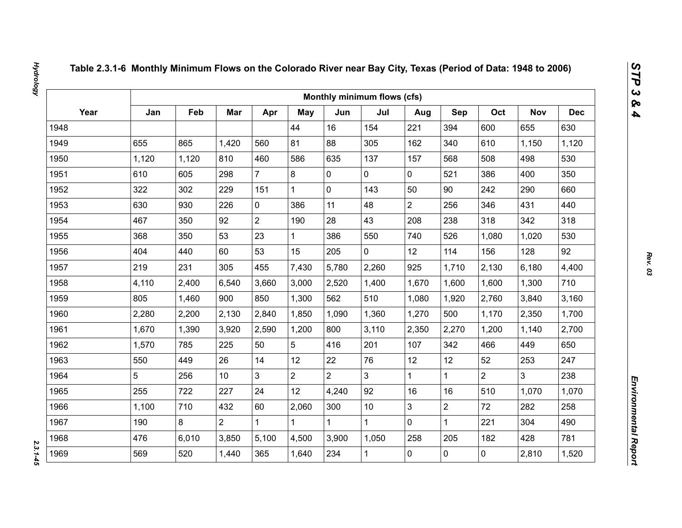|      |       |       |                 |                |                |                | Monthly minimum flows (cfs) |                |                |                |                |            |
|------|-------|-------|-----------------|----------------|----------------|----------------|-----------------------------|----------------|----------------|----------------|----------------|------------|
| Year | Jan   | Feb   | Mar             | Apr            | May            | Jun            | Jul                         | Aug            | Sep            | Oct            | <b>Nov</b>     | <b>Dec</b> |
| 1948 |       |       |                 |                | 44             | 16             | 154                         | 221            | 394            | 600            | 655            | 630        |
| 1949 | 655   | 865   | 1,420           | 560            | 81             | 88             | 305                         | 162            | 340            | 610            | 1,150          | 1,120      |
| 1950 | 1,120 | 1,120 | 810             | 460            | 586            | 635            | 137                         | 157            | 568            | 508            | 498            | 530        |
| 1951 | 610   | 605   | 298             | $\overline{7}$ | 8              | $\mathbf 0$    | 0                           | $\mathbf 0$    | 521            | 386            | 400            | 350        |
| 1952 | 322   | 302   | 229             | 151            | $\mathbf{1}$   | $\mathbf 0$    | 143                         | 50             | 90             | 242            | 290            | 660        |
| 1953 | 630   | 930   | 226             | $\mathbf 0$    | 386            | 11             | 48                          | $\overline{2}$ | 256            | 346            | 431            | 440        |
| 1954 | 467   | 350   | 92              | $\overline{2}$ | 190            | 28             | 43                          | 208            | 238            | 318            | 342            | 318        |
| 1955 | 368   | 350   | 53              | 23             | $\mathbf{1}$   | 386            | 550                         | 740            | 526            | 1,080          | 1,020          | 530        |
| 1956 | 404   | 440   | 60              | 53             | 15             | 205            | $\overline{0}$              | 12             | 114            | 156            | 128            | 92         |
| 1957 | 219   | 231   | 305             | 455            | 7,430          | 5,780          | 2,260                       | 925            | 1,710          | 2,130          | 6,180          | 4,400      |
| 1958 | 4,110 | 2,400 | 6,540           | 3,660          | 3,000          | 2,520          | 1,400                       | 1,670          | 1,600          | 1,600          | 1,300          | 710        |
| 1959 | 805   | 1,460 | 900             | 850            | 1,300          | 562            | 510                         | 1,080          | 1,920          | 2,760          | 3,840          | 3,160      |
| 1960 | 2,280 | 2,200 | 2,130           | 2,840          | 1,850          | 1,090          | 1,360                       | 1,270          | 500            | 1,170          | 2,350          | 1,700      |
| 1961 | 1,670 | 1,390 | 3,920           | 2,590          | 1,200          | 800            | 3,110                       | 2,350          | 2,270          | 1,200          | 1,140          | 2,700      |
| 1962 | 1,570 | 785   | 225             | 50             | 5              | 416            | 201                         | 107            | 342            | 466            | 449            | 650        |
| 1963 | 550   | 449   | 26              | 14             | 12             | 22             | 76                          | 12             | 12             | 52             | 253            | 247        |
| 1964 | 5     | 256   | 10 <sup>°</sup> | $\overline{3}$ | $\overline{2}$ | $\overline{2}$ | $\overline{3}$              | $\mathbf{1}$   | $\mathbf{1}$   | $\overline{2}$ | $\overline{3}$ | 238        |
| 1965 | 255   | 722   | 227             | 24             | 12             | 4,240          | 92                          | 16             | 16             | 510            | 1,070          | 1,070      |
| 1966 | 1,100 | 710   | 432             | 60             | 2,060          | 300            | 10                          | 3              | $\overline{2}$ | 72             | 282            | 258        |
| 1967 | 190   | 8     | $\overline{2}$  | $\mathbf 1$    | $\mathbf{1}$   |                | $\mathbf{1}$                | $\overline{0}$ | $\mathbf{1}$   | 221            | 304            | 490        |
| 1968 | 476   | 6,010 | 3,850           | 5,100          | 4,500          | 3,900          | 1,050                       | 258            | 205            | 182            | 428            | 781        |
| 1969 | 569   | 520   | 1,440           | 365            | 1,640          | 234            | $\mathbf{1}$                | 0              | $\mathbf 0$    | $\mathbf 0$    | 2,810          | 1,520      |

 $2.3.1 - 45$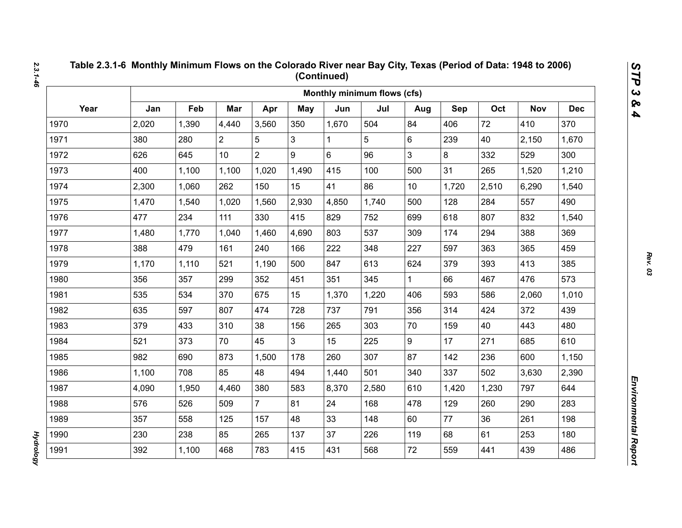|      |       |       |                |                |                |       | Monthly minimum flows (cfs) |                 |       |       |            |            |
|------|-------|-------|----------------|----------------|----------------|-------|-----------------------------|-----------------|-------|-------|------------|------------|
| Year | Jan   | Feb   | Mar            | Apr            | May            | Jun   | Jul                         | Aug             | Sep   | Oct   | <b>Nov</b> | <b>Dec</b> |
| 1970 | 2,020 | 1,390 | 4,440          | 3,560          | 350            | 1,670 | 504                         | 84              | 406   | 72    | 410        | 370        |
| 1971 | 380   | 280   | $\overline{2}$ | 5              | 3              | 1     | 5                           | 6               | 239   | 40    | 2,150      | 1,670      |
| 1972 | 626   | 645   | 10             | $\overline{2}$ | 9              | 6     | 96                          | 3               | 8     | 332   | 529        | 300        |
| 1973 | 400   | 1,100 | 1,100          | 1,020          | 1,490          | 415   | 100                         | 500             | 31    | 265   | 1,520      | 1,210      |
| 1974 | 2,300 | 1,060 | 262            | 150            | 15             | 41    | 86                          | 10 <sup>1</sup> | 1,720 | 2,510 | 6,290      | 1,540      |
| 1975 | 1,470 | 1,540 | 1,020          | 1,560          | 2,930          | 4,850 | 1,740                       | 500             | 128   | 284   | 557        | 490        |
| 1976 | 477   | 234   | 111            | 330            | 415            | 829   | 752                         | 699             | 618   | 807   | 832        | 1,540      |
| 1977 | 1,480 | 1,770 | 1,040          | 1,460          | 4,690          | 803   | 537                         | 309             | 174   | 294   | 388        | 369        |
| 1978 | 388   | 479   | 161            | 240            | 166            | 222   | 348                         | 227             | 597   | 363   | 365        | 459        |
| 1979 | 1,170 | 1,110 | 521            | 1,190          | 500            | 847   | 613                         | 624             | 379   | 393   | 413        | 385        |
| 1980 | 356   | 357   | 299            | 352            | 451            | 351   | 345                         | $\mathbf{1}$    | 66    | 467   | 476        | 573        |
| 1981 | 535   | 534   | 370            | 675            | 15             | 1,370 | 1,220                       | 406             | 593   | 586   | 2,060      | 1,010      |
| 1982 | 635   | 597   | 807            | 474            | 728            | 737   | 791                         | 356             | 314   | 424   | 372        | 439        |
| 1983 | 379   | 433   | 310            | 38             | 156            | 265   | 303                         | 70              | 159   | 40    | 443        | 480        |
| 1984 | 521   | 373   | 70             | 45             | 3 <sup>1</sup> | 15    | 225                         | 9               | 17    | 271   | 685        | 610        |
| 1985 | 982   | 690   | 873            | 1,500          | 178            | 260   | 307                         | 87              | 142   | 236   | 600        | 1,150      |
| 1986 | 1,100 | 708   | 85             | 48             | 494            | 1,440 | 501                         | 340             | 337   | 502   | 3,630      | 2,390      |
| 1987 | 4,090 | 1,950 | 4,460          | 380            | 583            | 8,370 | 2,580                       | 610             | 1,420 | 1,230 | 797        | 644        |
| 1988 | 576   | 526   | 509            | $\overline{7}$ | 81             | 24    | 168                         | 478             | 129   | 260   | 290        | 283        |
| 1989 | 357   | 558   | 125            | 157            | 48             | 33    | 148                         | 60              | 77    | 36    | 261        | 198        |
| 1990 | 230   | 238   | 85             | 265            | 137            | 37    | 226                         | 119             | 68    | 61    | 253        | 180        |
| 1991 | 392   | 1,100 | 468            | 783            | 415            | 431   | 568                         | 72              | 559   | 441   | 439        | 486        |

**Hydrology** *Hydrology*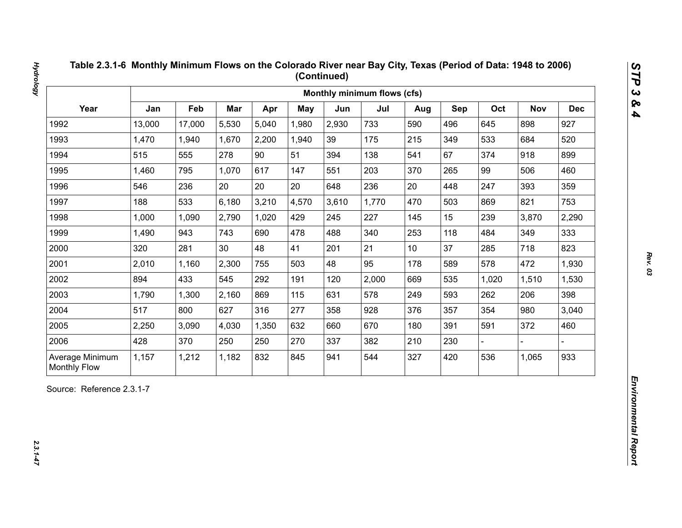| Year<br>Jan<br>Feb<br>Mar<br>Oct<br>Apr<br><b>May</b><br>Jun<br>Jul<br>Sep<br><b>Nov</b><br>Aug<br>13,000<br>5,530<br>5,040<br>2,930<br>733<br>496<br>898<br>1992<br>17,000<br>1,980<br>590<br>645<br>1993<br>1,470<br>2,200<br>39<br>175<br>215<br>349<br>533<br>684<br>1,940<br>1,670<br>1,940<br>90<br>67<br>1994<br>515<br>555<br>278<br>51<br>138<br>374<br>918<br>394<br>541<br>1995<br>1,460<br>795<br>1,070<br>617<br>203<br>265<br>99<br>506<br>147<br>551<br>370<br>20<br>20<br>20<br>236<br>20<br>393<br>1996<br>546<br>236<br>448<br>247<br>648<br>1997<br>188<br>533<br>6,180<br>3,210<br>4,570<br>3,610<br>1,770<br>503<br>821<br>470<br>869<br>2,790<br>1,020<br>227<br>15<br>239<br>1998<br>1,000<br>1,090<br>429<br>245<br>145<br>3,870<br>1999<br>1,490<br>943<br>743<br>690<br>478<br>488<br>340<br>253<br>118<br>349<br>484<br>21<br>37<br>2000<br>281<br>30<br>48<br>41<br>285<br>718<br>320<br>201<br>10 <sup>1</sup><br>2001<br>2,300<br>48<br>95<br>178<br>589<br>578<br>472<br>2,010<br>1,160<br>755<br>503<br>2002<br>894<br>433<br>545<br>292<br>2,000<br>535<br>191<br>120<br>669<br>1,020<br>1,510<br>2003<br>869<br>578<br>593<br>1,790<br>1,300<br>2,160<br>115<br>631<br>249<br>262<br>206<br>2004<br>517<br>277<br>354<br>980<br>800<br>627<br>316<br>928<br>357<br>358<br>376<br>2005<br>670<br>372<br>2,250<br>3,090<br>4,030<br>1,350<br>632<br>180<br>391<br>591<br>660<br>2006<br>428<br>370<br>250<br>250<br>270<br>337<br>382<br>210<br>230 |  |  |  | Monthly minimum flows (cfs) |  |  |            |
|-------------------------------------------------------------------------------------------------------------------------------------------------------------------------------------------------------------------------------------------------------------------------------------------------------------------------------------------------------------------------------------------------------------------------------------------------------------------------------------------------------------------------------------------------------------------------------------------------------------------------------------------------------------------------------------------------------------------------------------------------------------------------------------------------------------------------------------------------------------------------------------------------------------------------------------------------------------------------------------------------------------------------------------------------------------------------------------------------------------------------------------------------------------------------------------------------------------------------------------------------------------------------------------------------------------------------------------------------------------------------------------------------------------------------------------------------------------------------------------|--|--|--|-----------------------------|--|--|------------|
|                                                                                                                                                                                                                                                                                                                                                                                                                                                                                                                                                                                                                                                                                                                                                                                                                                                                                                                                                                                                                                                                                                                                                                                                                                                                                                                                                                                                                                                                                     |  |  |  |                             |  |  | <b>Dec</b> |
|                                                                                                                                                                                                                                                                                                                                                                                                                                                                                                                                                                                                                                                                                                                                                                                                                                                                                                                                                                                                                                                                                                                                                                                                                                                                                                                                                                                                                                                                                     |  |  |  |                             |  |  | 927        |
|                                                                                                                                                                                                                                                                                                                                                                                                                                                                                                                                                                                                                                                                                                                                                                                                                                                                                                                                                                                                                                                                                                                                                                                                                                                                                                                                                                                                                                                                                     |  |  |  |                             |  |  | 520        |
|                                                                                                                                                                                                                                                                                                                                                                                                                                                                                                                                                                                                                                                                                                                                                                                                                                                                                                                                                                                                                                                                                                                                                                                                                                                                                                                                                                                                                                                                                     |  |  |  |                             |  |  | 899        |
|                                                                                                                                                                                                                                                                                                                                                                                                                                                                                                                                                                                                                                                                                                                                                                                                                                                                                                                                                                                                                                                                                                                                                                                                                                                                                                                                                                                                                                                                                     |  |  |  |                             |  |  | 460        |
|                                                                                                                                                                                                                                                                                                                                                                                                                                                                                                                                                                                                                                                                                                                                                                                                                                                                                                                                                                                                                                                                                                                                                                                                                                                                                                                                                                                                                                                                                     |  |  |  |                             |  |  | 359        |
|                                                                                                                                                                                                                                                                                                                                                                                                                                                                                                                                                                                                                                                                                                                                                                                                                                                                                                                                                                                                                                                                                                                                                                                                                                                                                                                                                                                                                                                                                     |  |  |  |                             |  |  | 753        |
|                                                                                                                                                                                                                                                                                                                                                                                                                                                                                                                                                                                                                                                                                                                                                                                                                                                                                                                                                                                                                                                                                                                                                                                                                                                                                                                                                                                                                                                                                     |  |  |  |                             |  |  | 2,290      |
|                                                                                                                                                                                                                                                                                                                                                                                                                                                                                                                                                                                                                                                                                                                                                                                                                                                                                                                                                                                                                                                                                                                                                                                                                                                                                                                                                                                                                                                                                     |  |  |  |                             |  |  | 333        |
|                                                                                                                                                                                                                                                                                                                                                                                                                                                                                                                                                                                                                                                                                                                                                                                                                                                                                                                                                                                                                                                                                                                                                                                                                                                                                                                                                                                                                                                                                     |  |  |  |                             |  |  | 823        |
|                                                                                                                                                                                                                                                                                                                                                                                                                                                                                                                                                                                                                                                                                                                                                                                                                                                                                                                                                                                                                                                                                                                                                                                                                                                                                                                                                                                                                                                                                     |  |  |  |                             |  |  | 1,930      |
|                                                                                                                                                                                                                                                                                                                                                                                                                                                                                                                                                                                                                                                                                                                                                                                                                                                                                                                                                                                                                                                                                                                                                                                                                                                                                                                                                                                                                                                                                     |  |  |  |                             |  |  | 1,530      |
|                                                                                                                                                                                                                                                                                                                                                                                                                                                                                                                                                                                                                                                                                                                                                                                                                                                                                                                                                                                                                                                                                                                                                                                                                                                                                                                                                                                                                                                                                     |  |  |  |                             |  |  | 398        |
|                                                                                                                                                                                                                                                                                                                                                                                                                                                                                                                                                                                                                                                                                                                                                                                                                                                                                                                                                                                                                                                                                                                                                                                                                                                                                                                                                                                                                                                                                     |  |  |  |                             |  |  | 3,040      |
|                                                                                                                                                                                                                                                                                                                                                                                                                                                                                                                                                                                                                                                                                                                                                                                                                                                                                                                                                                                                                                                                                                                                                                                                                                                                                                                                                                                                                                                                                     |  |  |  |                             |  |  | 460        |
|                                                                                                                                                                                                                                                                                                                                                                                                                                                                                                                                                                                                                                                                                                                                                                                                                                                                                                                                                                                                                                                                                                                                                                                                                                                                                                                                                                                                                                                                                     |  |  |  |                             |  |  |            |
| 832<br>544<br>420<br>536<br>Average Minimum<br>1,157<br>1,212<br>1,182<br>845<br>327<br>1,065<br>941<br><b>Monthly Flow</b>                                                                                                                                                                                                                                                                                                                                                                                                                                                                                                                                                                                                                                                                                                                                                                                                                                                                                                                                                                                                                                                                                                                                                                                                                                                                                                                                                         |  |  |  |                             |  |  | 933        |

**Hydrology** 

*Rev. 03*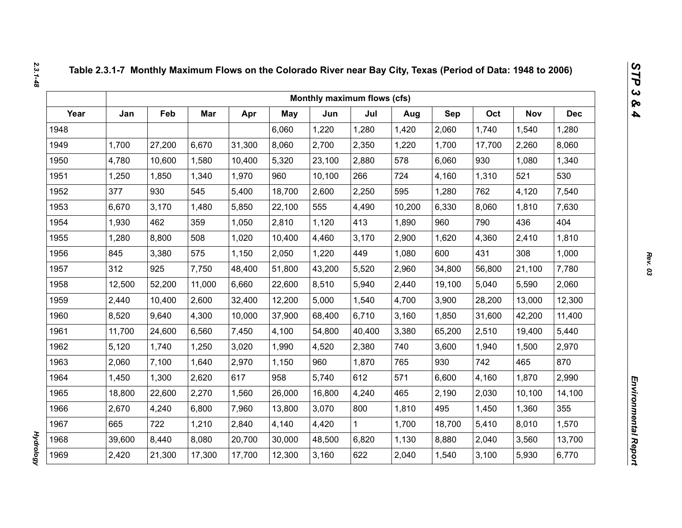|      |        |        |        |        |            | Monthly maximum flows (cfs) |        |        |        |        |            |            |
|------|--------|--------|--------|--------|------------|-----------------------------|--------|--------|--------|--------|------------|------------|
| Year | Jan    | Feb    | Mar    | Apr    | <b>May</b> | Jun                         | Jul    | Aug    | Sep    | Oct    | <b>Nov</b> | <b>Dec</b> |
| 1948 |        |        |        |        | 6,060      | 1,220                       | 1,280  | 1,420  | 2,060  | 1,740  | 1,540      | 1,280      |
| 1949 | 1,700  | 27,200 | 6,670  | 31,300 | 8,060      | 2,700                       | 2,350  | 1,220  | 1,700  | 17,700 | 2,260      | 8,060      |
| 1950 | 4,780  | 10,600 | 1,580  | 10,400 | 5,320      | 23,100                      | 2,880  | 578    | 6,060  | 930    | 1,080      | 1,340      |
| 1951 | 1,250  | 1,850  | 1,340  | 1,970  | 960        | 10,100                      | 266    | 724    | 4,160  | 1,310  | 521        | 530        |
| 1952 | 377    | 930    | 545    | 5,400  | 18,700     | 2,600                       | 2,250  | 595    | 1,280  | 762    | 4,120      | 7,540      |
| 1953 | 6,670  | 3,170  | 1,480  | 5,850  | 22,100     | 555                         | 4,490  | 10,200 | 6,330  | 8,060  | 1,810      | 7,630      |
| 1954 | 1,930  | 462    | 359    | 1,050  | 2,810      | 1,120                       | 413    | 1,890  | 960    | 790    | 436        | 404        |
| 1955 | 1,280  | 8,800  | 508    | 1,020  | 10,400     | 4,460                       | 3,170  | 2,900  | 1,620  | 4,360  | 2,410      | 1,810      |
| 1956 | 845    | 3,380  | 575    | 1,150  | 2,050      | 1,220                       | 449    | 1,080  | 600    | 431    | 308        | 1,000      |
| 1957 | 312    | 925    | 7,750  | 48,400 | 51,800     | 43,200                      | 5,520  | 2,960  | 34,800 | 56,800 | 21,100     | 7,780      |
| 1958 | 12,500 | 52,200 | 11,000 | 6,660  | 22,600     | 8,510                       | 5,940  | 2,440  | 19,100 | 5,040  | 5,590      | 2,060      |
| 1959 | 2,440  | 10,400 | 2,600  | 32,400 | 12,200     | 5,000                       | 1,540  | 4,700  | 3,900  | 28,200 | 13,000     | 12,300     |
| 1960 | 8,520  | 9,640  | 4,300  | 10,000 | 37,900     | 68,400                      | 6,710  | 3,160  | 1,850  | 31,600 | 42,200     | 11,400     |
| 1961 | 11,700 | 24,600 | 6,560  | 7,450  | 4,100      | 54,800                      | 40,400 | 3,380  | 65,200 | 2,510  | 19,400     | 5,440      |
| 1962 | 5,120  | 1,740  | 1,250  | 3,020  | 1,990      | 4,520                       | 2,380  | 740    | 3,600  | 1,940  | 1,500      | 2,970      |
| 1963 | 2,060  | 7,100  | 1,640  | 2,970  | 1,150      | 960                         | 1,870  | 765    | 930    | 742    | 465        | 870        |
| 1964 | 1,450  | 1,300  | 2,620  | 617    | 958        | 5,740                       | 612    | 571    | 6,600  | 4,160  | 1,870      | 2,990      |
| 1965 | 18,800 | 22,600 | 2,270  | 1,560  | 26,000     | 16,800                      | 4,240  | 465    | 2,190  | 2,030  | 10,100     | 14,100     |
| 1966 | 2,670  | 4,240  | 6,800  | 7,960  | 13,800     | 3,070                       | 800    | 1,810  | 495    | 1,450  | 1,360      | 355        |
| 1967 | 665    | 722    | 1,210  | 2,840  | 4,140      | 4,420                       | 1      | 1,700  | 18,700 | 5,410  | 8,010      | 1,570      |
| 1968 | 39,600 | 8,440  | 8,080  | 20,700 | 30,000     | 48,500                      | 6,820  | 1,130  | 8,880  | 2,040  | 3,560      | 13,700     |
| 1969 | 2,420  | 21,300 | 17,300 | 17,700 | 12,300     | 3,160                       | 622    | 2,040  | 1,540  | 3,100  | 5,930      | 6,770      |

*Hydrology* 

**Hydrology**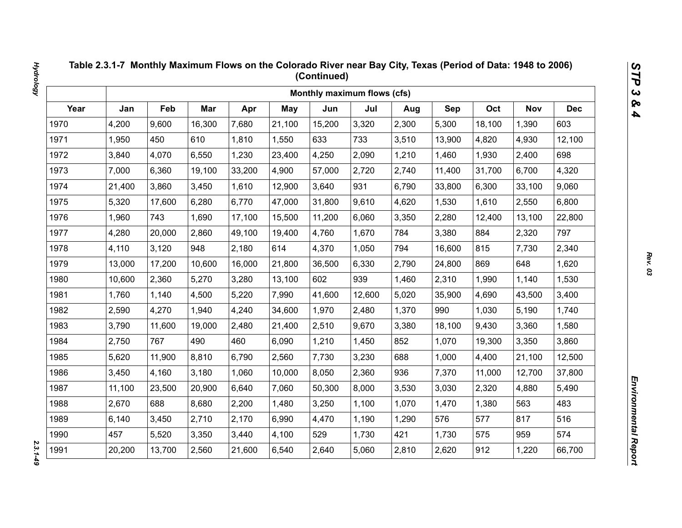|      |        |        |        |        |            | Monthly maximum flows (cfs) |        |       |        |        |            |            |
|------|--------|--------|--------|--------|------------|-----------------------------|--------|-------|--------|--------|------------|------------|
| Year | Jan    | Feb    | Mar    | Apr    | <b>May</b> | Jun                         | Jul    | Aug   | Sep    | Oct    | <b>Nov</b> | <b>Dec</b> |
| 1970 | 4,200  | 9,600  | 16,300 | 7,680  | 21,100     | 15,200                      | 3,320  | 2,300 | 5,300  | 18,100 | 1,390      | 603        |
| 1971 | 1,950  | 450    | 610    | 1,810  | 1,550      | 633                         | 733    | 3,510 | 13,900 | 4,820  | 4,930      | 12,100     |
| 1972 | 3,840  | 4,070  | 6,550  | 1,230  | 23,400     | 4,250                       | 2,090  | 1,210 | 1,460  | 1,930  | 2,400      | 698        |
| 1973 | 7,000  | 6,360  | 19,100 | 33,200 | 4,900      | 57,000                      | 2,720  | 2,740 | 11,400 | 31,700 | 6,700      | 4,320      |
| 1974 | 21,400 | 3,860  | 3,450  | 1,610  | 12,900     | 3,640                       | 931    | 6,790 | 33,800 | 6,300  | 33,100     | 9,060      |
| 1975 | 5,320  | 17,600 | 6,280  | 6,770  | 47,000     | 31,800                      | 9,610  | 4,620 | 1,530  | 1,610  | 2,550      | 6,800      |
| 1976 | 1,960  | 743    | 1,690  | 17,100 | 15,500     | 11,200                      | 6,060  | 3,350 | 2,280  | 12,400 | 13,100     | 22,800     |
| 1977 | 4,280  | 20,000 | 2,860  | 49,100 | 19,400     | 4,760                       | 1,670  | 784   | 3,380  | 884    | 2,320      | 797        |
| 1978 | 4,110  | 3,120  | 948    | 2,180  | 614        | 4,370                       | 1,050  | 794   | 16,600 | 815    | 7,730      | 2,340      |
| 1979 | 13,000 | 17,200 | 10,600 | 16,000 | 21,800     | 36,500                      | 6,330  | 2,790 | 24,800 | 869    | 648        | 1,620      |
| 1980 | 10,600 | 2,360  | 5,270  | 3,280  | 13,100     | 602                         | 939    | 1,460 | 2,310  | 1,990  | 1,140      | 1,530      |
| 1981 | 1,760  | 1,140  | 4,500  | 5,220  | 7,990      | 41,600                      | 12,600 | 5,020 | 35,900 | 4,690  | 43,500     | 3,400      |
| 1982 | 2,590  | 4,270  | 1,940  | 4,240  | 34,600     | 1,970                       | 2,480  | 1,370 | 990    | 1,030  | 5,190      | 1,740      |
| 1983 | 3,790  | 11,600 | 19,000 | 2,480  | 21,400     | 2,510                       | 9,670  | 3,380 | 18,100 | 9,430  | 3,360      | 1,580      |
| 1984 | 2,750  | 767    | 490    | 460    | 6,090      | 1,210                       | 1,450  | 852   | 1,070  | 19,300 | 3,350      | 3,860      |
| 1985 | 5,620  | 11,900 | 8,810  | 6,790  | 2,560      | 7,730                       | 3,230  | 688   | 1,000  | 4,400  | 21,100     | 12,500     |
| 1986 | 3,450  | 4,160  | 3,180  | 1,060  | 10,000     | 8,050                       | 2,360  | 936   | 7,370  | 11,000 | 12,700     | 37,800     |
| 1987 | 11,100 | 23,500 | 20,900 | 6,640  | 7,060      | 50,300                      | 8,000  | 3,530 | 3,030  | 2,320  | 4,880      | 5,490      |
| 1988 | 2,670  | 688    | 8,680  | 2,200  | 1,480      | 3,250                       | 1,100  | 1,070 | 1,470  | 1,380  | 563        | 483        |
| 1989 | 6,140  | 3,450  | 2,710  | 2,170  | 6,990      | 4,470                       | 1,190  | 1,290 | 576    | 577    | 817        | 516        |
| 1990 | 457    | 5,520  | 3,350  | 3,440  | 4,100      | 529                         | 1,730  | 421   | 1,730  | 575    | 959        | 574        |
| 1991 | 20,200 | 13,700 | 2,560  | 21,600 | 6,540      | 2,640                       | 5,060  | 2,810 | 2,620  | 912    | 1,220      | 66,700     |

 $2.3.1 - 49$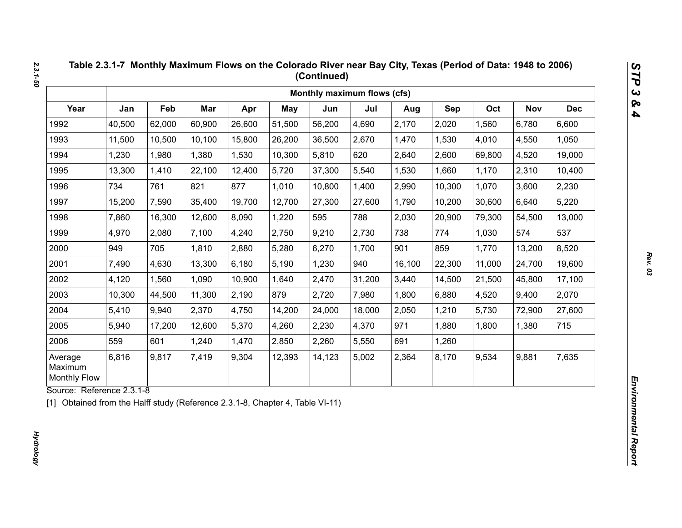|                                           |        |        |        |        |            | Monthly maximum flows (cfs) |        |        |        |        |            |            |
|-------------------------------------------|--------|--------|--------|--------|------------|-----------------------------|--------|--------|--------|--------|------------|------------|
| Year                                      | Jan    | Feb    | Mar    | Apr    | <b>May</b> | Jun                         | Jul    | Aug    | Sep    | Oct    | <b>Nov</b> | <b>Dec</b> |
| 1992                                      | 40,500 | 62,000 | 60,900 | 26,600 | 51,500     | 56,200                      | 4,690  | 2,170  | 2,020  | 1,560  | 6,780      | 6,600      |
| 1993                                      | 11,500 | 10,500 | 10,100 | 15,800 | 26,200     | 36,500                      | 2,670  | 1,470  | 1,530  | 4,010  | 4,550      | 1,050      |
| 1994                                      | 1,230  | 1,980  | 1,380  | 1,530  | 10,300     | 5,810                       | 620    | 2,640  | 2,600  | 69,800 | 4,520      | 19,000     |
| 1995                                      | 13,300 | 1,410  | 22,100 | 12,400 | 5,720      | 37,300                      | 5,540  | 1,530  | 1,660  | 1,170  | 2,310      | 10,400     |
| 1996                                      | 734    | 761    | 821    | 877    | 1,010      | 10,800                      | 1,400  | 2,990  | 10,300 | 1,070  | 3,600      | 2,230      |
| 1997                                      | 15,200 | 7,590  | 35,400 | 19,700 | 12,700     | 27,300                      | 27,600 | 1,790  | 10,200 | 30,600 | 6,640      | 5,220      |
| 1998                                      | 7,860  | 16,300 | 12,600 | 8,090  | 1,220      | 595                         | 788    | 2,030  | 20,900 | 79,300 | 54,500     | 13,000     |
| 1999                                      | 4,970  | 2,080  | 7,100  | 4,240  | 2,750      | 9,210                       | 2,730  | 738    | 774    | 1,030  | 574        | 537        |
| 2000                                      | 949    | 705    | 1,810  | 2,880  | 5,280      | 6,270                       | 1,700  | 901    | 859    | 1,770  | 13,200     | 8,520      |
| 2001                                      | 7,490  | 4,630  | 13,300 | 6,180  | 5,190      | 1,230                       | 940    | 16,100 | 22,300 | 11,000 | 24,700     | 19,600     |
| 2002                                      | 4,120  | 1,560  | 1,090  | 10,900 | 1,640      | 2,470                       | 31,200 | 3,440  | 14,500 | 21,500 | 45,800     | 17,100     |
| 2003                                      | 10,300 | 44,500 | 11,300 | 2,190  | 879        | 2,720                       | 7,980  | 1,800  | 6,880  | 4,520  | 9,400      | 2,070      |
| 2004                                      | 5,410  | 9,940  | 2,370  | 4,750  | 14,200     | 24,000                      | 18,000 | 2,050  | 1,210  | 5,730  | 72,900     | 27,600     |
| 2005                                      | 5,940  | 17,200 | 12,600 | 5,370  | 4,260      | 2,230                       | 4,370  | 971    | 1,880  | 1,800  | 1,380      | 715        |
| 2006                                      | 559    | 601    | 1,240  | 1,470  | 2,850      | 2,260                       | 5,550  | 691    | 1,260  |        |            |            |
| Average<br>Maximum<br><b>Monthly Flow</b> | 6,816  | 9,817  | 7,419  | 9,304  | 12,393     | 14,123                      | 5,002  | 2,364  | 8,170  | 9,534  | 9,881      | 7,635      |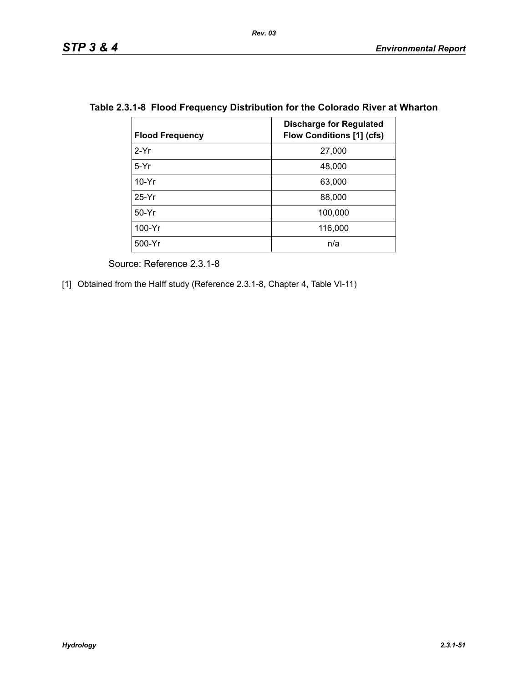| <b>Flood Frequency</b> | <b>Discharge for Regulated</b><br><b>Flow Conditions [1] (cfs)</b> |
|------------------------|--------------------------------------------------------------------|
| $2-Yr$                 | 27,000                                                             |
| $5-Yr$                 | 48,000                                                             |
| $10-Yr$                | 63,000                                                             |
| $25-Yr$                | 88,000                                                             |
| $50-Yr$                | 100,000                                                            |
| 100-Yr                 | 116,000                                                            |
| 500-Yr                 | n/a                                                                |

# **Table 2.3.1-8 Flood Frequency Distribution for the Colorado River at Wharton**

Source: Reference 2.3.1-8

[1] Obtained from the Halff study (Reference 2.3.1-8, Chapter 4, Table VI-11)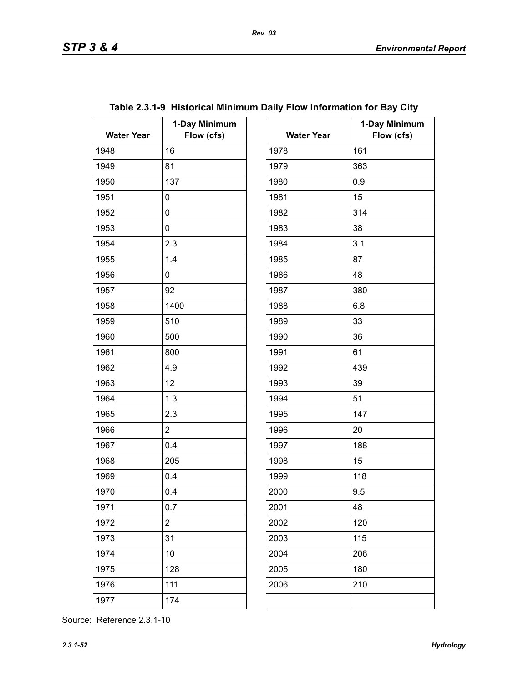| <b>Water Year</b> | 1-Day Minimum<br>Flow (cfs) | <b>Water Year</b> |     |
|-------------------|-----------------------------|-------------------|-----|
| 1948              | 16                          | 1978              | 161 |
| 1949              | 81                          | 1979              | 363 |
| 1950              | 137                         | 1980              | 0.9 |
| 1951              | 0                           | 1981              | 15  |
| 1952              | 0                           | 1982              | 314 |
| 1953              | 0                           | 1983              | 38  |
| 1954              | 2.3                         | 1984              | 3.1 |
| 1955              | 1.4                         | 1985              | 87  |
| 1956              | 0                           | 1986              | 48  |
| 1957              | 92                          | 1987              | 380 |
| 1958              | 1400                        | 1988              | 6.8 |
| 1959              | 510                         | 1989              | 33  |
| 1960              | 500                         | 1990              | 36  |
| 1961              | 800                         | 1991              | 61  |
| 1962              | 4.9                         | 1992              | 439 |
| 1963              | 12                          | 1993              | 39  |
| 1964              | 1.3                         | 1994              | 51  |
| 1965              | 2.3                         | 1995              | 147 |
| 1966              | $\overline{2}$              | 1996              | 20  |
| 1967              | 0.4                         | 1997              | 188 |
| 1968              | 205                         | 1998              | 15  |
| 1969              | 0.4                         | 1999              | 118 |
| 1970              | 0.4                         | 2000              | 9.5 |
| 1971              | 0.7                         | 2001              | 48  |
| 1972              | $\overline{c}$              | 2002              | 120 |
| 1973              | 31                          | 2003              | 115 |
| 1974              | 10                          | 2004              | 206 |
| 1975              | 128                         | 2005              | 180 |
| 1976              | 111                         | 2006              | 210 |
| 1977              | 174                         |                   |     |
|                   |                             |                   |     |

| Table 2.3.1-9 Historical Minimum Daily Flow Information for Bay City |  |  |  |  |  |  |
|----------------------------------------------------------------------|--|--|--|--|--|--|
|----------------------------------------------------------------------|--|--|--|--|--|--|

| ay Minimum<br>Flow (cfs) | <b>Water Year</b> | 1-Day Minimum<br>Flow (cfs) |
|--------------------------|-------------------|-----------------------------|
|                          | 1978              | 161                         |
|                          | 1979              | 363                         |
|                          | 1980              | 0.9                         |
|                          | 1981              | 15                          |
|                          | 1982              | 314                         |
|                          | 1983              | 38                          |
|                          | 1984              | 3.1                         |
|                          | 1985              | 87                          |
|                          | 1986              | 48                          |
|                          | 1987              | 380                         |
|                          | 1988              | 6.8                         |
|                          | 1989              | 33                          |
|                          | 1990              | 36                          |
|                          | 1991              | 61                          |
|                          | 1992              | 439                         |
|                          | 1993              | 39                          |
|                          | 1994              | 51                          |
|                          | 1995              | 147                         |
|                          | 1996              | 20                          |
|                          | 1997              | 188                         |
|                          | 1998              | 15                          |
|                          | 1999              | 118                         |
|                          | 2000              | 9.5                         |
|                          | 2001              | 48                          |
|                          | 2002              | 120                         |
|                          | 2003              | 115                         |
|                          | 2004              | 206                         |
|                          | 2005              | 180                         |
|                          | 2006              | 210                         |
|                          |                   |                             |
|                          |                   |                             |

Source: Reference 2.3.1-10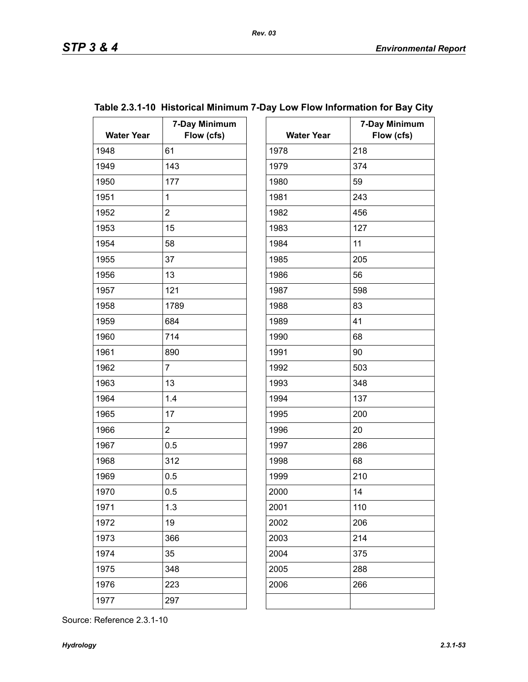| <b>Water Year</b> | 7-Day Minimum<br>Flow (cfs) | <b>Water Year</b> | $7-$ |
|-------------------|-----------------------------|-------------------|------|
| 1948              | 61                          | 1978              | 218  |
| 1949              | 143                         | 1979              | 374  |
| 1950              | 177                         | 1980              | 59   |
| 1951              | $\mathbf 1$                 | 1981              | 243  |
| 1952              | $\overline{2}$              | 1982              | 456  |
| 1953              | 15                          | 1983              | 127  |
| 1954              | 58                          | 1984              | 11   |
| 1955              | 37                          | 1985              | 205  |
| 1956              | 13                          | 1986              | 56   |
| 1957              | 121                         | 1987              | 598  |
| 1958              | 1789                        | 1988              | 83   |
| 1959              | 684                         | 1989              | 41   |
| 1960              | 714                         | 1990              | 68   |
| 1961              | 890                         | 1991              | 90   |
| 1962              | $\overline{7}$              | 1992              | 503  |
| 1963              | 13                          | 1993              | 348  |
| 1964              | 1.4                         | 1994              | 137  |
| 1965              | 17                          | 1995              | 200  |
| 1966              | $\overline{2}$              | 1996              | 20   |
| 1967              | 0.5                         | 1997              | 286  |
| 1968              | 312                         | 1998              | 68   |
| 1969              | 0.5                         | 1999              | 210  |
| 1970              | 0.5                         | 2000              | 14   |
| 1971              | 1.3                         | 2001              | 110  |
| 1972              | 19                          | 2002              | 206  |
| 1973              | 366                         | 2003              | 214  |
| 1974              | 35                          | 2004              | 375  |
| 1975              | 348                         | 2005              | 288  |
| 1976              | 223                         | 2006              | 266  |
| 1977              | 297                         |                   |      |
|                   |                             |                   |      |

# **Table 2.3.1-10 Historical Minimum 7-Day Low Flow Information for Bay City**

| ay Minimum<br>Flow (cfs) | <b>Water Year</b> | 7-Day Minimum<br>Flow (cfs) |
|--------------------------|-------------------|-----------------------------|
|                          | 1978              | 218                         |
|                          | 1979              | 374                         |
|                          | 1980              | 59                          |
|                          | 1981              | 243                         |
|                          |                   |                             |
|                          | 1982<br>1983      | 456                         |
|                          |                   | 127                         |
|                          | 1984              | 11                          |
|                          | 1985              | 205                         |
|                          | 1986              | 56                          |
|                          | 1987              | 598                         |
|                          | 1988              | 83                          |
|                          | 1989              | 41                          |
|                          | 1990              | 68                          |
|                          | 1991              | 90                          |
|                          | 1992              | 503                         |
|                          | 1993              | 348                         |
|                          | 1994              | 137                         |
|                          | 1995              | 200                         |
|                          | 1996              | 20                          |
|                          | 1997              | 286                         |
|                          | 1998              | 68                          |
|                          | 1999              | 210                         |
|                          | 2000              | 14                          |
|                          | 2001              | 110                         |
|                          | 2002              | 206                         |
|                          | 2003              | 214                         |
|                          | 2004              | 375                         |
|                          | 2005              | 288                         |
|                          | 2006              | 266                         |
|                          |                   |                             |
|                          |                   |                             |

Source: Reference 2.3.1-10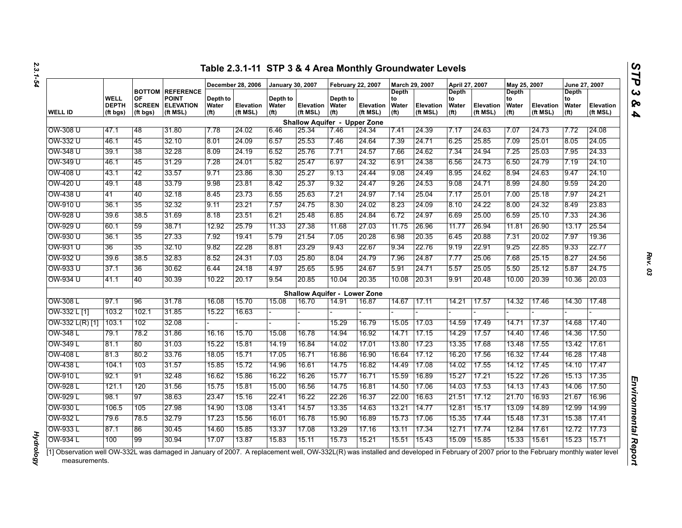|                 |                                         |                                 |                                                                         |                           | December 28, 2006            | January 30, 2007                       |                                     | <b>February 22, 2007</b>               |                       | March 29, 2007                            |                              | April 27, 2007                                   |                              | May 25, 2007                                            |                              | June 27, 2007                             |                       |
|-----------------|-----------------------------------------|---------------------------------|-------------------------------------------------------------------------|---------------------------|------------------------------|----------------------------------------|-------------------------------------|----------------------------------------|-----------------------|-------------------------------------------|------------------------------|--------------------------------------------------|------------------------------|---------------------------------------------------------|------------------------------|-------------------------------------------|-----------------------|
| <b>WELL ID</b>  | <b>WELL</b><br><b>DEPTH</b><br>(ft bgs) | OF<br><b>SCREEN</b><br>(ft bgs) | <b>BOTTOM REFERENCE</b><br><b>POINT</b><br><b>ELEVATION</b><br>(ft MSL) | Depth to<br>Water<br>(ft) | <b>Elevation</b><br>(ft MSL) | Depth to<br>Water<br>(f <sup>t</sup> ) | Elevation<br>(ft MSL)               | Depth to<br>Water<br>(f <sup>t</sup> ) | Elevation<br>(ft MSL) | Depth<br>to<br>Water<br>(f <sup>t</sup> ) | <b>Elevation</b><br>(ft MSL) | <b>Depth</b><br>to<br>Water<br>(f <sup>t</sup> ) | <b>Elevation</b><br>(ft MSL) | <b>Depth</b><br>to<br><b>Water</b><br>(f <sup>t</sup> ) | <b>Elevation</b><br>(ft MSL) | Depth<br>to<br>Water<br>(f <sup>t</sup> ) | Elevation<br>(ft MSL) |
|                 |                                         |                                 |                                                                         |                           |                              |                                        | <b>Shallow Aquifer - Upper Zone</b> |                                        |                       |                                           |                              |                                                  |                              |                                                         |                              |                                           |                       |
| OW-308 U        | 47.1                                    | 48                              | 31.80                                                                   | 7.78                      | 24.02                        | 6.46                                   | 25.34                               | 7.46                                   | 24.34                 | 7.41                                      | 24.39                        | 7.17                                             | 24.63                        | 7.07                                                    | 24.73                        | 7.72                                      | 24.08                 |
| OW-332 U        | 46.1                                    | 45                              | 32.10                                                                   | 8.01                      | 24.09                        | 6.57                                   | 25.53                               | 7.46                                   | 24.64                 | 7.39                                      | 24.71                        | 6.25                                             | 25.85                        | 7.09                                                    | 25.01                        | 8.05                                      | 24.05                 |
| OW-348 U        | 39.1                                    | 38                              | 32.28                                                                   | 8.09                      | 24.19                        | 6.52                                   | 25.76                               | 7.71                                   | 24.57                 | 7.66                                      | 24.62                        | 7.34                                             | 24.94                        | 7.25                                                    | 25.03                        | 7.95                                      | 24.33                 |
| OW-349 U        | 46.1                                    | 45                              | 31.29                                                                   | 7.28                      | 24.01                        | 5.82                                   | 25.47                               | 6.97                                   | 24.32                 | 6.91                                      | 24.38                        | 6.56                                             | 24.73                        | 6.50                                                    | 24.79                        | 7.19                                      | 24.10                 |
| OW-408 U        | 43.1                                    | 42                              | 33.57                                                                   | 9.71                      | 23.86                        | 8.30                                   | 25.27                               | 9.13                                   | 24.44                 | 9.08                                      | 24.49                        | 8.95                                             | 24.62                        | 8.94                                                    | 24.63                        | 9.47                                      | 24.10                 |
| OW-420 U        | 49.1                                    | 48                              | 33.79                                                                   | 9.98                      | 23.81                        | 8.42                                   | 25.37                               | 9.32                                   | 24.47                 | 9.26                                      | 24.53                        | 9.08                                             | 24.71                        | 8.99                                                    | 24.80                        | 9.59                                      | 24.20                 |
| OW-438 U        | 41                                      | 40                              | 32.18                                                                   | 8.45                      | 23.73                        | 6.55                                   | 25.63                               | 7.21                                   | 24.97                 | 7.14                                      | 25.04                        | 7.17                                             | 25.01                        | 7.00                                                    | 25.18                        | 7.97                                      | 24.21                 |
| OW-910 U        | 36.1                                    | 35                              | 32.32                                                                   | 9.11                      | 23.21                        | 7.57                                   | 24.75                               | 8.30                                   | 24.02                 | 8.23                                      | 24.09                        | 8.10                                             | 24.22                        | 8.00                                                    | 24.32                        | 8.49                                      | 23.83                 |
| OW-928 U        | 39.6                                    | 38.5                            | 31.69                                                                   | 8.18                      | 23.51                        | 6.21                                   | 25.48                               | 6.85                                   | 24.84                 | 6.72                                      | 24.97                        | 6.69                                             | 25.00                        | 6.59                                                    | 25.10                        | 7.33                                      | 24.36                 |
| OW-929 U        | 60.1                                    | 59                              | 38.71                                                                   | 12.92                     | 25.79                        | 11.33                                  | 27.38                               | 11.68                                  | 27.03                 | 11.75                                     | 26.96                        | 11.77                                            | 26.94                        | 11.81                                                   | 26.90                        | 13.17                                     | 25.54                 |
| OW-930 U        | 36.1                                    | 35                              | 27.33                                                                   | 7.92                      | 19.41                        | 5.79                                   | 21.54                               | 7.05                                   | 20.28                 | 6.98                                      | 20.35                        | 6.45                                             | 20.88                        | 7.31                                                    | 20.02                        | 7.97                                      | 19.36                 |
| OW-931 U        | 36                                      | 35                              | 32.10                                                                   | 9.82                      | 22.28                        | 8.81                                   | 23.29                               | 9.43                                   | 22.67                 | 9.34                                      | 22.76                        | 9.19                                             | 22.91                        | 9.25                                                    | 22.85                        | 9.33                                      | 22.77                 |
| OW-932 U        | 39.6                                    | 38.5                            | 32.83                                                                   | 8.52                      | 24.31                        | 7.03                                   | 25.80                               | 8.04                                   | 24.79                 | 7.96                                      | 24.87                        | 7.77                                             | 25.06                        | 7.68                                                    | 25.15                        | 8.27                                      | 24.56                 |
| OW-933 U        | 37.1                                    | 36                              | 30.62                                                                   | 6.44                      | 24.18                        | 4.97                                   | 25.65                               | 5.95                                   | 24.67                 | 5.91                                      | 24.71                        | 5.57                                             | 25.05                        | 5.50                                                    | 25.12                        | 5.87                                      | 24.75                 |
| OW-934 U        | 41.1                                    | 40                              | 30.39                                                                   | 10.22                     | 20.17                        | 9.54                                   | 20.85                               | 10.04                                  | 20.35                 | 10.08                                     | 20.31                        | 9.91                                             | 20.48                        | 10.00                                                   | 20.39                        | 10.36                                     | 20.03                 |
|                 |                                         |                                 |                                                                         |                           |                              |                                        | <b>Shallow Aquifer - Lower Zone</b> |                                        |                       |                                           |                              |                                                  |                              |                                                         |                              |                                           |                       |
| OW-308 L        | 97.1                                    | 96                              | 31.78                                                                   | 16.08                     | 15.70                        | 15.08                                  | 16.70                               | 14.91                                  | 16.87                 | 14.67                                     | 17.11                        | 14.21                                            | 17.57                        | 14.32                                                   | 17.46                        | 14.30                                     | 17.48                 |
| OW-332 L [1]    | 103.2                                   | 102.1                           | 31.85                                                                   | 15.22                     | 16.63                        |                                        |                                     |                                        |                       |                                           |                              |                                                  |                              |                                                         |                              |                                           |                       |
| OW-332 L(R) [1] | 103.1                                   | 102                             | 32.08                                                                   |                           |                              |                                        |                                     | 15.29                                  | 16.79                 | 15.05                                     | 17.03                        | 14.59                                            | 17.49                        | 14.71                                                   | 17.37                        | 14.68                                     | 17.40                 |
| OW-348 L        | 79.1                                    | 78.2                            | 31.86                                                                   | 16.16                     | 15.70                        | 15.08                                  | 16.78                               | 14.94                                  | 16.92                 | 14.71                                     | 17.15                        | 14.29                                            | 17.57                        | 14.40                                                   | 17.46                        | 14.36                                     | 17.50                 |
| OW-349 L        | 81.1                                    | 80                              | 31.03                                                                   | 15.22                     | 15.81                        | 14.19                                  | 16.84                               | 14.02                                  | 17.01                 | 13.80                                     | 17.23                        | 13.35                                            | 17.68                        | 13.48                                                   | 17.55                        | 13.42                                     | 17.61                 |
| OW-408 L        | 81.3                                    | 80.2                            | 33.76                                                                   | 18.05                     | 15.71                        | 17.05                                  | 16.71                               | 16.86                                  | 16.90                 | 16.64                                     | 17.12                        | 16.20                                            | 17.56                        | 16.32                                                   | 17.44                        | 16.28                                     | 17.48                 |
| OW-438 L        | 104.1                                   | 103                             | 31.57                                                                   | 15.85                     | 15.72                        | 14.96                                  | 16.61                               | 14.75                                  | 16.82                 | 14.49                                     | 17.08                        | 14.02                                            | 17.55                        | 14.12                                                   | 17.45                        | 14.10                                     | 17.47                 |
| OW-910L         | 92.1                                    | 91                              | 32.48                                                                   | 16.62                     | 15.86                        | 16.22                                  | 16.26                               | 15.77                                  | 16.71                 | 15.59                                     | 16.89                        | 15.27                                            | 17.21                        | 15.22                                                   | 17.26                        | 15.13                                     | 17.35                 |
| OW-928 L        | 121.1                                   | 120                             | 31.56                                                                   | 15.75                     | 15.81                        | 15.00                                  | 16.56                               | 14.75                                  | 16.81                 | 14.50                                     | 17.06                        | 14.03                                            | 17.53                        | 14.13                                                   | 17.43                        | 14.06                                     | 17.50                 |
| OW-929 L        | 98.1                                    | 97                              | 38.63                                                                   | 23.47                     | 15.16                        | 22.41                                  | 16.22                               | 22.26                                  | 16.37                 | 22.00                                     | 16.63                        | 21.51                                            | 17.12                        | 21.70                                                   | 16.93                        | 21.67                                     | 16.96                 |
| OW-930 L        | 106.5                                   | 105                             | 27.98                                                                   | 14.90                     | 13.08                        | 13.41                                  | 14.57                               | 13.35                                  | 14.63                 | 13.21                                     | 14.77                        | 12.81                                            | 15.17                        | 13.09                                                   | 14.89                        | 12.99                                     | 14.99                 |
| OW-932 L        | 79.6                                    | 78.5                            | 32.79                                                                   | 17.23                     | 15.56                        | 16.01                                  | 16.78                               | 15.90                                  | 16.89                 | 15.73                                     | 17.06                        | 15.35                                            | 17.44                        | 15.48                                                   | 17.31                        | 15.38                                     | 17.41                 |
| OW-933 L        | 87.1                                    | 86                              | 30.45                                                                   | 14.60                     | 15.85                        | 13.37                                  | 17.08                               | 13.29                                  | 17.16                 | 13.11                                     | 17.34                        | 12.71                                            | 17.74                        | 12.84                                                   | 17.61                        | 12.72                                     | 17.73                 |
| OW-934 L        | 100                                     | 99                              | 30.94                                                                   | 17.07                     | 13.87                        | 15.83                                  | 15.11                               | 15.73                                  | 15.21                 | 15.51                                     | 15.43                        | 15.09                                            | 15.85                        | 15.33                                                   | 15.61                        | 15.23                                     | 15.71                 |

*Hydrology* 

**Hydrology**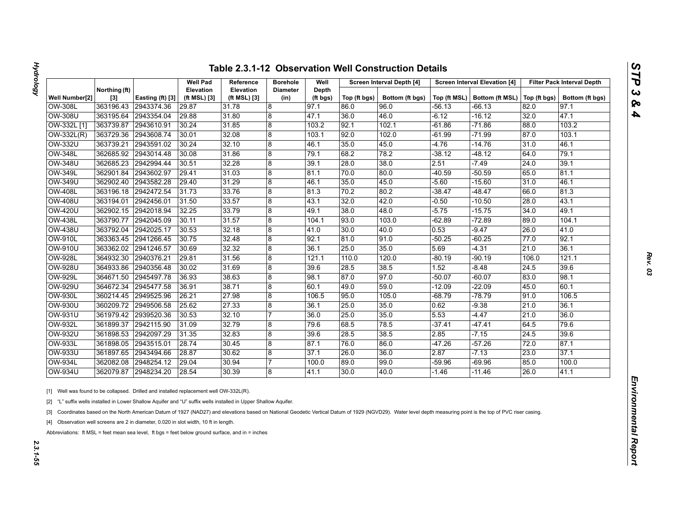| J              |
|----------------|
|                |
|                |
| ç<br>$\bullet$ |
|                |

|                |                      |                  | <b>Well Pad</b>                  | Reference                 | <b>Borehole</b>         | Well              |              | Screen Interval Depth [4] |          | <b>Screen Interval Elevation [4]</b>          |       | <b>Filter Pack Interval Depth</b> |
|----------------|----------------------|------------------|----------------------------------|---------------------------|-------------------------|-------------------|--------------|---------------------------|----------|-----------------------------------------------|-------|-----------------------------------|
| Well Number[2] | Northing (ft)<br>[3] | Easting (ft) [3] | <b>Elevation</b><br>(ft MSL) [3] | Elevation<br>(ft MSL) [3] | <b>Diameter</b><br>(in) | Depth<br>(ft bgs) | Top (ft bgs) | Bottom (ft bgs)           |          | Top (ft MSL)   Bottom (ft MSL)   Top (ft bgs) |       | Bottom (ft bgs)                   |
| <b>OW-308L</b> | 363196.43            | 2943374.36       | 29.87                            | 31.78                     | 8                       | 97.1              | 86.0         | 96.0                      | -56.13   | -66.13                                        | 82.0  | 97.1                              |
| <b>OW-308U</b> | 363195.64            | 2943354.04       | 29.88                            | 31.80                     | $\overline{8}$          | 47.1              | 36.0         | 46.0                      | $-6.12$  | -16.12                                        | 32.0  | 47.1                              |
| OW-332L [1]    | 363739.87            | 2943610.91       | 30.24                            | 31.85                     | 8                       | 103.2             | 92.1         | 102.1                     | $-61.86$ | $-71.86$                                      | 88.0  | 103.2                             |
| OW-332L(R)     | 363729.36            | 2943608.74       | 30.01                            | 32.08                     | 8                       | 103.1             | 92.0         | 102.0                     | $-61.99$ | $-71.99$                                      | 87.0  | 103.1                             |
| <b>OW-332U</b> | 363739.21            | 2943591.02       | 30.24                            | 32.10                     | $\overline{8}$          | 46.1              | 35.0         | 45.0                      | -4.76    | $-14.76$                                      | 31.0  | 46.1                              |
| <b>OW-348L</b> | 362685.92            | 2943014.48       | 30.08                            | 31.86                     | 8                       | 79.1              | 68.2         | 78.2                      | $-38.12$ | $-48.12$                                      | 64.0  | 79.1                              |
| <b>OW-348U</b> | 362685.23            | 2942994.44       | 30.51                            | 32.28                     | 8                       | 39.1              | 28.0         | 38.0                      | 2.51     | $-7.49$                                       | 24.0  | 39.1                              |
| <b>OW-349L</b> | 362901.84            | 2943602.97       | 29.41                            | 31.03                     | 8                       | 81.1              | 70.0         | 80.0                      | $-40.59$ | $-50.59$                                      | 65.0  | 81.1                              |
| <b>OW-349U</b> | 362902.40            | 2943582.28       | 29.40                            | 31.29                     | 8                       | 46.1              | 35.0         | 45.0                      | $-5.60$  | $-15.60$                                      | 31.0  | 46.1                              |
| <b>OW-408L</b> | 363196.18            | 2942472.54       | 31.73                            | 33.76                     | 8                       | 81.3              | 70.2         | 80.2                      | $-38.47$ | $-48.47$                                      | 66.0  | 81.3                              |
| <b>OW-408U</b> | 363194.01            | 2942456.01       | 31.50                            | 33.57                     | $\overline{8}$          | 43.1              | 32.0         | 42.0                      | -0.50    | $-10.50$                                      | 28.0  | 43.1                              |
| <b>OW-420U</b> | 362902.15            | 2942018.94       | 32.25                            | 33.79                     | 8                       | 49.1              | 38.0         | 48.0                      | $-5.75$  | $-15.75$                                      | 34.0  | 49.1                              |
| <b>OW-438L</b> | 363790.77            | 2942045.09       | 30.11                            | 31.57                     | 8                       | 104.1             | 93.0         | 103.0                     | $-62.89$ | $-72.89$                                      | 89.0  | 104.1                             |
| <b>OW-438U</b> | 363792.04            | 2942025.17       | 30.53                            | 32.18                     | $\overline{8}$          | 41.0              | 30.0         | 40.0                      | 0.53     | $-9.47$                                       | 26.0  | 41.0                              |
| <b>OW-910L</b> | 363363.45            | 2941266.45       | 30.75                            | 32.48                     | 8                       | 92.1              | 81.0         | 91.0                      | $-50.25$ | $-60.25$                                      | 77.0  | 92.1                              |
| OW-910U        | 363362.02            | 2941246.57       | 30.69                            | 32.32                     | 8                       | 36.1              | 25.0         | 35.0                      | 5.69     | $-4.31$                                       | 21.0  | 36.1                              |
| <b>OW-928L</b> | 364932.30            | 2940376.21       | 29.81                            | 31.56                     | 8                       | 121.1             | 110.0        | 120.0                     | $-80.19$ | $-90.19$                                      | 106.0 | 121.1                             |
| <b>OW-928U</b> | 364933.86            | 2940356.48       | 30.02                            | 31.69                     | 8                       | 39.6              | 28.5         | 38.5                      | 1.52     | $-8.48$                                       | 24.5  | 39.6                              |
| <b>OW-929L</b> | 364671.50            | 2945497.78       | 36.93                            | 38.63                     | 8                       | 98.1              | 87.0         | 97.0                      | $-50.07$ | $-60.07$                                      | 83.0  | 98.1                              |
| <b>OW-929U</b> | 364672.34            | 2945477.58       | 36.91                            | 38.71                     | 8                       | 60.1              | 49.0         | 59.0                      | -12.09   | $-22.09$                                      | 45.0  | 60.1                              |
| <b>OW-930L</b> | 360214.45            | 2949525.96       | 26.21                            | 27.98                     | 8                       | 106.5             | 95.0         | 105.0                     | -68.79   | $-78.79$                                      | 91.0  | 106.5                             |
| OW-930U        | 360209.72            | 2949506.58       | 25.62                            | 27.33                     | 8                       | 36.1              | 25.0         | 35.0                      | 0.62     | $-9.38$                                       | 21.0  | 36.1                              |
| <b>OW-931U</b> | 361979.42            | 2939520.36       | 30.53                            | 32.10                     | 7                       | 36.0              | 25.0         | 35.0                      | 5.53     | $-4.47$                                       | 21.0  | 36.0                              |
| <b>OW-932L</b> | 361899.37            | 2942115.90       | 31.09                            | 32.79                     | 8                       | 79.6              | 68.5         | 78.5                      | $-37.41$ | -47.41                                        | 64.5  | 79.6                              |
| <b>OW-932U</b> | 361898.53            | 2942097.29       | 31.35                            | 32.83                     | $\boldsymbol{8}$        | 39.6              | 28.5         | 38.5                      | 2.85     | $-7.15$                                       | 24.5  | 39.6                              |
| <b>OW-933L</b> | 361898.05            | 2943515.01       | 28.74                            | 30.45                     | 8                       | 87.1              | 76.0         | 86.0                      | $-47.26$ | $-57.26$                                      | 72.0  | 87.1                              |
| <b>OW-933U</b> | 361897.65            | 2943494.66       | 28.87                            | 30.62                     | 8                       | 37.1              | 26.0         | 36.0                      | 2.87     | $-7.13$                                       | 23.0  | 37.1                              |
| <b>OW-934L</b> | 362082.08            | 2948254.12       | 29.04                            | 30.94                     | 17                      | 100.0             | 89.0         | 99.0                      | -59.96   | $-69.96$                                      | 85.0  | 100.0                             |
|                | 362079.87            | 2948234.20       | 28.54                            | 30.39                     | 8                       | 41.1              | 30.0         | 40.0                      | -1.46    | $-11.46$                                      | 26.0  | 41.1                              |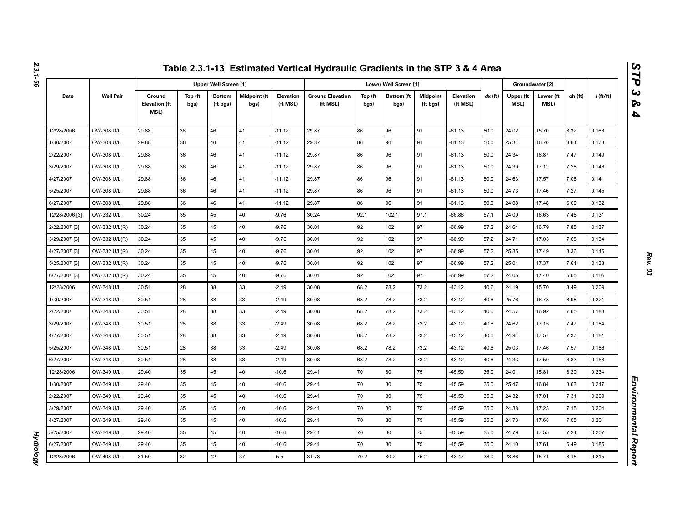| ì |  |
|---|--|
|   |  |
|   |  |
|   |  |
|   |  |

|                |                  |                                               |                 |                              |                             |                              | Table 2.3.1-13 Estimated Vertical Hydraulic Gradients in the STP 3 & 4 Area |                 |                           |                             |                              |           |                   |                   |           |             |
|----------------|------------------|-----------------------------------------------|-----------------|------------------------------|-----------------------------|------------------------------|-----------------------------------------------------------------------------|-----------------|---------------------------|-----------------------------|------------------------------|-----------|-------------------|-------------------|-----------|-------------|
|                |                  |                                               |                 | <b>Upper Well Screen [1]</b> |                             |                              |                                                                             |                 | Lower Well Screen [1]     |                             |                              |           | Groundwater [2]   |                   |           |             |
| Date           | <b>Well Pair</b> | Ground<br><b>Elevation (ft</b><br><b>MSL)</b> | Top (ft<br>bgs) | <b>Bottom</b><br>(ft bgs)    | <b>Midpoint (ft</b><br>bgs) | <b>Elevation</b><br>(ft MSL) | <b>Ground Elevation</b><br>(ft MSL)                                         | Top (ft<br>bgs) | <b>Bottom</b> (ft<br>bgs) | <b>Midpoint</b><br>(ft bgs) | <b>Elevation</b><br>(ft MSL) | $dx$ (ft) | Upper (ft<br>MSL) | Lower (ft<br>MSL) | $dh$ (ft) | $i$ (ft/ft) |
| 12/28/2006     | OW-308 U/L       | 29.88                                         | 36              | 46                           | 41                          | $-11.12$                     | 29.87                                                                       | 86              | 96                        | 91                          | $-61.13$                     | 50.0      | 24.02             | 15.70             | 8.32      | 0.166       |
| 1/30/2007      | OW-308 U/L       | 29.88                                         | 36              | 46                           | 41                          | $-11.12$                     | 29.87                                                                       | 86              | 96                        | 91                          | $-61.13$                     | 50.0      | 25.34             | 16.70             | 8.64      | 0.173       |
| 2/22/2007      | OW-308 U/L       | 29.88                                         | 36              | 46                           | 41                          | $-11.12$                     | 29.87                                                                       | 86              | 96                        | 91                          | $-61.13$                     | 50.0      | 24.34             | 16.87             | 7.47      | 0.149       |
| 3/29/2007      | OW-308 U/L       | 29.88                                         | 36              | 46                           | 41                          | $-11.12$                     | 29.87                                                                       | 86              | 96                        | 91                          | $-61.13$                     | 50.0      | 24.39             | 17.11             | 7.28      | 0.146       |
| 4/27/2007      | OW-308 U/L       | 29.88                                         | 36              | 46                           | 41                          | $-11.12$                     | 29.87                                                                       | 86              | 96                        | 91                          | $-61.13$                     | 50.0      | 24.63             | 17.57             | 7.06      | 0.141       |
| 5/25/2007      | OW-308 U/L       | 29.88                                         | 36              | 46                           | 41                          | $-11.12$                     | 29.87                                                                       | 86              | 96                        | 91                          | $-61.13$                     | 50.0      | 24.73             | 17.46             | 7.27      | 0.145       |
| 6/27/2007      | OW-308 U/L       | 29.88                                         | 36              | 46                           | 41                          | $-11.12$                     | 29.87                                                                       | 86              | 96                        | 91                          | $-61.13$                     | 50.0      | 24.08             | 17.48             | 6.60      | 0.132       |
| 12/28/2006 [3] | OW-332 U/L       | 30.24                                         | 35              | 45                           | 40                          | $-9.76$                      | 30.24                                                                       | 92.1            | 102.1                     | 97.1                        | $-66.86$                     | 57.1      | 24.09             | 16.63             | 7.46      | 0.131       |
| 2/22/2007 [3]  | OW-332 U/L(R)    | 30.24                                         | 35              | 45                           | 40                          | $-9.76$                      | 30.01                                                                       | 92              | 102                       | 97                          | $-66.99$                     | 57.2      | 24.64             | 16.79             | 7.85      | 0.137       |
| 3/29/2007 [3]  | OW-332 U/L(R)    | 30.24                                         | 35              | 45                           | 40                          | $-9.76$                      | 30.01                                                                       | 92              | 102                       | 97                          | $-66.99$                     | 57.2      | 24.71             | 17.03             | 7.68      | 0.134       |
| 4/27/2007 [3]  | OW-332 U/L(R)    | 30.24                                         | 35              | 45                           | 40                          | $-9.76$                      | 30.01                                                                       | 92              | 102                       | 97                          | $-66.99$                     | 57.2      | 25.85             | 17.49             | 8.36      | 0.146       |
| 5/25/2007 [3]  | OW-332 U/L(R)    | 30.24                                         | 35              | 45                           | 40                          | $-9.76$                      | 30.01                                                                       | 92              | 102                       | 97                          | $-66.99$                     | 57.2      | 25.01             | 17.37             | 7.64      | 0.133       |
| 6/27/2007 [3]  | OW-332 U/L(R)    | 30.24                                         | 35              | 45                           | 40                          | $-9.76$                      | 30.01                                                                       | 92              | 102                       | 97                          | $-66.99$                     | 57.2      | 24.05             | 17.40             | 6.65      | 0.116       |
| 12/28/2006     | OW-348 U/L       | 30.51                                         | 28              | 38                           | 33                          | $-2.49$                      | 30.08                                                                       | 68.2            | 78.2                      | 73.2                        | $-43.12$                     | 40.6      | 24.19             | 15.70             | 8.49      | 0.209       |
| 1/30/2007      | OW-348 U/L       | 30.51                                         | 28              | 38                           | 33                          | $-2.49$                      | 30.08                                                                       | 68.2            | 78.2                      | 73.2                        | $-43.12$                     | 40.6      | 25.76             | 16.78             | 8.98      | 0.221       |
| 2/22/2007      | OW-348 U/L       | 30.51                                         | 28              | 38                           | 33                          | $-2.49$                      | 30.08                                                                       | 68.2            | 78.2                      | 73.2                        | $-43.12$                     | 40.6      | 24.57             | 16.92             | 7.65      | 0.188       |
| 3/29/2007      | OW-348 U/L       | 30.51                                         | 28              | 38                           | 33                          | $-2.49$                      | 30.08                                                                       | 68.2            | 78.2                      | 73.2                        | $-43.12$                     | 40.6      | 24.62             | 17.15             | 7.47      | 0.184       |
| 4/27/2007      | OW-348 U/L       | 30.51                                         | 28              | 38                           | 33                          | $-2.49$                      | 30.08                                                                       | 68.2            | 78.2                      | 73.2                        | $-43.12$                     | 40.6      | 24.94             | 17.57             | 7.37      | 0.181       |
| 5/25/2007      | OW-348 U/L       | 30.51                                         | 28              | 38                           | 33                          | $-2.49$                      | 30.08                                                                       | 68.2            | 78.2                      | 73.2                        | $-43.12$                     | 40.6      | 25.03             | 17.46             | 7.57      | 0.186       |
| 6/27/2007      | OW-348 U/L       | 30.51                                         | 28              | 38                           | 33                          | $-2.49$                      | 30.08                                                                       | 68.2            | 78.2                      | 73.2                        | $-43.12$                     | 40.6      | 24.33             | 17.50             | 6.83      | 0.168       |
| 12/28/2006     | OW-349 U/L       | 29.40                                         | 35              | 45                           | 40                          | $-10.6$                      | 29.41                                                                       | 70              | 80                        | 75                          | $-45.59$                     | 35.0      | 24.01             | 15.81             | 8.20      | 0.234       |
| 1/30/2007      | OW-349 U/L       | 29.40                                         | 35              | 45                           | 40                          | $-10.6$                      | 29.41                                                                       | 70              | 80                        | 75                          | $-45.59$                     | 35.0      | 25.47             | 16.84             | 8.63      | 0.247       |
| 2/22/2007      | OW-349 U/L       | 29.40                                         | 35              | 45                           | 40                          | $-10.6$                      | 29.41                                                                       | 70              | 80                        | 75                          | -45.59                       | 35.0      | 24.32             | 17.01             | 7.31      | 0.209       |
| 3/29/2007      | OW-349 U/L       | 29.40                                         | 35              | 45                           | 40                          | $-10.6$                      | 29.41                                                                       | 70              | 80                        | 75                          | $-45.59$                     | 35.0      | 24.38             | 17.23             | 7.15      | 0.204       |
| 4/27/2007      | OW-349 U/L       | 29.40                                         | 35              | 45                           | 40                          | $-10.6$                      | 29.41                                                                       | 70              | 80                        | 75                          | $-45.59$                     | 35.0      | 24.73             | 17.68             | 7.05      | 0.201       |
| 5/25/2007      | OW-349 U/L       | 29.40                                         | 35              | 45                           | 40                          | $-10.6$                      | 29.41                                                                       | 70              | 80                        | 75                          | $-45.59$                     | 35.0      | 24.79             | 17.55             | 7.24      | 0.207       |
| 6/27/2007      | OW-349 U/L       | 29.40                                         | 35              | 45                           | 40                          | $-10.6$                      | 29.41                                                                       | 70              | 80                        | 75                          | $-45.59$                     | 35.0      | 24.10             | 17.61             | 6.49      | 0.185       |
| 12/28/2006     | OW-408 U/L       | 31.50                                         | 32              | 42                           | 37                          | $-5.5$                       | 31.73                                                                       | 70.2            | 80.2                      | 75.2                        | $-43.47$                     | 38.0      | 23.86             | 15.71             | 8.15      | 0.215       |

*Hydrology* 

**Hydrology**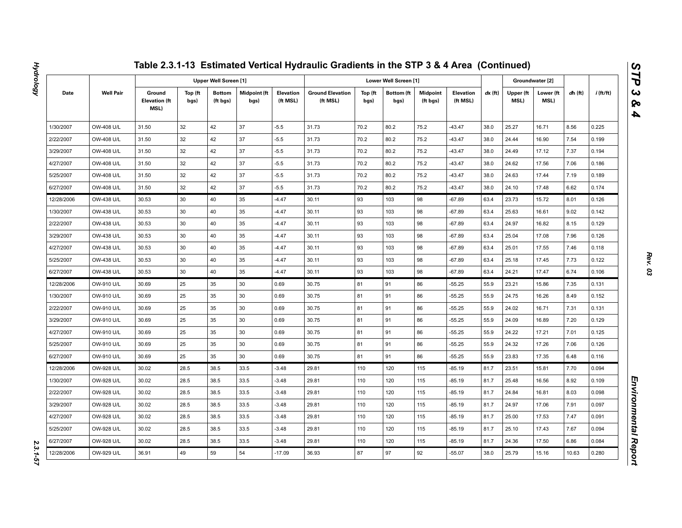|            |                  |                                        |                 |                              |                      |                       | Table 2.3.1-13 Estimated Vertical Hydraulic Gradients in the STP 3 & 4 Area (Continued) |                 |                           |                             |                       |         |                   |                   |           |             |
|------------|------------------|----------------------------------------|-----------------|------------------------------|----------------------|-----------------------|-----------------------------------------------------------------------------------------|-----------------|---------------------------|-----------------------------|-----------------------|---------|-------------------|-------------------|-----------|-------------|
|            |                  |                                        |                 | <b>Upper Well Screen [1]</b> |                      |                       |                                                                                         |                 | Lower Well Screen [1]     |                             |                       |         |                   | Groundwater [2]   |           |             |
| Date       | <b>Well Pair</b> | Ground<br><b>Elevation (ft</b><br>MSL) | Top (ft<br>bgs) | <b>Bottom</b><br>(ft bgs)    | Midpoint (ft<br>bgs) | Elevation<br>(ft MSL) | <b>Ground Elevation</b><br>(ft MSL)                                                     | Top (ft<br>bgs) | <b>Bottom</b> (ft<br>bgs) | <b>Midpoint</b><br>(ft bgs) | Elevation<br>(ft MSL) | dx (ft) | Upper (ft<br>MSL) | Lower (ft<br>MSL) | $dh$ (ft) | $i$ (ft/ft) |
| 1/30/2007  | OW-408 U/L       | 31.50                                  | 32              | 42                           | 37                   | $-5.5$                | 31.73                                                                                   | 70.2            | 80.2                      | 75.2                        | $-43.47$              | 38.0    | 25.27             | 16.71             | 8.56      | 0.225       |
| 2/22/2007  | OW-408 U/L       | 31.50                                  | 32              | 42                           | 37                   | $-5.5$                | 31.73                                                                                   | 70.2            | 80.2                      | 75.2                        | $-43.47$              | 38.0    | 24.44             | 16.90             | 7.54      | 0.199       |
| 3/29/2007  | OW-408 U/L       | 31.50                                  | 32              | 42                           | 37                   | $-5.5$                | 31.73                                                                                   | 70.2            | 80.2                      | 75.2                        | $-43.47$              | 38.0    | 24.49             | 17.12             | 7.37      | 0.194       |
| 4/27/2007  | OW-408 U/L       | 31.50                                  | 32              | 42                           | 37                   | $-5.5$                | 31.73                                                                                   | 70.2            | 80.2                      | 75.2                        | $-43.47$              | 38.0    | 24.62             | 17.56             | 7.06      | 0.186       |
| 5/25/2007  | OW-408 U/L       | 31.50                                  | 32              | 42                           | 37                   | $-5.5$                | 31.73                                                                                   | 70.2            | 80.2                      | 75.2                        | $-43.47$              | 38.0    | 24.63             | 17.44             | 7.19      | 0.189       |
| 6/27/2007  | OW-408 U/L       | 31.50                                  | 32              | 42                           | 37                   | $-5.5$                | 31.73                                                                                   | 70.2            | 80.2                      | 75.2                        | $-43.47$              | 38.0    | 24.10             | 17.48             | 6.62      | 0.174       |
| 12/28/2006 | OW-438 U/L       | 30.53                                  | 30              | 40                           | 35                   | $-4.47$               | 30.11                                                                                   | 93              | 103                       | 98                          | $-67.89$              | 63.4    | 23.73             | 15.72             | 8.01      | 0.126       |
| 1/30/2007  | OW-438 U/L       | 30.53                                  | 30              | 40                           | 35                   | $-4.47$               | 30.11                                                                                   | 93              | 103                       | 98                          | $-67.89$              | 63.4    | 25.63             | 16.61             | 9.02      | 0.142       |
| 2/22/2007  | OW-438 U/L       | 30.53                                  | 30              | 40                           | 35                   | $-4.47$               | 30.11                                                                                   | 93              | 103                       | 98                          | $-67.89$              | 63.4    | 24.97             | 16.82             | 8.15      | 0.129       |
| 3/29/2007  | OW-438 U/L       | 30.53                                  | 30              | 40                           | 35                   | $-4.47$               | 30.11                                                                                   | 93              | 103                       | 98                          | $-67.89$              | 63.4    | 25.04             | 17.08             | 7.96      | 0.126       |
| 4/27/2007  | OW-438 U/L       | 30.53                                  | 30              | 40                           | 35                   | $-4.47$               | 30.11                                                                                   | 93              | 103                       | 98                          | $-67.89$              | 63.4    | 25.01             | 17.55             | 7.46      | 0.118       |
| 5/25/2007  | OW-438 U/L       | 30.53                                  | 30              | 40                           | 35                   | $-4.47$               | 30.11                                                                                   | 93              | 103                       | 98                          | $-67.89$              | 63.4    | 25.18             | 17.45             | 7.73      | 0.122       |
| 6/27/2007  | OW-438 U/L       | 30.53                                  | 30              | 40                           | 35                   | $-4.47$               | 30.11                                                                                   | 93              | 103                       | 98                          | $-67.89$              | 63.4    | 24.21             | 17.47             | 6.74      | 0.106       |
| 12/28/2006 | OW-910 U/L       | 30.69                                  | 25              | 35                           | 30                   | 0.69                  | 30.75                                                                                   | 81              | 91                        | 86                          | $-55.25$              | 55.9    | 23.21             | 15.86             | 7.35      | 0.131       |
| 1/30/2007  | OW-910 U/L       | 30.69                                  | 25              | 35                           | 30                   | 0.69                  | 30.75                                                                                   | 81              | 91                        | 86                          | $-55.25$              | 55.9    | 24.75             | 16.26             | 8.49      | 0.152       |
| 2/22/2007  | OW-910 U/L       | 30.69                                  | 25              | 35                           | 30                   | 0.69                  | 30.75                                                                                   | 81              | 91                        | 86                          | $-55.25$              | 55.9    | 24.02             | 16.71             | 7.31      | 0.131       |
| 3/29/2007  | OW-910 U/L       | 30.69                                  | 25              | 35                           | 30                   | 0.69                  | 30.75                                                                                   | 81              | 91                        | 86                          | $-55.25$              | 55.9    | 24.09             | 16.89             | 7.20      | 0.129       |
| 4/27/2007  | OW-910 U/L       | 30.69                                  | 25              | 35                           | 30                   | 0.69                  | 30.75                                                                                   | 81              | 91                        | 86                          | $-55.25$              | 55.9    | 24.22             | 17.21             | 7.01      | 0.125       |
| 5/25/2007  | OW-910 U/L       | 30.69                                  | 25              | 35                           | 30                   | 0.69                  | 30.75                                                                                   | 81              | 91                        | 86                          | $-55.25$              | 55.9    | 24.32             | 17.26             | 7.06      | 0.126       |
| 6/27/2007  | OW-910 U/L       | 30.69                                  | 25              | 35                           | 30                   | 0.69                  | 30.75                                                                                   | 81              | 91                        | 86                          | $-55.25$              | 55.9    | 23.83             | 17.35             | 6.48      | 0.116       |
| 12/28/2006 | OW-928 U/L       | 30.02                                  | 28.5            | 38.5                         | 33.5                 | $-3.48$               | 29.81                                                                                   | 110             | 120                       | 115                         | $-85.19$              | 81.7    | 23.51             | 15.81             | 7.70      | 0.094       |
| 1/30/2007  | OW-928 U/L       | 30.02                                  | 28.5            | 38.5                         | 33.5                 | $-3.48$               | 29.81                                                                                   | 110             | 120                       | 115                         | -85.19                | 81.7    | 25.48             | 16.56             | 8.92      | 0.109       |
| 2/22/2007  | OW-928 U/L       | 30.02                                  | 28.5            | 38.5                         | 33.5                 | $-3.48$               | 29.81                                                                                   | 110             | 120                       | 115                         | $-85.19$              | 81.7    | 24.84             | 16.81             | 8.03      | 0.098       |
| 3/29/2007  | OW-928 U/L       | 30.02                                  | 28.5            | 38.5                         | 33.5                 | $-3.48$               | 29.81                                                                                   | 110             | 120                       | 115                         | -85.19                | 81.7    | 24.97             | 17.06             | 7.91      | 0.097       |
| 4/27/2007  | OW-928 U/L       | 30.02                                  | 28.5            | 38.5                         | 33.5                 | $-3.48$               | 29.81                                                                                   | 110             | 120                       | 115                         | $-85.19$              | 81.7    | 25.00             | 17.53             | 7.47      | 0.091       |
| 5/25/2007  | OW-928 U/L       | 30.02                                  | 28.5            | 38.5                         | 33.5                 | $-3.48$               | 29.81                                                                                   | 110             | 120                       | 115                         | -85.19                | 81.7    | 25.10             | 17.43             | 7.67      | 0.094       |
| 6/27/2007  | OW-928 U/L       | 30.02                                  | 28.5            | 38.5                         | 33.5                 | $-3.48$               | 29.81                                                                                   | 110             | 120                       | 115                         | $-85.19$              | 81.7    | 24.36             | 17.50             | 6.86      | 0.084       |
| 12/28/2006 | OW-929 U/L       | 36.91                                  | 49              | 59                           | 54                   | $-17.09$              | 36.93                                                                                   | 87              | 97                        | 92                          | $-55.07$              | 38.0    | 25.79             | 15.16             | 10.63     | 0.280       |

2.3.1-57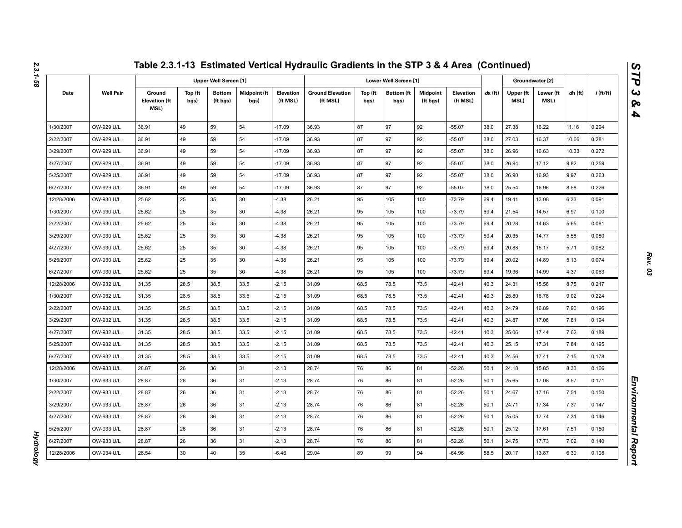|            |                  |                                        |                 |                              |                      |                       | Table 2.3.1-13 Estimated Vertical Hydraulic Gradients in the STP 3 & 4 Area (Continued) |                 |                           |                             |                       |           |                   |                   |           |             |
|------------|------------------|----------------------------------------|-----------------|------------------------------|----------------------|-----------------------|-----------------------------------------------------------------------------------------|-----------------|---------------------------|-----------------------------|-----------------------|-----------|-------------------|-------------------|-----------|-------------|
|            |                  |                                        |                 | <b>Upper Well Screen [1]</b> |                      |                       |                                                                                         |                 | Lower Well Screen [1]     |                             |                       |           |                   | Groundwater [2]   |           |             |
| Date       | <b>Well Pair</b> | Ground<br><b>Elevation (ft</b><br>MSL) | Top (ft<br>bgs) | <b>Bottom</b><br>(ft bgs)    | Midpoint (ft<br>bgs) | Elevation<br>(ft MSL) | <b>Ground Elevation</b><br>(ft MSL)                                                     | Top (ft<br>bgs) | <b>Bottom</b> (ft<br>bgs) | <b>Midpoint</b><br>(ft bgs) | Elevation<br>(ft MSL) | $dx$ (ft) | Upper (ft<br>MSL) | Lower (ft<br>MSL) | $dh$ (ft) | $i$ (ft/ft) |
| 1/30/2007  | OW-929 U/L       | 36.91                                  | 49              | 59                           | 54                   | $-17.09$              | 36.93                                                                                   | 87              | 97                        | 92                          | $-55.07$              | 38.0      | 27.38             | 16.22             | 11.16     | 0.294       |
| 2/22/2007  | OW-929 U/L       | 36.91                                  | 49              | 59                           | 54                   | $-17.09$              | 36.93                                                                                   | 87              | 97                        | 92                          | $-55.07$              | 38.0      | 27.03             | 16.37             | 10.66     | 0.281       |
| 3/29/2007  | OW-929 U/L       | 36.91                                  | 49              | 59                           | 54                   | $-17.09$              | 36.93                                                                                   | 87              | 97                        | 92                          | $-55.07$              | 38.0      | 26.96             | 16.63             | 10.33     | 0.272       |
| 4/27/2007  | OW-929 U/L       | 36.91                                  | 49              | 59                           | 54                   | $-17.09$              | 36.93                                                                                   | 87              | 97                        | 92                          | $-55.07$              | 38.0      | 26.94             | 17.12             | 9.82      | 0.259       |
| 5/25/2007  | OW-929 U/L       | 36.91                                  | 49              | 59                           | 54                   | $-17.09$              | 36.93                                                                                   | 87              | 97                        | 92                          | $-55.07$              | 38.0      | 26.90             | 16.93             | 9.97      | 0.263       |
| 6/27/2007  | OW-929 U/L       | 36.91                                  | 49              | 59                           | 54                   | $-17.09$              | 36.93                                                                                   | 87              | 97                        | 92                          | $-55.07$              | 38.0      | 25.54             | 16.96             | 8.58      | 0.226       |
| 12/28/2006 | OW-930 U/L       | 25.62                                  | 25              | 35                           | 30                   | $-4.38$               | 26.21                                                                                   | 95              | 105                       | 100                         | $-73.79$              | 69.4      | 19.41             | 13.08             | 6.33      | 0.091       |
| 1/30/2007  | OW-930 U/L       | 25.62                                  | 25              | 35                           | 30                   | $-4.38$               | 26.21                                                                                   | 95              | 105                       | 100                         | $-73.79$              | 69.4      | 21.54             | 14.57             | 6.97      | 0.100       |
| 2/22/2007  | OW-930 U/L       | 25.62                                  | 25              | 35                           | 30                   | $-4.38$               | 26.21                                                                                   | 95              | 105                       | 100                         | $-73.79$              | 69.4      | 20.28             | 14.63             | 5.65      | 0.081       |
| 3/29/2007  | OW-930 U/L       | 25.62                                  | 25              | 35                           | 30                   | $-4.38$               | 26.21                                                                                   | 95              | 105                       | 100                         | $-73.79$              | 69.4      | 20.35             | 14.77             | 5.58      | 0.080       |
| 4/27/2007  | OW-930 U/L       | 25.62                                  | 25              | 35                           | 30                   | $-4.38$               | 26.21                                                                                   | 95              | 105                       | 100                         | $-73.79$              | 69.4      | 20.88             | 15.17             | 5.71      | 0.082       |
| 5/25/2007  | OW-930 U/L       | 25.62                                  | 25              | 35                           | 30                   | $-4.38$               | 26.21                                                                                   | 95              | 105                       | 100                         | $-73.79$              | 69.4      | 20.02             | 14.89             | 5.13      | 0.074       |
| 6/27/2007  | OW-930 U/L       | 25.62                                  | 25              | 35                           | 30                   | $-4.38$               | 26.21                                                                                   | 95              | 105                       | 100                         | $-73.79$              | 69.4      | 19.36             | 14.99             | 4.37      | 0.063       |
| 12/28/2006 | OW-932 U/L       | 31.35                                  | 28.5            | 38.5                         | 33.5                 | $-2.15$               | 31.09                                                                                   | 68.5            | 78.5                      | 73.5                        | $-42.41$              | 40.3      | 24.31             | 15.56             | 8.75      | 0.217       |
| 1/30/2007  | OW-932 U/L       | 31.35                                  | 28.5            | 38.5                         | 33.5                 | $-2.15$               | 31.09                                                                                   | 68.5            | 78.5                      | 73.5                        | $-42.41$              | 40.3      | 25.80             | 16.78             | 9.02      | 0.224       |
| 2/22/2007  | OW-932 U/L       | 31.35                                  | 28.5            | 38.5                         | 33.5                 | $-2.15$               | 31.09                                                                                   | 68.5            | 78.5                      | 73.5                        | $-42.41$              | 40.3      | 24.79             | 16.89             | 7.90      | 0.196       |
| 3/29/2007  | OW-932 U/L       | 31.35                                  | 28.5            | 38.5                         | 33.5                 | $-2.15$               | 31.09                                                                                   | 68.5            | 78.5                      | 73.5                        | $-42.41$              | 40.3      | 24.87             | 17.06             | 7.81      | 0.194       |
| 4/27/2007  | OW-932 U/L       | 31.35                                  | 28.5            | 38.5                         | 33.5                 | $-2.15$               | 31.09                                                                                   | 68.5            | 78.5                      | 73.5                        | $-42.41$              | 40.3      | 25.06             | 17.44             | 7.62      | 0.189       |
| 5/25/2007  | OW-932 U/L       | 31.35                                  | 28.5            | 38.5                         | 33.5                 | $-2.15$               | 31.09                                                                                   | 68.5            | 78.5                      | 73.5                        | $-42.41$              | 40.3      | 25.15             | 17.31             | 7.84      | 0.195       |
| 6/27/2007  | OW-932 U/L       | 31.35                                  | 28.5            | 38.5                         | 33.5                 | $-2.15$               | 31.09                                                                                   | 68.5            | 78.5                      | 73.5                        | $-42.41$              | 40.3      | 24.56             | 17.41             | 7.15      | 0.178       |
| 12/28/2006 | OW-933 U/L       | 28.87                                  | 26              | 36                           | 31                   | $-2.13$               | 28.74                                                                                   | 76              | 86                        | 81                          | $-52.26$              | 50.1      | 24.18             | 15.85             | 8.33      | 0.166       |
| 1/30/2007  | OW-933 U/L       | 28.87                                  | 26              | 36                           | 31                   | $-2.13$               | 28.74                                                                                   | 76              | 86                        | 81                          | $-52.26$              | 50.1      | 25.65             | 17.08             | 8.57      | 0.171       |
| 2/22/2007  | OW-933 U/L       | 28.87                                  | 26              | 36                           | 31                   | $-2.13$               | 28.74                                                                                   | 76              | 86                        | 81                          | $-52.26$              | 50.1      | 24.67             | 17.16             | 7.51      | 0.150       |
| 3/29/2007  | OW-933 U/L       | 28.87                                  | 26              | 36                           | 31                   | $-2.13$               | 28.74                                                                                   | 76              | 86                        | 81                          | -52.26                | 50.1      | 24.71             | 17.34             | 7.37      | 0.147       |
| 4/27/2007  | OW-933 U/L       | 28.87                                  | 26              | 36                           | 31                   | $-2.13$               | 28.74                                                                                   | 76              | 86                        | 81                          | $-52.26$              | 50.1      | 25.05             | 17.74             | 7.31      | 0.146       |
| 5/25/2007  | OW-933 U/L       | 28.87                                  | 26              | 36                           | 31                   | $-2.13$               | 28.74                                                                                   | 76              | 86                        | 81                          | -52.26                | 50.1      | 25.12             | 17.61             | 7.51      | 0.150       |
| 6/27/2007  | OW-933 U/L       | 28.87                                  | 26              | 36                           | 31                   | $-2.13$               | 28.74                                                                                   | 76              | 86                        | 81                          | $-52.26$              | 50.1      | 24.75             | 17.73             | 7.02      | 0.140       |
| 12/28/2006 | OW-934 U/L       | 28.54                                  | 30              | 40                           | 35                   | $-6.46$               | 29.04                                                                                   | 89              | 99                        | 94                          | $-64.96$              | 58.5      | 20.17             | 13.87             | 6.30      | 0.108       |

*Hydrology* 

**Hydrology** 

*STP 3 & 4*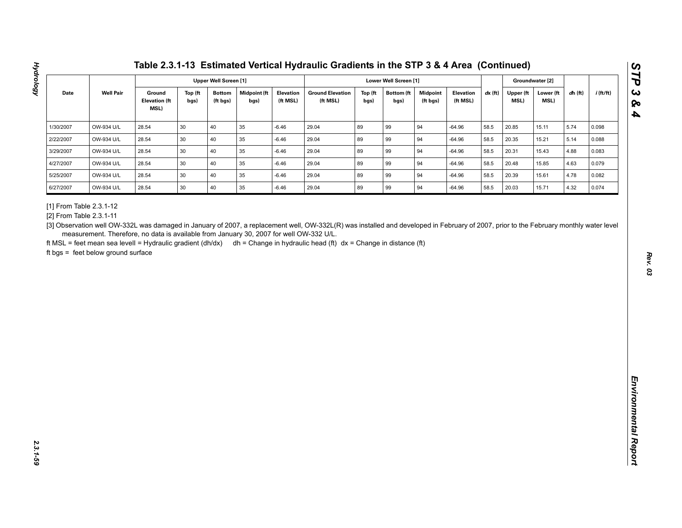| <b>Well Pair</b><br><b>Midpoint (ft</b><br>$dx$ (ft)<br>Date<br>Ground<br>Top (ft<br><b>Bottom</b><br><b>Elevation</b><br><b>Ground Elevation</b><br>Top (ft<br><b>Bottom</b> (ft<br><b>Midpoint</b><br>Elevation<br>Upper (ft<br>Lower (ft<br>$dh$ (ft)<br><b>Elevation (ft</b><br>MSL)<br>bgs)<br>(ft bgs)<br>(ft MSL)<br>(ft MSL)<br>(ft MSL)<br>MSL)<br>bgs)<br>bgs)<br>bgs)<br>(ft bgs)<br>MSL)<br>89<br>OW-934 U/L<br>28.54<br>30<br>40<br>35<br>$-6.46$<br>29.04<br>99<br>94<br>$-64.96$<br>58.5<br>20.85<br>5.74<br>15.11<br>0.098<br>89<br>28.54<br>30<br>40<br>35<br>29.04<br>99<br>94<br>58.5<br>5.14<br>OW-934 U/L<br>$-6.46$<br>$-64.96$<br>20.35<br>15.21<br>0.088<br>40<br>89<br>94<br>OW-934 U/L<br>28.54<br>30<br>35<br>$-6.46$<br>29.04<br>99<br>58.5<br>20.31<br>15.43<br>4.88<br>$-64.96$<br>0.083<br>30<br>40<br>35<br>89<br>99<br>OW-934 U/L<br>28.54<br>$-6.46$<br>29.04<br>94<br>$-64.96$<br>58.5<br>20.48<br>15.85<br>4.63<br>0.079<br>30<br>40<br>89<br>94<br>28.54<br>35<br>29.04<br>99<br>58.5<br>4.78<br>OW-934 U/L<br>$-6.46$<br>$-64.96$<br>20.39<br>15.61<br>0.082<br>89<br>28.54<br>30<br>40<br>35<br>29.04<br>99<br>94<br>20.03<br>4.32<br>OW-934 U/L<br>$-6.46$<br>$-64.96$<br>58.5<br>15.71<br>0.074<br>measurement. Therefore, no data is available from January 30, 2007 for well OW-332 U/L. | ft MSL = feet mean sea levell = Hydraulic gradient (dh/dx) dh = Change in hydraulic head (ft) dx = Change in distance (ft)<br>ft bgs = feet below ground surface                       | 1/30/2007<br>2/22/2007<br>3/29/2007<br>4/27/2007<br>5/25/2007<br>6/27/2007<br>[1] From Table 2.3.1-12<br>[2] From Table 2.3.1-11 |  | <b>Upper Well Screen [1]</b> |  |  | Lower Well Screen [1] |  |  | Groundwater [2] |             |
|-------------------------------------------------------------------------------------------------------------------------------------------------------------------------------------------------------------------------------------------------------------------------------------------------------------------------------------------------------------------------------------------------------------------------------------------------------------------------------------------------------------------------------------------------------------------------------------------------------------------------------------------------------------------------------------------------------------------------------------------------------------------------------------------------------------------------------------------------------------------------------------------------------------------------------------------------------------------------------------------------------------------------------------------------------------------------------------------------------------------------------------------------------------------------------------------------------------------------------------------------------------------------------------------------------------------------------------|----------------------------------------------------------------------------------------------------------------------------------------------------------------------------------------|----------------------------------------------------------------------------------------------------------------------------------|--|------------------------------|--|--|-----------------------|--|--|-----------------|-------------|
|                                                                                                                                                                                                                                                                                                                                                                                                                                                                                                                                                                                                                                                                                                                                                                                                                                                                                                                                                                                                                                                                                                                                                                                                                                                                                                                                     |                                                                                                                                                                                        |                                                                                                                                  |  |                              |  |  |                       |  |  |                 | $i$ (ft/ft) |
|                                                                                                                                                                                                                                                                                                                                                                                                                                                                                                                                                                                                                                                                                                                                                                                                                                                                                                                                                                                                                                                                                                                                                                                                                                                                                                                                     |                                                                                                                                                                                        |                                                                                                                                  |  |                              |  |  |                       |  |  |                 |             |
|                                                                                                                                                                                                                                                                                                                                                                                                                                                                                                                                                                                                                                                                                                                                                                                                                                                                                                                                                                                                                                                                                                                                                                                                                                                                                                                                     |                                                                                                                                                                                        |                                                                                                                                  |  |                              |  |  |                       |  |  |                 |             |
|                                                                                                                                                                                                                                                                                                                                                                                                                                                                                                                                                                                                                                                                                                                                                                                                                                                                                                                                                                                                                                                                                                                                                                                                                                                                                                                                     |                                                                                                                                                                                        |                                                                                                                                  |  |                              |  |  |                       |  |  |                 |             |
|                                                                                                                                                                                                                                                                                                                                                                                                                                                                                                                                                                                                                                                                                                                                                                                                                                                                                                                                                                                                                                                                                                                                                                                                                                                                                                                                     |                                                                                                                                                                                        |                                                                                                                                  |  |                              |  |  |                       |  |  |                 |             |
|                                                                                                                                                                                                                                                                                                                                                                                                                                                                                                                                                                                                                                                                                                                                                                                                                                                                                                                                                                                                                                                                                                                                                                                                                                                                                                                                     |                                                                                                                                                                                        |                                                                                                                                  |  |                              |  |  |                       |  |  |                 |             |
|                                                                                                                                                                                                                                                                                                                                                                                                                                                                                                                                                                                                                                                                                                                                                                                                                                                                                                                                                                                                                                                                                                                                                                                                                                                                                                                                     | [3] Observation well OW-332L was damaged in January of 2007, a replacement well, OW-332L(R) was installed and developed in February of 2007, prior to the February monthly water level |                                                                                                                                  |  |                              |  |  |                       |  |  |                 |             |
|                                                                                                                                                                                                                                                                                                                                                                                                                                                                                                                                                                                                                                                                                                                                                                                                                                                                                                                                                                                                                                                                                                                                                                                                                                                                                                                                     |                                                                                                                                                                                        |                                                                                                                                  |  |                              |  |  |                       |  |  |                 |             |

**Hydrology**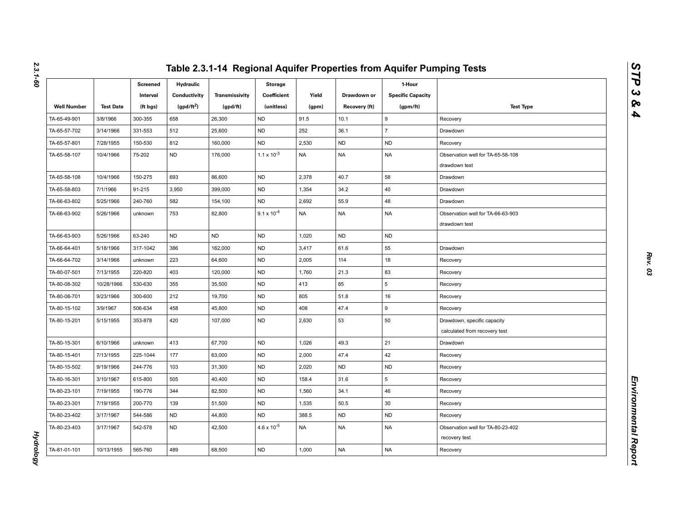|                    |                  | Screened<br>Interval | <b>Hydraulic</b><br>Conductivity | Transmissivity | <b>Storage</b><br>Coefficient | Yield     | Drawdown or   | 1-Hour<br><b>Specific Capacity</b> |                                                              |
|--------------------|------------------|----------------------|----------------------------------|----------------|-------------------------------|-----------|---------------|------------------------------------|--------------------------------------------------------------|
| <b>Well Number</b> | <b>Test Date</b> | (ft bgs)             | (gpd/ft <sup>2</sup> )           | (gpd/ft)       | (unitless)                    | (gpm)     | Recovery (ft) | (gpm/ft)                           | <b>Test Type</b>                                             |
| TA-65-49-901       | 3/8/1966         | 300-355              | 658                              | 26,300         | <b>ND</b>                     | 91.5      | 10.1          | 9                                  | Recovery                                                     |
| TA-65-57-702       | 3/14/1966        | 331-553              | 512                              | 25,600         | <b>ND</b>                     | 252       | 36.1          | $\overline{7}$                     | Drawdown                                                     |
| TA-65-57-801       | 7/28/1955        | 150-530              | 812                              | 160,000        | <b>ND</b>                     | 2,530     | <b>ND</b>     | <b>ND</b>                          | Recovery                                                     |
| TA-65-58-107       | 10/4/1966        | 75-202               | <b>ND</b>                        | 176,000        | $1.1 \times 10^{-3}$          | <b>NA</b> | <b>NA</b>     | <b>NA</b>                          | Observation well for TA-65-58-108<br>drawdown test           |
| TA-65-58-108       | 10/4/1966        | 150-275              | 693                              | 86,600         | <b>ND</b>                     | 2,378     | 40.7          | 58                                 | Drawdown                                                     |
| TA-65-58-803       | 7/1/1966         | 91-215               | 3,950                            | 399,000        | <b>ND</b>                     | 1,354     | 34.2          | 40                                 | Drawdown                                                     |
| TA-66-63-802       | 5/25/1966        | 240-760              | 582                              | 154,100        | <b>ND</b>                     | 2,692     | 55.9          | 48                                 | Drawdown                                                     |
| TA-66-63-902       | 5/26/1966        | unknown              | 753                              | 82,800         | $9.1 \times 10^{-4}$          | <b>NA</b> | <b>NA</b>     | <b>NA</b>                          | Observation well for TA-66-63-903<br>drawdown test           |
| TA-66-63-903       | 5/26/1966        | 63-240               | <b>ND</b>                        | <b>ND</b>      | <b>ND</b>                     | 1,020     | <b>ND</b>     | <b>ND</b>                          |                                                              |
| TA-66-64-401       | 5/18/1966        | 317-1042             | 386                              | 162,000        | <b>ND</b>                     | 3,417     | 61.6          | 55                                 | Drawdown                                                     |
| TA-66-64-702       | 3/14/1966        | unknown              | 223                              | 64,600         | <b>ND</b>                     | 2,005     | 114           | 18                                 | Recovery                                                     |
| TA-80-07-501       | 7/13/1955        | 220-820              | 403                              | 120,000        | <b>ND</b>                     | 1,760     | 21.3          | 83                                 | Recovery                                                     |
| TA-80-08-302       | 10/28/1966       | 530-630              | 355                              | 35,500         | <b>ND</b>                     | 413       | 85            | 5                                  | Recovery                                                     |
| TA-80-08-701       | 9/23/1966        | 300-600              | 212                              | 19,700         | <b>ND</b>                     | 805       | 51.8          | 16                                 | Recovery                                                     |
| TA-80-15-102       | 3/9/1967         | 506-634              | 458                              | 45,800         | <b>ND</b>                     | 408       | 47.4          | 9                                  | Recovery                                                     |
| TA-80-15-201       | 5/15/1955        | 353-878              | 420                              | 107,000        | <b>ND</b>                     | 2,630     | 53            | 50                                 | Drawdown, specific capacity<br>calculated from recovery test |
| TA-80-15-301       | 6/10/1966        | unknown              | 413                              | 67,700         | <b>ND</b>                     | 1,026     | 49.3          | 21                                 | Drawdown                                                     |
| TA-80-15-401       | 7/13/1955        | 225-1044             | 177                              | 63,000         | <b>ND</b>                     | 2,000     | 47.4          | 42                                 | Recovery                                                     |
| TA-80-15-502       | 9/19/1966        | 244-776              | 103                              | 31,300         | <b>ND</b>                     | 2,020     | <b>ND</b>     | <b>ND</b>                          | Recovery                                                     |
| TA-80-16-301       | 3/10/1967        | 615-800              | 505                              | 40,400         | <b>ND</b>                     | 158.4     | 31.6          | 5                                  | Recovery                                                     |
| TA-80-23-101       | 7/19/1955        | 190-776              | 344                              | 82,500         | ND                            | 1,560     | 34.1          | 46                                 | Recovery                                                     |
| TA-80-23-301       | 7/19/1955        | 200-770              | 139                              | 51,500         | <b>ND</b>                     | 1,535     | 50.5          | 30                                 | Recovery                                                     |
| TA-80-23-402       | 3/17/1967        | 544-586              | <b>ND</b>                        | 44,800         | <b>ND</b>                     | 388.5     | <b>ND</b>     | <b>ND</b>                          | Recovery                                                     |
| TA-80-23-403       | 3/17/1967        | 542-578              | <b>ND</b>                        | 42,500         | $4.6 \times 10^{-5}$          | <b>NA</b> | <b>NA</b>     | NA                                 | Observation well for TA-80-23-402<br>recovery test           |
| TA-81-01-101       | 10/13/1955       | 565-760              | 489                              | 68,500         | <b>ND</b>                     | 1,000     | <b>NA</b>     | <b>NA</b>                          | Recovery                                                     |

*2.3.1-60*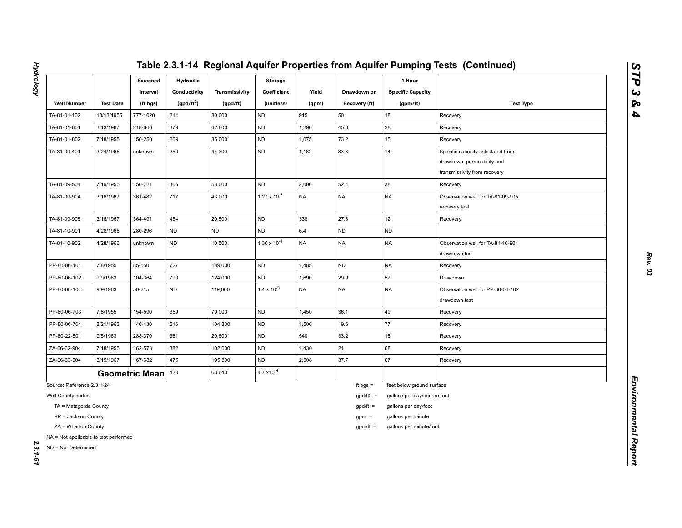|                                                              |                  | Screened<br>Interval  | <b>Hydraulic</b><br>Conductivity | Transmissivity | <b>Storage</b><br>Coefficient | Yield     | Drawdown or   | 1-Hour<br><b>Specific Capacity</b> |                                                                                                 |
|--------------------------------------------------------------|------------------|-----------------------|----------------------------------|----------------|-------------------------------|-----------|---------------|------------------------------------|-------------------------------------------------------------------------------------------------|
| <b>Well Number</b>                                           | <b>Test Date</b> | (ft bgs)              | $(gpd/ft^2)$                     | (gpd/ft)       | (unitless)                    | (gpm)     | Recovery (ft) | (gpm/ft)                           | <b>Test Type</b>                                                                                |
| TA-81-01-102                                                 | 10/13/1955       | 777-1020              | 214                              | 30,000         | <b>ND</b>                     | 915       | 50            | 18                                 | Recovery                                                                                        |
| TA-81-01-601                                                 | 3/13/1967        | 218-660               | 379                              | 42,800         | <b>ND</b>                     | 1,290     | 45.8          | 28                                 | Recovery                                                                                        |
| TA-81-01-802                                                 | 7/18/1955        | 150-250               | 269                              | 35,000         | <b>ND</b>                     | 1,075     | 73.2          | 15                                 | Recovery                                                                                        |
| TA-81-09-401                                                 | 3/24/1966        | unknown               | 250                              | 44,300         | <b>ND</b>                     | 1,182     | 83.3          | 14                                 | Specific capacity calculated from<br>drawdown, permeability and<br>transmissivity from recovery |
| TA-81-09-504                                                 | 7/19/1955        | 150-721               | 306                              | 53,000         | <b>ND</b>                     | 2,000     | 52.4          | 38                                 | Recovery                                                                                        |
| TA-81-09-904                                                 | 3/16/1967        | 361-482               | 717                              | 43,000         | $1.27 \times 10^{-3}$         | <b>NA</b> | <b>NA</b>     | <b>NA</b>                          | Observation well for TA-81-09-905<br>recovery test                                              |
| TA-81-09-905                                                 | 3/16/1967        | 364-491               | 454                              | 29,500         | <b>ND</b>                     | 338       | 27.3          | 12                                 | Recovery                                                                                        |
| TA-81-10-901                                                 | 4/28/1966        | 280-296               | <b>ND</b>                        | ND             | <b>ND</b>                     | $6.4\,$   | <b>ND</b>     | ND                                 |                                                                                                 |
| TA-81-10-902                                                 | 4/28/1966        | unknown               | <b>ND</b>                        | 10,500         | $1.36 \times 10^{-4}$         | <b>NA</b> | <b>NA</b>     | <b>NA</b>                          | Observation well for TA-81-10-901<br>drawdown test                                              |
| PP-80-06-101                                                 | 7/8/1955         | 85-550                | 727                              | 189,000        | <b>ND</b>                     | 1,485     | <b>ND</b>     | <b>NA</b>                          | Recovery                                                                                        |
| PP-80-06-102                                                 | 9/9/1963         | 104-364               | 790                              | 124,000        | ND                            | 1,690     | 29.9          | 57                                 | Drawdown                                                                                        |
| PP-80-06-104                                                 | 9/9/1963         | 50-215                | <b>ND</b>                        | 119,000        | $1.4 \times 10^{-3}$          | <b>NA</b> | <b>NA</b>     | NA                                 | Observation well for PP-80-06-102<br>drawdown test                                              |
| PP-80-06-703                                                 | 7/8/1955         | 154-590               | 359                              | 79,000         | <b>ND</b>                     | 1,450     | 36.1          | 40                                 | Recovery                                                                                        |
| PP-80-06-704                                                 | 8/21/1963        | 146-430               | 616                              | 104,800        | <b>ND</b>                     | 1,500     | 19.6          | 77                                 | Recovery                                                                                        |
| PP-80-22-501                                                 | 9/5/1963         | 288-370               | 361                              | 20,600         | ND                            | 540       | 33.2          | 16                                 | Recovery                                                                                        |
| ZA-66-62-904                                                 | 7/18/1955        | 162-573               | 382                              | 102,000        | <b>ND</b>                     | 1,430     | 21            | 68                                 | Recovery                                                                                        |
| ZA-66-63-504                                                 | 3/15/1967        | 167-682               | 475                              | 195,300        | <b>ND</b>                     | 2,508     | 37.7          | 67                                 | Recovery                                                                                        |
|                                                              |                  | <b>Geometric Mean</b> | 420                              | 63,640         | $4.7 \times 10^{-4}$          |           |               |                                    |                                                                                                 |
| Source: Reference 2.3.1-24                                   |                  |                       |                                  |                |                               |           | ft bgs $=$    | feet below ground surface          |                                                                                                 |
| Well County codes:                                           |                  |                       |                                  |                |                               |           | $gpd/ft2 =$   | gallons per day/square foot        |                                                                                                 |
| TA = Matagorda County                                        |                  |                       |                                  |                |                               |           | $gpd/ft =$    | gallons per day/foot               |                                                                                                 |
| PP = Jackson County                                          |                  |                       |                                  |                |                               |           | $gpm =$       | gallons per minute                 |                                                                                                 |
| ZA = Wharton County                                          |                  |                       |                                  |                |                               |           | $gpm/ft =$    | gallons per minute/foot            |                                                                                                 |
| NA = Not applicable to test performed<br>ND = Not Determined |                  |                       |                                  |                |                               |           |               |                                    |                                                                                                 |

**Hydrology** *Hydrology 2.3.1-61*

- 
- 
-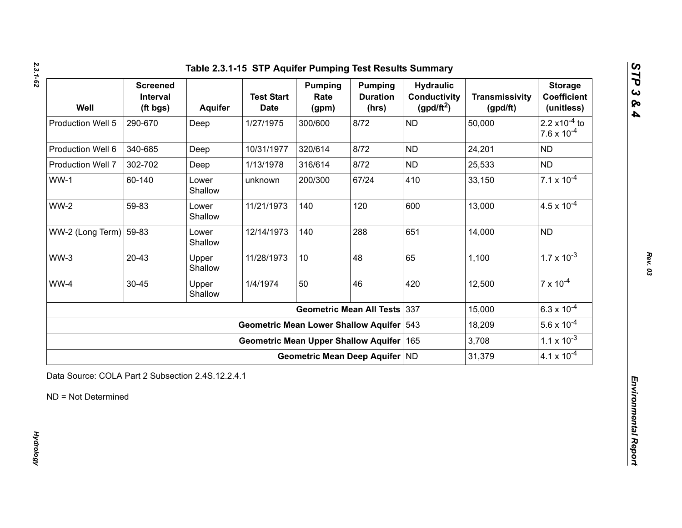*2.3.1-62*

| Well                   | <b>Screened</b><br>Interval<br>(ft bgs) | Aquifer          | <b>Test Start</b><br><b>Date</b>            | <b>Pumping</b><br>Rate<br>(gpm) | <b>Pumping</b><br><b>Duration</b><br>(hrs) | <b>Hydraulic</b><br><b>Conductivity</b><br>(gpd/ft <sup>2</sup> ) | <b>Transmissivity</b><br>(gpd/ft) | <b>Storage</b><br><b>Coefficient</b><br>(unitless)       |
|------------------------|-----------------------------------------|------------------|---------------------------------------------|---------------------------------|--------------------------------------------|-------------------------------------------------------------------|-----------------------------------|----------------------------------------------------------|
| Production Well 5      | 290-670                                 | Deep             | 1/27/1975                                   | 300/600                         | 8/72                                       | <b>ND</b>                                                         | 50,000                            | 2.2 $\times$ 10 <sup>-4</sup> to<br>$7.6 \times 10^{-4}$ |
| Production Well 6      | 340-685                                 | Deep             | 10/31/1977                                  | 320/614                         | 8/72                                       | <b>ND</b>                                                         | 24,201                            | <b>ND</b>                                                |
| Production Well 7      | 302-702                                 | Deep             | 1/13/1978                                   | 316/614                         | 8/72                                       | <b>ND</b>                                                         | 25,533                            | <b>ND</b>                                                |
| $WW-1$                 | 60-140                                  | Lower<br>Shallow | unknown                                     | 200/300                         | 67/24                                      | 410                                                               | 33,150                            | $7.1 \times 10^{-4}$                                     |
| <b>WW-2</b>            | 59-83                                   | Lower<br>Shallow | 11/21/1973                                  | 140                             | 120                                        | 600                                                               | 13,000                            | $4.5 \times 10^{-4}$                                     |
| WW-2 (Long Term) 59-83 |                                         | Lower<br>Shallow | 12/14/1973                                  | 140                             | 288                                        | 651                                                               | 14,000                            | <b>ND</b>                                                |
| $WW-3$                 | $20 - 43$                               | Upper<br>Shallow | 11/28/1973                                  | 10                              | 48                                         | 65                                                                | 1,100                             | $1.7 \times 10^{-3}$                                     |
| WW-4                   | $30 - 45$                               | Upper<br>Shallow | 1/4/1974                                    | 50                              | 46                                         | 420                                                               | 12,500                            | $7 \times 10^{-4}$                                       |
|                        |                                         |                  |                                             |                                 | <b>Geometric Mean All Tests</b>            | 337                                                               | 15,000                            | $6.3 \times 10^{-4}$                                     |
|                        |                                         |                  | <b>Geometric Mean Lower Shallow Aquifer</b> |                                 |                                            | 543                                                               | 18,209                            | $5.6 \times 10^{-4}$                                     |
|                        |                                         |                  | <b>Geometric Mean Upper Shallow Aquifer</b> |                                 |                                            | 165                                                               | 3,708                             | $1.1 \times 10^{-3}$                                     |
|                        |                                         |                  |                                             | Geometric Mean Deep Aquifer ND  |                                            |                                                                   | 31,379                            | $4.1 \times 10^{-4}$                                     |

*Rev. 03*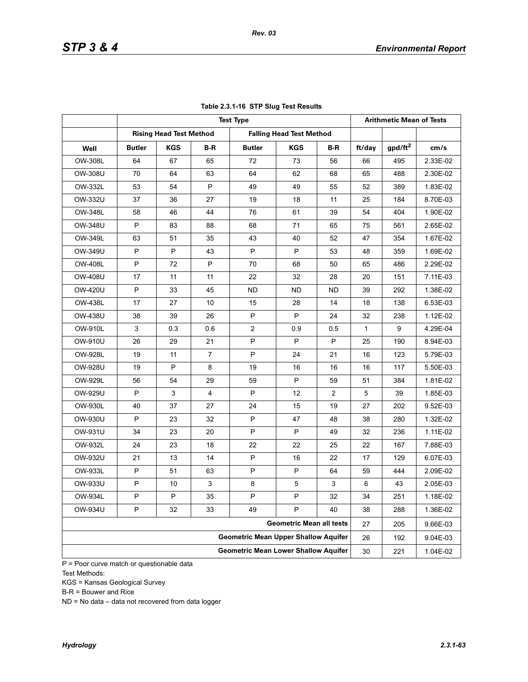|                |               |                                             |                |                                             | <b>Arithmetic Mean of Tests</b> |                |              |            |          |
|----------------|---------------|---------------------------------------------|----------------|---------------------------------------------|---------------------------------|----------------|--------------|------------|----------|
|                |               | <b>Rising Head Test Method</b>              |                |                                             | <b>Falling Head Test Method</b> |                |              |            |          |
| Well           | <b>Butler</b> | <b>KGS</b>                                  | B-R            | <b>Butler</b>                               | <b>KGS</b>                      | B-R            | ft/day       | $gpd/ft^2$ | cm/s     |
| OW-308L        | 64            | 67                                          | 65             | 72                                          | 73                              | 56             | 66           | 495        | 2.33E-02 |
| OW-308U        | 70            | 64                                          | 63             | 64                                          | 62                              | 68             | 65           | 488        | 2.30E-02 |
| OW-332L        | 53            | 54                                          | P              | 49                                          | 49                              | 55             | 52           | 389        | 1.83E-02 |
| OW-332U        | 37            | 36                                          | 27             | 19                                          | 18                              | 11             | 25           | 184        | 8.70E-03 |
| OW-348L        | 58            | 46                                          | 44             | 76                                          | 61                              | 39             | 54           | 404        | 1.90E-02 |
| <b>OW-348U</b> | P             | 83                                          | 88             | 68                                          | 71                              | 65             | 75           | 561        | 2.65E-02 |
| OW-349L        | 63            | 51                                          | 35             | 43                                          | 40                              | 52             | 47           | 354        | 1.67E-02 |
| OW-349U        | P             | P                                           | 43             | P                                           | P                               | 53             | 48           | 359        | 1.69E-02 |
| <b>OW-408L</b> | P             | 72                                          | P              | 70                                          | 68                              | 50             | 65           | 486        | 2.29E-02 |
| OW-408U        | 17            | 11                                          | 11             | 22                                          | 32                              | 28             | 20           | 151        | 7.11E-03 |
| OW-420U        | P             | 33                                          | 45             | ND.                                         | ND.                             | ND.            | 39           | 292        | 1.38E-02 |
| OW-438L        | 17            | 27                                          | 10             | 15                                          | 28                              | 14             | 18           | 138        | 6.53E-03 |
| <b>OW-438U</b> | 38            | 39                                          | 26             | P                                           | P                               | 24             | 32           | 238        | 1.12E-02 |
| OW-910L        | 3             | 0.3                                         | 0.6            | $\overline{2}$                              | 0.9                             | 0.5            | $\mathbf{1}$ | 9          | 4.29E-04 |
| OW-910U        | 26            | 29                                          | 21             | P                                           | P                               | P              | 25           | 190        | 8.94E-03 |
| OW-928L        | 19            | 11                                          | $\overline{7}$ | P                                           | 24                              | 21             | 16           | 123        | 5.79E-03 |
| OW-928U        | 19            | P                                           | 8              | 19                                          | 16                              | 16             | 16           | 117        | 5.50E-03 |
| OW-929L        | 56            | 54                                          | 29             | 59                                          | P                               | 59             | 51           | 384        | 1.81E-02 |
| OW-929U        | P             | $\mathbf{3}$                                | $\overline{4}$ | P                                           | 12                              | $\overline{2}$ | 5            | 39         | 1.85E-03 |
| OW-930L        | 40            | 37                                          | 27             | 24                                          | 15                              | 19             | 27           | 202        | 9.52E-03 |
| OW-930U        | P             | 23                                          | 32             | P                                           | 47                              | 48             | 38           | 280        | 1.32E-02 |
| OW-931U        | 34            | 23                                          | 20             | P                                           | P                               | 49             | 32           | 236        | 1.11E-02 |
| OW-932L        | 24            | 23                                          | 18             | 22                                          | 22                              | 25             | 22           | 167        | 7.88E-03 |
| OW-932U        | 21            | 13                                          | 14             | P                                           | 16                              | 22             | 17           | 129        | 6.07E-03 |
| OW-933L        | P             | 51                                          | 63             | P                                           | P                               | 64             | 59           | 444        | 2.09E-02 |
| OW-933U        | P             | 10                                          | $\mathbf{3}$   | 8                                           | 5                               | 3              | 6            | 43         | 2.05E-03 |
| OW-934L        | P             | P                                           | 35             | P                                           | $\sf P$                         | 32             | 34           | 251        | 1.18E-02 |
| OW-934U        | P             | 32                                          | 33             | 49                                          | P                               | 40             | 38           | 288        | 1.36E-02 |
|                |               |                                             |                |                                             | <b>Geometric Mean all tests</b> |                | 27           | 205        | 9.66E-03 |
|                |               | <b>Geometric Mean Upper Shallow Aquifer</b> | 26             | 192                                         | 9.04E-03                        |                |              |            |          |
|                |               |                                             |                | <b>Geometric Mean Lower Shallow Aquifer</b> |                                 |                | 30           | 221        | 1.04E-02 |

### **Table 2.3.1-16 STP Slug Test Results**

 $P = \text{Poor curve match or questionable data}$ Test Methods:

KGS = Kansas Geological Survey

B-R = Bouwer and Rice

ND = No data – data not recovered from data logger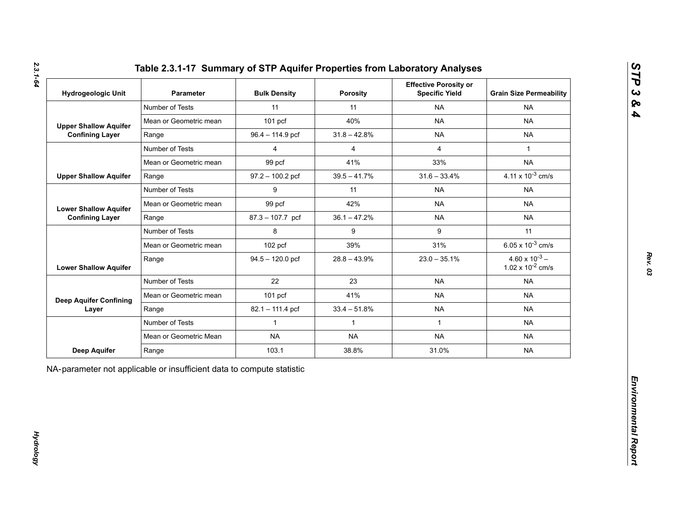| Table 2.3.1-17 Summary of STP Aquifer Properties from Laboratory Analyses |  |
|---------------------------------------------------------------------------|--|
|---------------------------------------------------------------------------|--|

| <b>Hydrogeologic Unit</b>     | Parameter              | <b>Bulk Density</b> | Porosity       | <b>Effective Porosity or</b><br><b>Specific Yield</b> | <b>Grain Size Permeability</b>                   |  |
|-------------------------------|------------------------|---------------------|----------------|-------------------------------------------------------|--------------------------------------------------|--|
|                               | Number of Tests        | 11                  | 11             | <b>NA</b>                                             | <b>NA</b>                                        |  |
| <b>Upper Shallow Aquifer</b>  | Mean or Geometric mean | $101$ pcf           | 40%            | <b>NA</b>                                             | <b>NA</b>                                        |  |
| <b>Confining Layer</b>        | Range                  | 96.4 - 114.9 pcf    | $31.8 - 42.8%$ | <b>NA</b>                                             | <b>NA</b>                                        |  |
|                               | Number of Tests        | $\overline{4}$      | $\overline{4}$ | $\overline{4}$                                        | $\mathbf{1}$                                     |  |
|                               | Mean or Geometric mean | 99 pcf              | 41%            | 33%                                                   | <b>NA</b>                                        |  |
| <b>Upper Shallow Aquifer</b>  | Range                  | $97.2 - 100.2$ pcf  | $39.5 - 41.7%$ | $31.6 - 33.4%$                                        | 4.11 x $10^{-3}$ cm/s                            |  |
|                               | Number of Tests        | 9                   | 11             | <b>NA</b>                                             | <b>NA</b>                                        |  |
| <b>Lower Shallow Aquifer</b>  | Mean or Geometric mean | 99 pcf              | 42%            | <b>NA</b>                                             | <b>NA</b>                                        |  |
| <b>Confining Layer</b>        | Range                  | $87.3 - 107.7$ pcf  | $36.1 - 47.2%$ | <b>NA</b>                                             | <b>NA</b>                                        |  |
|                               | Number of Tests        | 8                   | 9              | 9                                                     | 11                                               |  |
|                               | Mean or Geometric mean | $102$ pcf           | 39%            | 31%                                                   | 6.05 x $10^{-3}$ cm/s                            |  |
| <b>Lower Shallow Aquifer</b>  | Range                  | $94.5 - 120.0$ pcf  | $28.8 - 43.9%$ | $23.0 - 35.1%$                                        | $4.60 \times 10^{-3} -$<br>1.02 x $10^{-2}$ cm/s |  |
|                               | Number of Tests        | 22                  | 23             | <b>NA</b>                                             | <b>NA</b>                                        |  |
| <b>Deep Aquifer Confining</b> | Mean or Geometric mean | $101$ pcf           | 41%            | <b>NA</b>                                             | <b>NA</b>                                        |  |
| Layer                         | Range                  | 82.1 - 111.4 pcf    | $33.4 - 51.8%$ | <b>NA</b>                                             | <b>NA</b>                                        |  |
|                               | Number of Tests        | $\mathbf{1}$        | $\mathbf{1}$   | $\mathbf{1}$                                          | <b>NA</b>                                        |  |
|                               | Mean or Geometric Mean | <b>NA</b>           | <b>NA</b>      | <b>NA</b>                                             | <b>NA</b>                                        |  |
| Deep Aquifer                  | Range                  | 103.1               | 38.8%          | 31.0%                                                 | <b>NA</b>                                        |  |

*Hydrology* 

**Hydrology**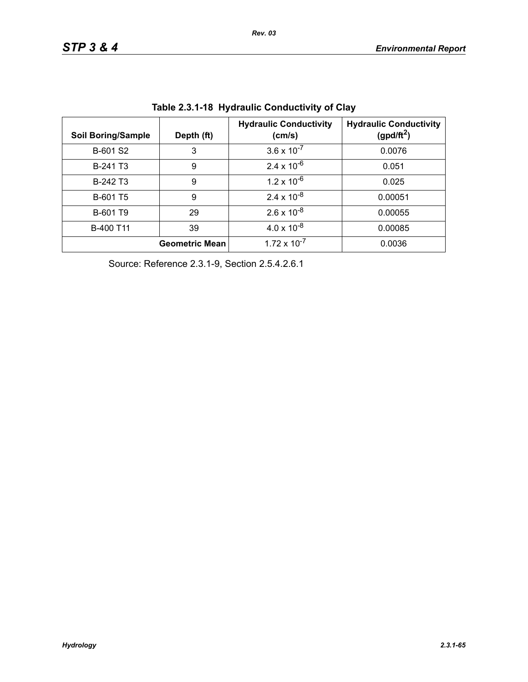| <b>Soil Boring/Sample</b> | Depth (ft)            | <b>Hydraulic Conductivity</b><br>(cm/s) | <b>Hydraulic Conductivity</b><br>(gpd/ft <sup>2</sup> ) |
|---------------------------|-----------------------|-----------------------------------------|---------------------------------------------------------|
| B-601 S2                  | 3                     | $3.6 \times 10^{-7}$                    | 0.0076                                                  |
| B-241 T <sub>3</sub>      | 9                     | $2.4 \times 10^{-6}$                    | 0.051                                                   |
| B-242 T3                  | 9                     | $1.2 \times 10^{-6}$                    | 0.025                                                   |
| B-601 T5                  | 9                     | $2.4 \times 10^{-8}$                    | 0.00051                                                 |
| B-601 T9                  | 29                    | $2.6 \times 10^{-8}$                    | 0.00055                                                 |
| B-400 T11                 | 39                    | $4.0 \times 10^{-8}$                    | 0.00085                                                 |
|                           | <b>Geometric Mean</b> | $1.72 \times 10^{-7}$                   | 0.0036                                                  |

| Table 2.3.1-18  Hydraulic Conductivity of Clay |  |  |  |
|------------------------------------------------|--|--|--|
|------------------------------------------------|--|--|--|

Source: Reference 2.3.1-9, Section 2.5.4.2.6.1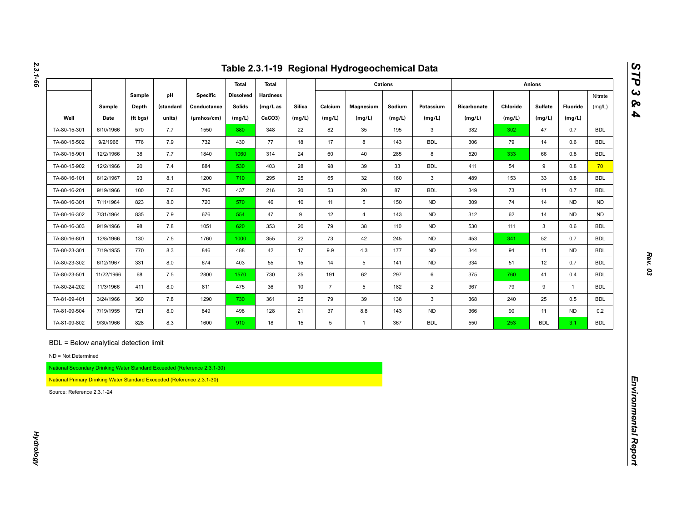|                                                                        |            |          |           |                                                                          |                  |                 |               |                 | Table 2.3.1-19 Regional Hydrogeochemical Data |                |                |                    |          |                |              |            |
|------------------------------------------------------------------------|------------|----------|-----------|--------------------------------------------------------------------------|------------------|-----------------|---------------|-----------------|-----------------------------------------------|----------------|----------------|--------------------|----------|----------------|--------------|------------|
|                                                                        |            |          |           |                                                                          | <b>Total</b>     | <b>Total</b>    |               |                 |                                               | <b>Cations</b> |                |                    |          | <b>Anions</b>  |              |            |
|                                                                        |            | Sample   | pH        | <b>Specific</b>                                                          | <b>Dissolved</b> | <b>Hardness</b> |               |                 |                                               |                |                |                    |          |                |              | Nitrate    |
|                                                                        | Sample     | Depth    | (standard | Conductance                                                              | <b>Solids</b>    | (mg/L as        | <b>Silica</b> | Calcium         | Magnesium                                     | Sodium         | Potassium      | <b>Bicarbonate</b> | Chloride | <b>Sulfate</b> | Fluoride     | (mg/L)     |
| Well                                                                   | Date       | (ft bgs) | units)    | (µmhos/cm)                                                               | (mg/L)           | CaCO3)          | (mg/L)        | (mg/L)          | (mg/L)                                        | (mg/L)         | (mg/L)         | (mg/L)             | (mg/L)   | (mg/L)         | (mg/L)       |            |
| TA-80-15-301                                                           | 6/10/1966  | 570      | 7.7       | 1550                                                                     | 880              | 348             | 22            | 82              | 35                                            | 195            | 3              | 382                | 302      | 47             | 0.7          | <b>BDL</b> |
| TA-80-15-502                                                           | 9/2/1966   | 776      | 7.9       | 732                                                                      | 430              | 77              | 18            | 17              | 8                                             | 143            | <b>BDL</b>     | 306                | 79       | 14             | 0.6          | <b>BDL</b> |
| TA-80-15-901                                                           | 12/2/1966  | 38       | 7.7       | 1840                                                                     | 1060             | 314             | 24            | 60              | 40                                            | 285            | 8              | 520                | 333      | 66             | 0.8          | <b>BDL</b> |
| TA-80-15-902                                                           | 12/2/1966  | 20       | 7.4       | 884                                                                      | 530              | 403             | 28            | 98              | 39                                            | 33             | <b>BDL</b>     | 411                | 54       | 9              | 0.8          | 70         |
| TA-80-16-101                                                           | 6/12/1967  | 93       | 8.1       | 1200                                                                     | 710              | 295             | 25            | 65              | 32                                            | 160            | $\mathbf{3}$   | 489                | 153      | 33             | 0.8          | <b>BDL</b> |
| TA-80-16-201                                                           | 9/19/1966  | 100      | 7.6       | 746                                                                      | 437              | 216             | 20            | 53              | 20                                            | 87             | <b>BDL</b>     | 349                | 73       | 11             | 0.7          | <b>BDL</b> |
| TA-80-16-301                                                           | 7/11/1964  | 823      | 8.0       | 720                                                                      | 570              | 46              | 10            | 11              | $\sqrt{5}$                                    | 150            | <b>ND</b>      | 309                | 74       | 14             | <b>ND</b>    | <b>ND</b>  |
| TA-80-16-302                                                           | 7/31/1964  | 835      | 7.9       | 676                                                                      | 554              | 47              | 9             | 12              | $\overline{4}$                                | 143            | <b>ND</b>      | 312                | 62       | 14             | <b>ND</b>    | <b>ND</b>  |
| TA-80-16-303                                                           | 9/19/1966  | 98       | 7.8       | 1051                                                                     | 620              | 353             | 20            | 79              | 38                                            | 110            | <b>ND</b>      | 530                | 111      | 3              | 0.6          | <b>BDL</b> |
| TA-80-16-801                                                           | 12/8/1966  | 130      | 7.5       | 1760                                                                     | 1000             | 355             | 22            | 73              | 42                                            | 245            | <b>ND</b>      | 453                | 341      | 52             | 0.7          | <b>BDL</b> |
| TA-80-23-301                                                           | 7/19/1955  | 770      | 8.3       | 846                                                                      | 488              | 42              | 17            | 9.9             | 4.3                                           | 177            | <b>ND</b>      | 344                | 94       | 11             | <b>ND</b>    | <b>BDL</b> |
| TA-80-23-302                                                           | 6/12/1967  | 331      | 8.0       | 674                                                                      | 403              | 55              | 15            | 14              | $5\phantom{.0}$                               | 141            | <b>ND</b>      | 334                | 51       | 12             | 0.7          | <b>BDL</b> |
| TA-80-23-501                                                           | 11/22/1966 | 68       | 7.5       | 2800                                                                     | 1570             | 730             | 25            | 191             | 62                                            | 297            | 6              | 375                | 760      | 41             | 0.4          | <b>BDL</b> |
| TA-80-24-202                                                           | 11/3/1966  | 411      | 8.0       | 811                                                                      | 475              | 36              | 10            | $\overline{7}$  | $5\phantom{.0}$                               | 182            | $\overline{2}$ | 367                | 79       | 9              | $\mathbf{1}$ | <b>BDL</b> |
| TA-81-09-401                                                           | 3/24/1966  | 360      | 7.8       | 1290                                                                     | 730              | 361             | 25            | 79              | 39                                            | 138            | 3              | 368                | 240      | 25             | 0.5          | <b>BDL</b> |
| TA-81-09-504                                                           | 7/19/1955  | 721      | 8.0       | 849                                                                      | 498              | 128             | 21            | 37              | 8.8                                           | 143            | ND             | 366                | 90       | 11             | <b>ND</b>    | 0.2        |
| TA-81-09-802                                                           | 9/30/1966  | 828      | 8.3       | 1600                                                                     | 910              | 18              | 15            | $5\phantom{.0}$ | $\mathbf{1}$                                  | 367            | <b>BDL</b>     | 550                | 253      | <b>BDL</b>     | 3.1          | <b>BDL</b> |
| BDL = Below analytical detection limit<br>ND = Not Determined          |            |          |           | National Secondary Drinking Water Standard Exceeded (Reference 2.3.1-30) |                  |                 |               |                 |                                               |                |                |                    |          |                |              |            |
|                                                                        |            |          |           |                                                                          |                  |                 |               |                 |                                               |                |                |                    |          |                |              |            |
| National Primary Drinking Water Standard Exceeded (Reference 2.3.1-30) |            |          |           |                                                                          |                  |                 |               |                 |                                               |                |                |                    |          |                |              |            |

*2.3.1-66*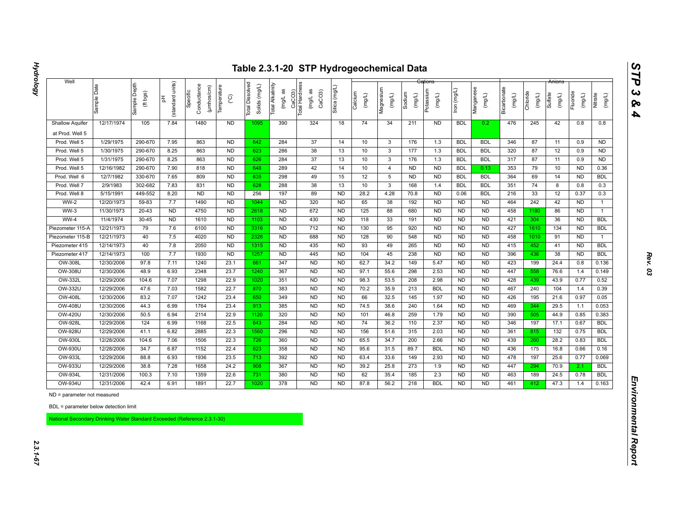| CaCO3)<br>Total Hardness<br>Total Alkalinity<br>Manganese<br>Bicarbonate<br>Silica (mg/L<br>Magnesium<br>lron (mg/L)<br>Potassium<br>(mg/L as<br>(mg/L as<br>CaCO <sub>3</sub><br>Specific<br>(ft bgs)<br>Calcium<br>Chloride<br>Fluoride<br>Sodium<br>Sulfate<br>(mg/L)<br>(mg/L)<br>(mg/L)<br>(mg/L)<br>(mg/L)<br>(mg/L)<br>(mg/L)<br>(mg/L)<br>(mg/L)<br>Nitrate<br>(mg/L)<br>$\rm _{\rm C}^{\circ}$<br>(standard<br>苦<br><b>Total</b><br>1480<br>74<br>12/17/1974<br>105<br>7.84<br><b>ND</b><br>390<br>324<br>18<br>34<br>211<br><b>ND</b><br><b>BDL</b><br>476<br>245<br>42<br>0.8<br>0.8<br><b>Shallow Aquifer</b><br>1095<br>0.2<br>at Prod. Well 5<br>Prod. Well 5<br>1/29/1975<br>290-670<br>7.95<br>863<br><b>ND</b><br>642<br>284<br>37<br>14<br>10<br>$\mathbf{3}$<br>176<br>1.3<br><b>BDL</b><br><b>BDL</b><br>346<br>87<br>11<br><b>ND</b><br>0.9<br>38<br>1/30/1975<br>290-670<br>8.25<br>863<br><b>ND</b><br>286<br>13<br>10<br>$\mathbf{3}$<br>177<br>1.3<br><b>BDL</b><br><b>BDL</b><br>320<br>87<br>12<br><b>ND</b><br>Prod. Well 5<br>623<br>0.9<br>Prod. Well 5<br>1/31/1975<br>290-670<br>8.25<br>863<br>N <sub>D</sub><br>284<br>37<br>13<br>10<br>$\overline{3}$<br>176<br><b>BDL</b><br>317<br>87<br>11<br>626<br>1.3<br><b>BDL</b><br>0.9<br><b>ND</b><br>42<br>290-670<br>7.90<br>818<br>ND<br>289<br>14<br>10<br>N <sub>D</sub><br>353<br>79<br>10<br>Prod. Well 5<br>12/16/1982<br>648<br><b>ND</b><br><b>BDL</b><br>0.13<br><b>ND</b><br>0.36<br>4<br>12/7/1982<br>330-670<br>7.65<br>809<br>N <sub>D</sub><br>635<br>298<br>49<br>15<br>12<br><b>ND</b><br>N <sub>D</sub><br>364<br><b>BDL</b><br>Prod. Well 6<br>5<br><b>BDL</b><br><b>BDL</b><br>69<br>14<br><b>ND</b><br>7.83<br>38<br>2/9/1983<br>302-682<br>831<br><b>ND</b><br>288<br>13<br>10<br>$\mathbf{3}$<br>168<br><b>BDL</b><br><b>BDL</b><br>351<br>74<br>Prod. Well 7<br>628<br>1.4<br>8<br>0.8<br>0.3<br>5/15/1991<br>449-552<br>8.20<br><b>ND</b><br><b>ND</b><br>197<br>89<br><b>ND</b><br>28.2<br>4.28<br>70.8<br><b>ND</b><br>0.06<br><b>BDL</b><br>216<br>33<br>12<br>0.37<br>0.3<br>Prod. Well 8<br>256<br>320<br><b>WW-2</b><br>12/20/1973<br>59-83<br>7.7<br>1490<br><b>ND</b><br><b>ND</b><br><b>ND</b><br>65<br>192<br><b>ND</b><br><b>ND</b><br>464<br>242<br>42<br>1044<br>38<br><b>ND</b><br><b>ND</b><br>$\mathbf{1}$<br>$WW-3$<br>11/30/1973<br>$20 - 43$<br><b>ND</b><br>4750<br>N <sub>D</sub><br>2618<br><b>ND</b><br>672<br><b>ND</b><br>125<br>88<br>N <sub>D</sub><br><b>ND</b><br><b>ND</b><br>458<br>86<br>680<br>1180<br><b>ND</b><br>$\mathbf{1}$<br>$WW-4$<br>11/4/1974<br>$30 - 45$<br><b>ND</b><br>1610<br>N <sub>D</sub><br>1103<br><b>ND</b><br>430<br><b>ND</b><br>118<br>33<br>191<br>N <sub>D</sub><br><b>ND</b><br><b>ND</b><br>421<br>304<br>36<br><b>BDL</b><br><b>ND</b><br>12/21/1973<br>ND<br><b>ND</b><br>712<br>130<br>95<br>427<br>Piezometer 115-A<br>79<br>7.6<br>6100<br>3316<br><b>ND</b><br>920<br><b>ND</b><br><b>ND</b><br><b>ND</b><br>134<br><b>ND</b><br><b>BDL</b><br>1610<br>12/21/1973<br>7.5<br>4020<br>N <sub>D</sub><br><b>ND</b><br>688<br>128<br><b>ND</b><br>458<br>40<br>2326<br><b>ND</b><br>90<br>548<br><b>ND</b><br><b>ND</b><br>1010<br>91<br><b>ND</b><br>Piezometer 115-B<br>$\mathbf{1}$<br>7.8<br>N <sub>D</sub><br><b>ND</b><br>435<br>93<br>12/14/1973<br>40<br>2050<br><b>ND</b><br>49<br>265<br><b>ND</b><br><b>ND</b><br><b>ND</b><br>415<br><b>BDL</b><br>Piezometer 415<br>1315<br>452<br>41<br><b>ND</b><br>12/14/1973<br>100<br>7.7<br>1930<br><b>ND</b><br>1257<br><b>ND</b><br>445<br><b>ND</b><br>104<br>238<br><b>ND</b><br><b>ND</b><br><b>ND</b><br>396<br>436<br>38<br><b>BDL</b><br>Piezometer 417<br>45<br><b>ND</b><br><b>ND</b><br>12/30/2006<br>97.8<br>7.11<br>1240<br>23.1<br>347<br><b>ND</b><br>62.7<br>34.2<br>5.47<br><b>ND</b><br>423<br>OW-308L<br>661<br>149<br><b>ND</b><br>199<br>24.4<br>0.8<br>0.136<br><b>OW-308U</b><br>12/30/2006<br>48.9<br>6.93<br>2348<br>23.7<br>367<br><b>ND</b><br><b>ND</b><br>97.1<br>N <sub>D</sub><br><b>ND</b><br>447<br>76.6<br>1240<br>55.6<br>298<br>2.53<br>558<br>1.4<br>0.149<br>7.07<br>1298<br>22.9<br>351<br>N <sub>D</sub><br>98.3<br>428<br>43.9<br>OW-332L<br>12/29/2006<br>104.6<br>1020<br><b>ND</b><br>53.5<br>208<br>2.98<br><b>ND</b><br>0.77<br><b>ND</b><br>439<br>0.52<br><b>OW-332U</b><br>1582<br>22.7<br>383<br><b>ND</b><br>12/29/2006<br>47.6<br>7.03<br>870<br><b>ND</b><br>70.2<br>35.9<br>213<br><b>BDL</b><br><b>ND</b><br><b>ND</b><br>467<br>240<br>104<br>0.39<br>1.4<br><b>OW-408L</b><br>83.2<br>7.07<br>1242<br>23.4<br>349<br><b>ND</b><br><b>ND</b><br><b>ND</b><br><b>ND</b><br>426<br>12/30/2006<br>650<br>66<br>32.5<br>145<br>1.97<br>195<br>21.6<br>0.97<br>0.05<br><b>OW-408U</b><br>12/30/2006<br>44.3<br>6.99<br>1764<br>23.4<br>913<br>385<br><b>ND</b><br><b>ND</b><br>74.5<br>38.6<br>240<br>1.64<br><b>ND</b><br><b>ND</b><br>469<br>29.5<br>0.053<br>344<br>1.1<br>22.9<br>320<br><b>ND</b><br><b>OW-420U</b><br>12/30/2006<br>50.5<br>6.94<br>2114<br>1120<br><b>ND</b><br>101<br>259<br>1.79<br><b>ND</b><br><b>ND</b><br>390<br>44.9<br>46.8<br>505<br>0.85<br>0.383<br><b>ND</b><br>124<br>1168<br>22.5<br>284<br><b>ND</b><br>74<br>110<br>2.37<br><b>ND</b><br>346<br>OW-928L<br>12/29/2006<br>6.99<br>643<br>36.2<br><b>ND</b><br>197<br>17.1<br>0.67<br><b>BDL</b><br><b>OW-928U</b><br>12/29/2006<br>6.82<br>2885<br>22.3<br>1560<br>296<br><b>ND</b><br><b>ND</b><br>156<br>315<br><b>ND</b><br><b>ND</b><br>$132$<br><b>BDL</b><br>41.1<br>51.6<br>2.03<br>361<br>815<br>0.75<br>22.3<br>N <sub>D</sub><br>OW-930L<br>12/28/2006<br>104.6<br>7.06<br>1506<br>360<br><b>ND</b><br>65.5<br>34.7<br>200<br>2.66<br><b>ND</b><br><b>ND</b><br>439<br>28.2<br>0.83<br><b>BDL</b><br>726<br>260<br>OW-930U<br>12/28/2006<br>34.7<br>6.87<br>1152<br>22.4<br>623<br>358<br><b>ND</b><br><b>ND</b><br><b>BDL</b><br><b>ND</b><br>436<br>175<br>16.8<br>95.6<br>31.5<br>89.7<br><b>ND</b><br>0.66<br>0.16<br>6.93<br>392<br><b>ND</b><br>OW-933L<br>12/29/2006<br>88.8<br>1936<br>23.5<br><b>ND</b><br>63.4<br>149<br>2.93<br><b>ND</b><br><b>ND</b><br>478<br>197<br>25.6<br>713<br>33.6<br>0.77<br>0.069<br>OW-933U<br>12/29/2006<br>38.8<br>7.28<br>1658<br>24.2<br>908<br>367<br><b>ND</b><br><b>ND</b><br>39.2<br>25.8<br>273<br>1.9<br><b>ND</b><br><b>ND</b><br>447<br>70.9<br><b>BDL</b><br>294<br>2.1<br>380<br><b>OW-934L</b><br>100.3<br>7.10<br>1359<br>22.6<br><b>ND</b><br><b>ND</b><br>62<br>35.4<br>185<br>2.3<br>N <sub>D</sub><br><b>ND</b><br>463<br>189<br>24.5<br>0.78<br><b>BDL</b><br>12/31/2006<br>731<br><b>OW-934U</b><br>12/31/2006<br>22.7<br>378<br><b>ND</b><br>ND<br>42.4<br>6.91<br>1891<br>1020<br><b>ND</b><br>87.8<br>56.2<br>218<br><b>BDL</b><br><b>ND</b><br>461<br>412<br>47.3<br>1.4<br>0.163<br>ND = parameter not measured<br>BDL = parameter below detection limit | Well |             |              |        |                           |             |                            |  |  |  |  |  | Anions |  |
|----------------------------------------------------------------------------------------------------------------------------------------------------------------------------------------------------------------------------------------------------------------------------------------------------------------------------------------------------------------------------------------------------------------------------------------------------------------------------------------------------------------------------------------------------------------------------------------------------------------------------------------------------------------------------------------------------------------------------------------------------------------------------------------------------------------------------------------------------------------------------------------------------------------------------------------------------------------------------------------------------------------------------------------------------------------------------------------------------------------------------------------------------------------------------------------------------------------------------------------------------------------------------------------------------------------------------------------------------------------------------------------------------------------------------------------------------------------------------------------------------------------------------------------------------------------------------------------------------------------------------------------------------------------------------------------------------------------------------------------------------------------------------------------------------------------------------------------------------------------------------------------------------------------------------------------------------------------------------------------------------------------------------------------------------------------------------------------------------------------------------------------------------------------------------------------------------------------------------------------------------------------------------------------------------------------------------------------------------------------------------------------------------------------------------------------------------------------------------------------------------------------------------------------------------------------------------------------------------------------------------------------------------------------------------------------------------------------------------------------------------------------------------------------------------------------------------------------------------------------------------------------------------------------------------------------------------------------------------------------------------------------------------------------------------------------------------------------------------------------------------------------------------------------------------------------------------------------------------------------------------------------------------------------------------------------------------------------------------------------------------------------------------------------------------------------------------------------------------------------------------------------------------------------------------------------------------------------------------------------------------------------------------------------------------------------------------------------------------------------------------------------------------------------------------------------------------------------------------------------------------------------------------------------------------------------------------------------------------------------------------------------------------------------------------------------------------------------------------------------------------------------------------------------------------------------------------------------------------------------------------------------------------------------------------------------------------------------------------------------------------------------------------------------------------------------------------------------------------------------------------------------------------------------------------------------------------------------------------------------------------------------------------------------------------------------------------------------------------------------------------------------------------------------------------------------------------------------------------------------------------------------------------------------------------------------------------------------------------------------------------------------------------------------------------------------------------------------------------------------------------------------------------------------------------------------------------------------------------------------------------------------------------------------------------------------------------------------------------------------------------------------------------------------------------------------------------------------------------------------------------------------------------------------------------------------------------------------------------------------------------------------------------------------------------------------------------------------------------------------------------------------------------------------------------------------------------------------------------------------------------------------------------------------------------------------------------------------------------------------------------------------------------------------------------------------------------------------------------------------------------------------------------------------------------------------------------------------------------------------------------------------------------------------------------------------------------------------------------------------------------------------------------------------------------------------------------------------------------------------------------------------------------------------------------------------------------------------------------------------------------------------------------------------------------------------------------------------------------------------------------------------------------------------------------------------------------------------------------------------------------------------------------------|------|-------------|--------------|--------|---------------------------|-------------|----------------------------|--|--|--|--|--|--------|--|
|                                                                                                                                                                                                                                                                                                                                                                                                                                                                                                                                                                                                                                                                                                                                                                                                                                                                                                                                                                                                                                                                                                                                                                                                                                                                                                                                                                                                                                                                                                                                                                                                                                                                                                                                                                                                                                                                                                                                                                                                                                                                                                                                                                                                                                                                                                                                                                                                                                                                                                                                                                                                                                                                                                                                                                                                                                                                                                                                                                                                                                                                                                                                                                                                                                                                                                                                                                                                                                                                                                                                                                                                                                                                                                                                                                                                                                                                                                                                                                                                                                                                                                                                                                                                                                                                                                                                                                                                                                                                                                                                                                                                                                                                                                                                                                                                                                                                                                                                                                                                                                                                                                                                                                                                                                                                                                                                                                                                                                                                                                                                                                                                                                                                                                                                                                                                                                                                                                                                                                                                                                                                                                                                                                                                                                                                                                                                                                                                                                                                                                                                                                                                                                                                                                                                                                                                                                                                                                          |      | Sample Date | Sample Depth | units) | Conductance<br>(µmhos/cm) | Temperature | Dissolved<br>Solids (mg/L) |  |  |  |  |  |        |  |
|                                                                                                                                                                                                                                                                                                                                                                                                                                                                                                                                                                                                                                                                                                                                                                                                                                                                                                                                                                                                                                                                                                                                                                                                                                                                                                                                                                                                                                                                                                                                                                                                                                                                                                                                                                                                                                                                                                                                                                                                                                                                                                                                                                                                                                                                                                                                                                                                                                                                                                                                                                                                                                                                                                                                                                                                                                                                                                                                                                                                                                                                                                                                                                                                                                                                                                                                                                                                                                                                                                                                                                                                                                                                                                                                                                                                                                                                                                                                                                                                                                                                                                                                                                                                                                                                                                                                                                                                                                                                                                                                                                                                                                                                                                                                                                                                                                                                                                                                                                                                                                                                                                                                                                                                                                                                                                                                                                                                                                                                                                                                                                                                                                                                                                                                                                                                                                                                                                                                                                                                                                                                                                                                                                                                                                                                                                                                                                                                                                                                                                                                                                                                                                                                                                                                                                                                                                                                                                          |      |             |              |        |                           |             |                            |  |  |  |  |  |        |  |
|                                                                                                                                                                                                                                                                                                                                                                                                                                                                                                                                                                                                                                                                                                                                                                                                                                                                                                                                                                                                                                                                                                                                                                                                                                                                                                                                                                                                                                                                                                                                                                                                                                                                                                                                                                                                                                                                                                                                                                                                                                                                                                                                                                                                                                                                                                                                                                                                                                                                                                                                                                                                                                                                                                                                                                                                                                                                                                                                                                                                                                                                                                                                                                                                                                                                                                                                                                                                                                                                                                                                                                                                                                                                                                                                                                                                                                                                                                                                                                                                                                                                                                                                                                                                                                                                                                                                                                                                                                                                                                                                                                                                                                                                                                                                                                                                                                                                                                                                                                                                                                                                                                                                                                                                                                                                                                                                                                                                                                                                                                                                                                                                                                                                                                                                                                                                                                                                                                                                                                                                                                                                                                                                                                                                                                                                                                                                                                                                                                                                                                                                                                                                                                                                                                                                                                                                                                                                                                          |      |             |              |        |                           |             |                            |  |  |  |  |  |        |  |
|                                                                                                                                                                                                                                                                                                                                                                                                                                                                                                                                                                                                                                                                                                                                                                                                                                                                                                                                                                                                                                                                                                                                                                                                                                                                                                                                                                                                                                                                                                                                                                                                                                                                                                                                                                                                                                                                                                                                                                                                                                                                                                                                                                                                                                                                                                                                                                                                                                                                                                                                                                                                                                                                                                                                                                                                                                                                                                                                                                                                                                                                                                                                                                                                                                                                                                                                                                                                                                                                                                                                                                                                                                                                                                                                                                                                                                                                                                                                                                                                                                                                                                                                                                                                                                                                                                                                                                                                                                                                                                                                                                                                                                                                                                                                                                                                                                                                                                                                                                                                                                                                                                                                                                                                                                                                                                                                                                                                                                                                                                                                                                                                                                                                                                                                                                                                                                                                                                                                                                                                                                                                                                                                                                                                                                                                                                                                                                                                                                                                                                                                                                                                                                                                                                                                                                                                                                                                                                          |      |             |              |        |                           |             |                            |  |  |  |  |  |        |  |
|                                                                                                                                                                                                                                                                                                                                                                                                                                                                                                                                                                                                                                                                                                                                                                                                                                                                                                                                                                                                                                                                                                                                                                                                                                                                                                                                                                                                                                                                                                                                                                                                                                                                                                                                                                                                                                                                                                                                                                                                                                                                                                                                                                                                                                                                                                                                                                                                                                                                                                                                                                                                                                                                                                                                                                                                                                                                                                                                                                                                                                                                                                                                                                                                                                                                                                                                                                                                                                                                                                                                                                                                                                                                                                                                                                                                                                                                                                                                                                                                                                                                                                                                                                                                                                                                                                                                                                                                                                                                                                                                                                                                                                                                                                                                                                                                                                                                                                                                                                                                                                                                                                                                                                                                                                                                                                                                                                                                                                                                                                                                                                                                                                                                                                                                                                                                                                                                                                                                                                                                                                                                                                                                                                                                                                                                                                                                                                                                                                                                                                                                                                                                                                                                                                                                                                                                                                                                                                          |      |             |              |        |                           |             |                            |  |  |  |  |  |        |  |
|                                                                                                                                                                                                                                                                                                                                                                                                                                                                                                                                                                                                                                                                                                                                                                                                                                                                                                                                                                                                                                                                                                                                                                                                                                                                                                                                                                                                                                                                                                                                                                                                                                                                                                                                                                                                                                                                                                                                                                                                                                                                                                                                                                                                                                                                                                                                                                                                                                                                                                                                                                                                                                                                                                                                                                                                                                                                                                                                                                                                                                                                                                                                                                                                                                                                                                                                                                                                                                                                                                                                                                                                                                                                                                                                                                                                                                                                                                                                                                                                                                                                                                                                                                                                                                                                                                                                                                                                                                                                                                                                                                                                                                                                                                                                                                                                                                                                                                                                                                                                                                                                                                                                                                                                                                                                                                                                                                                                                                                                                                                                                                                                                                                                                                                                                                                                                                                                                                                                                                                                                                                                                                                                                                                                                                                                                                                                                                                                                                                                                                                                                                                                                                                                                                                                                                                                                                                                                                          |      |             |              |        |                           |             |                            |  |  |  |  |  |        |  |
|                                                                                                                                                                                                                                                                                                                                                                                                                                                                                                                                                                                                                                                                                                                                                                                                                                                                                                                                                                                                                                                                                                                                                                                                                                                                                                                                                                                                                                                                                                                                                                                                                                                                                                                                                                                                                                                                                                                                                                                                                                                                                                                                                                                                                                                                                                                                                                                                                                                                                                                                                                                                                                                                                                                                                                                                                                                                                                                                                                                                                                                                                                                                                                                                                                                                                                                                                                                                                                                                                                                                                                                                                                                                                                                                                                                                                                                                                                                                                                                                                                                                                                                                                                                                                                                                                                                                                                                                                                                                                                                                                                                                                                                                                                                                                                                                                                                                                                                                                                                                                                                                                                                                                                                                                                                                                                                                                                                                                                                                                                                                                                                                                                                                                                                                                                                                                                                                                                                                                                                                                                                                                                                                                                                                                                                                                                                                                                                                                                                                                                                                                                                                                                                                                                                                                                                                                                                                                                          |      |             |              |        |                           |             |                            |  |  |  |  |  |        |  |
|                                                                                                                                                                                                                                                                                                                                                                                                                                                                                                                                                                                                                                                                                                                                                                                                                                                                                                                                                                                                                                                                                                                                                                                                                                                                                                                                                                                                                                                                                                                                                                                                                                                                                                                                                                                                                                                                                                                                                                                                                                                                                                                                                                                                                                                                                                                                                                                                                                                                                                                                                                                                                                                                                                                                                                                                                                                                                                                                                                                                                                                                                                                                                                                                                                                                                                                                                                                                                                                                                                                                                                                                                                                                                                                                                                                                                                                                                                                                                                                                                                                                                                                                                                                                                                                                                                                                                                                                                                                                                                                                                                                                                                                                                                                                                                                                                                                                                                                                                                                                                                                                                                                                                                                                                                                                                                                                                                                                                                                                                                                                                                                                                                                                                                                                                                                                                                                                                                                                                                                                                                                                                                                                                                                                                                                                                                                                                                                                                                                                                                                                                                                                                                                                                                                                                                                                                                                                                                          |      |             |              |        |                           |             |                            |  |  |  |  |  |        |  |
|                                                                                                                                                                                                                                                                                                                                                                                                                                                                                                                                                                                                                                                                                                                                                                                                                                                                                                                                                                                                                                                                                                                                                                                                                                                                                                                                                                                                                                                                                                                                                                                                                                                                                                                                                                                                                                                                                                                                                                                                                                                                                                                                                                                                                                                                                                                                                                                                                                                                                                                                                                                                                                                                                                                                                                                                                                                                                                                                                                                                                                                                                                                                                                                                                                                                                                                                                                                                                                                                                                                                                                                                                                                                                                                                                                                                                                                                                                                                                                                                                                                                                                                                                                                                                                                                                                                                                                                                                                                                                                                                                                                                                                                                                                                                                                                                                                                                                                                                                                                                                                                                                                                                                                                                                                                                                                                                                                                                                                                                                                                                                                                                                                                                                                                                                                                                                                                                                                                                                                                                                                                                                                                                                                                                                                                                                                                                                                                                                                                                                                                                                                                                                                                                                                                                                                                                                                                                                                          |      |             |              |        |                           |             |                            |  |  |  |  |  |        |  |
|                                                                                                                                                                                                                                                                                                                                                                                                                                                                                                                                                                                                                                                                                                                                                                                                                                                                                                                                                                                                                                                                                                                                                                                                                                                                                                                                                                                                                                                                                                                                                                                                                                                                                                                                                                                                                                                                                                                                                                                                                                                                                                                                                                                                                                                                                                                                                                                                                                                                                                                                                                                                                                                                                                                                                                                                                                                                                                                                                                                                                                                                                                                                                                                                                                                                                                                                                                                                                                                                                                                                                                                                                                                                                                                                                                                                                                                                                                                                                                                                                                                                                                                                                                                                                                                                                                                                                                                                                                                                                                                                                                                                                                                                                                                                                                                                                                                                                                                                                                                                                                                                                                                                                                                                                                                                                                                                                                                                                                                                                                                                                                                                                                                                                                                                                                                                                                                                                                                                                                                                                                                                                                                                                                                                                                                                                                                                                                                                                                                                                                                                                                                                                                                                                                                                                                                                                                                                                                          |      |             |              |        |                           |             |                            |  |  |  |  |  |        |  |
|                                                                                                                                                                                                                                                                                                                                                                                                                                                                                                                                                                                                                                                                                                                                                                                                                                                                                                                                                                                                                                                                                                                                                                                                                                                                                                                                                                                                                                                                                                                                                                                                                                                                                                                                                                                                                                                                                                                                                                                                                                                                                                                                                                                                                                                                                                                                                                                                                                                                                                                                                                                                                                                                                                                                                                                                                                                                                                                                                                                                                                                                                                                                                                                                                                                                                                                                                                                                                                                                                                                                                                                                                                                                                                                                                                                                                                                                                                                                                                                                                                                                                                                                                                                                                                                                                                                                                                                                                                                                                                                                                                                                                                                                                                                                                                                                                                                                                                                                                                                                                                                                                                                                                                                                                                                                                                                                                                                                                                                                                                                                                                                                                                                                                                                                                                                                                                                                                                                                                                                                                                                                                                                                                                                                                                                                                                                                                                                                                                                                                                                                                                                                                                                                                                                                                                                                                                                                                                          |      |             |              |        |                           |             |                            |  |  |  |  |  |        |  |
|                                                                                                                                                                                                                                                                                                                                                                                                                                                                                                                                                                                                                                                                                                                                                                                                                                                                                                                                                                                                                                                                                                                                                                                                                                                                                                                                                                                                                                                                                                                                                                                                                                                                                                                                                                                                                                                                                                                                                                                                                                                                                                                                                                                                                                                                                                                                                                                                                                                                                                                                                                                                                                                                                                                                                                                                                                                                                                                                                                                                                                                                                                                                                                                                                                                                                                                                                                                                                                                                                                                                                                                                                                                                                                                                                                                                                                                                                                                                                                                                                                                                                                                                                                                                                                                                                                                                                                                                                                                                                                                                                                                                                                                                                                                                                                                                                                                                                                                                                                                                                                                                                                                                                                                                                                                                                                                                                                                                                                                                                                                                                                                                                                                                                                                                                                                                                                                                                                                                                                                                                                                                                                                                                                                                                                                                                                                                                                                                                                                                                                                                                                                                                                                                                                                                                                                                                                                                                                          |      |             |              |        |                           |             |                            |  |  |  |  |  |        |  |
|                                                                                                                                                                                                                                                                                                                                                                                                                                                                                                                                                                                                                                                                                                                                                                                                                                                                                                                                                                                                                                                                                                                                                                                                                                                                                                                                                                                                                                                                                                                                                                                                                                                                                                                                                                                                                                                                                                                                                                                                                                                                                                                                                                                                                                                                                                                                                                                                                                                                                                                                                                                                                                                                                                                                                                                                                                                                                                                                                                                                                                                                                                                                                                                                                                                                                                                                                                                                                                                                                                                                                                                                                                                                                                                                                                                                                                                                                                                                                                                                                                                                                                                                                                                                                                                                                                                                                                                                                                                                                                                                                                                                                                                                                                                                                                                                                                                                                                                                                                                                                                                                                                                                                                                                                                                                                                                                                                                                                                                                                                                                                                                                                                                                                                                                                                                                                                                                                                                                                                                                                                                                                                                                                                                                                                                                                                                                                                                                                                                                                                                                                                                                                                                                                                                                                                                                                                                                                                          |      |             |              |        |                           |             |                            |  |  |  |  |  |        |  |
|                                                                                                                                                                                                                                                                                                                                                                                                                                                                                                                                                                                                                                                                                                                                                                                                                                                                                                                                                                                                                                                                                                                                                                                                                                                                                                                                                                                                                                                                                                                                                                                                                                                                                                                                                                                                                                                                                                                                                                                                                                                                                                                                                                                                                                                                                                                                                                                                                                                                                                                                                                                                                                                                                                                                                                                                                                                                                                                                                                                                                                                                                                                                                                                                                                                                                                                                                                                                                                                                                                                                                                                                                                                                                                                                                                                                                                                                                                                                                                                                                                                                                                                                                                                                                                                                                                                                                                                                                                                                                                                                                                                                                                                                                                                                                                                                                                                                                                                                                                                                                                                                                                                                                                                                                                                                                                                                                                                                                                                                                                                                                                                                                                                                                                                                                                                                                                                                                                                                                                                                                                                                                                                                                                                                                                                                                                                                                                                                                                                                                                                                                                                                                                                                                                                                                                                                                                                                                                          |      |             |              |        |                           |             |                            |  |  |  |  |  |        |  |
|                                                                                                                                                                                                                                                                                                                                                                                                                                                                                                                                                                                                                                                                                                                                                                                                                                                                                                                                                                                                                                                                                                                                                                                                                                                                                                                                                                                                                                                                                                                                                                                                                                                                                                                                                                                                                                                                                                                                                                                                                                                                                                                                                                                                                                                                                                                                                                                                                                                                                                                                                                                                                                                                                                                                                                                                                                                                                                                                                                                                                                                                                                                                                                                                                                                                                                                                                                                                                                                                                                                                                                                                                                                                                                                                                                                                                                                                                                                                                                                                                                                                                                                                                                                                                                                                                                                                                                                                                                                                                                                                                                                                                                                                                                                                                                                                                                                                                                                                                                                                                                                                                                                                                                                                                                                                                                                                                                                                                                                                                                                                                                                                                                                                                                                                                                                                                                                                                                                                                                                                                                                                                                                                                                                                                                                                                                                                                                                                                                                                                                                                                                                                                                                                                                                                                                                                                                                                                                          |      |             |              |        |                           |             |                            |  |  |  |  |  |        |  |
|                                                                                                                                                                                                                                                                                                                                                                                                                                                                                                                                                                                                                                                                                                                                                                                                                                                                                                                                                                                                                                                                                                                                                                                                                                                                                                                                                                                                                                                                                                                                                                                                                                                                                                                                                                                                                                                                                                                                                                                                                                                                                                                                                                                                                                                                                                                                                                                                                                                                                                                                                                                                                                                                                                                                                                                                                                                                                                                                                                                                                                                                                                                                                                                                                                                                                                                                                                                                                                                                                                                                                                                                                                                                                                                                                                                                                                                                                                                                                                                                                                                                                                                                                                                                                                                                                                                                                                                                                                                                                                                                                                                                                                                                                                                                                                                                                                                                                                                                                                                                                                                                                                                                                                                                                                                                                                                                                                                                                                                                                                                                                                                                                                                                                                                                                                                                                                                                                                                                                                                                                                                                                                                                                                                                                                                                                                                                                                                                                                                                                                                                                                                                                                                                                                                                                                                                                                                                                                          |      |             |              |        |                           |             |                            |  |  |  |  |  |        |  |
|                                                                                                                                                                                                                                                                                                                                                                                                                                                                                                                                                                                                                                                                                                                                                                                                                                                                                                                                                                                                                                                                                                                                                                                                                                                                                                                                                                                                                                                                                                                                                                                                                                                                                                                                                                                                                                                                                                                                                                                                                                                                                                                                                                                                                                                                                                                                                                                                                                                                                                                                                                                                                                                                                                                                                                                                                                                                                                                                                                                                                                                                                                                                                                                                                                                                                                                                                                                                                                                                                                                                                                                                                                                                                                                                                                                                                                                                                                                                                                                                                                                                                                                                                                                                                                                                                                                                                                                                                                                                                                                                                                                                                                                                                                                                                                                                                                                                                                                                                                                                                                                                                                                                                                                                                                                                                                                                                                                                                                                                                                                                                                                                                                                                                                                                                                                                                                                                                                                                                                                                                                                                                                                                                                                                                                                                                                                                                                                                                                                                                                                                                                                                                                                                                                                                                                                                                                                                                                          |      |             |              |        |                           |             |                            |  |  |  |  |  |        |  |
|                                                                                                                                                                                                                                                                                                                                                                                                                                                                                                                                                                                                                                                                                                                                                                                                                                                                                                                                                                                                                                                                                                                                                                                                                                                                                                                                                                                                                                                                                                                                                                                                                                                                                                                                                                                                                                                                                                                                                                                                                                                                                                                                                                                                                                                                                                                                                                                                                                                                                                                                                                                                                                                                                                                                                                                                                                                                                                                                                                                                                                                                                                                                                                                                                                                                                                                                                                                                                                                                                                                                                                                                                                                                                                                                                                                                                                                                                                                                                                                                                                                                                                                                                                                                                                                                                                                                                                                                                                                                                                                                                                                                                                                                                                                                                                                                                                                                                                                                                                                                                                                                                                                                                                                                                                                                                                                                                                                                                                                                                                                                                                                                                                                                                                                                                                                                                                                                                                                                                                                                                                                                                                                                                                                                                                                                                                                                                                                                                                                                                                                                                                                                                                                                                                                                                                                                                                                                                                          |      |             |              |        |                           |             |                            |  |  |  |  |  |        |  |
|                                                                                                                                                                                                                                                                                                                                                                                                                                                                                                                                                                                                                                                                                                                                                                                                                                                                                                                                                                                                                                                                                                                                                                                                                                                                                                                                                                                                                                                                                                                                                                                                                                                                                                                                                                                                                                                                                                                                                                                                                                                                                                                                                                                                                                                                                                                                                                                                                                                                                                                                                                                                                                                                                                                                                                                                                                                                                                                                                                                                                                                                                                                                                                                                                                                                                                                                                                                                                                                                                                                                                                                                                                                                                                                                                                                                                                                                                                                                                                                                                                                                                                                                                                                                                                                                                                                                                                                                                                                                                                                                                                                                                                                                                                                                                                                                                                                                                                                                                                                                                                                                                                                                                                                                                                                                                                                                                                                                                                                                                                                                                                                                                                                                                                                                                                                                                                                                                                                                                                                                                                                                                                                                                                                                                                                                                                                                                                                                                                                                                                                                                                                                                                                                                                                                                                                                                                                                                                          |      |             |              |        |                           |             |                            |  |  |  |  |  |        |  |
|                                                                                                                                                                                                                                                                                                                                                                                                                                                                                                                                                                                                                                                                                                                                                                                                                                                                                                                                                                                                                                                                                                                                                                                                                                                                                                                                                                                                                                                                                                                                                                                                                                                                                                                                                                                                                                                                                                                                                                                                                                                                                                                                                                                                                                                                                                                                                                                                                                                                                                                                                                                                                                                                                                                                                                                                                                                                                                                                                                                                                                                                                                                                                                                                                                                                                                                                                                                                                                                                                                                                                                                                                                                                                                                                                                                                                                                                                                                                                                                                                                                                                                                                                                                                                                                                                                                                                                                                                                                                                                                                                                                                                                                                                                                                                                                                                                                                                                                                                                                                                                                                                                                                                                                                                                                                                                                                                                                                                                                                                                                                                                                                                                                                                                                                                                                                                                                                                                                                                                                                                                                                                                                                                                                                                                                                                                                                                                                                                                                                                                                                                                                                                                                                                                                                                                                                                                                                                                          |      |             |              |        |                           |             |                            |  |  |  |  |  |        |  |
|                                                                                                                                                                                                                                                                                                                                                                                                                                                                                                                                                                                                                                                                                                                                                                                                                                                                                                                                                                                                                                                                                                                                                                                                                                                                                                                                                                                                                                                                                                                                                                                                                                                                                                                                                                                                                                                                                                                                                                                                                                                                                                                                                                                                                                                                                                                                                                                                                                                                                                                                                                                                                                                                                                                                                                                                                                                                                                                                                                                                                                                                                                                                                                                                                                                                                                                                                                                                                                                                                                                                                                                                                                                                                                                                                                                                                                                                                                                                                                                                                                                                                                                                                                                                                                                                                                                                                                                                                                                                                                                                                                                                                                                                                                                                                                                                                                                                                                                                                                                                                                                                                                                                                                                                                                                                                                                                                                                                                                                                                                                                                                                                                                                                                                                                                                                                                                                                                                                                                                                                                                                                                                                                                                                                                                                                                                                                                                                                                                                                                                                                                                                                                                                                                                                                                                                                                                                                                                          |      |             |              |        |                           |             |                            |  |  |  |  |  |        |  |
|                                                                                                                                                                                                                                                                                                                                                                                                                                                                                                                                                                                                                                                                                                                                                                                                                                                                                                                                                                                                                                                                                                                                                                                                                                                                                                                                                                                                                                                                                                                                                                                                                                                                                                                                                                                                                                                                                                                                                                                                                                                                                                                                                                                                                                                                                                                                                                                                                                                                                                                                                                                                                                                                                                                                                                                                                                                                                                                                                                                                                                                                                                                                                                                                                                                                                                                                                                                                                                                                                                                                                                                                                                                                                                                                                                                                                                                                                                                                                                                                                                                                                                                                                                                                                                                                                                                                                                                                                                                                                                                                                                                                                                                                                                                                                                                                                                                                                                                                                                                                                                                                                                                                                                                                                                                                                                                                                                                                                                                                                                                                                                                                                                                                                                                                                                                                                                                                                                                                                                                                                                                                                                                                                                                                                                                                                                                                                                                                                                                                                                                                                                                                                                                                                                                                                                                                                                                                                                          |      |             |              |        |                           |             |                            |  |  |  |  |  |        |  |
|                                                                                                                                                                                                                                                                                                                                                                                                                                                                                                                                                                                                                                                                                                                                                                                                                                                                                                                                                                                                                                                                                                                                                                                                                                                                                                                                                                                                                                                                                                                                                                                                                                                                                                                                                                                                                                                                                                                                                                                                                                                                                                                                                                                                                                                                                                                                                                                                                                                                                                                                                                                                                                                                                                                                                                                                                                                                                                                                                                                                                                                                                                                                                                                                                                                                                                                                                                                                                                                                                                                                                                                                                                                                                                                                                                                                                                                                                                                                                                                                                                                                                                                                                                                                                                                                                                                                                                                                                                                                                                                                                                                                                                                                                                                                                                                                                                                                                                                                                                                                                                                                                                                                                                                                                                                                                                                                                                                                                                                                                                                                                                                                                                                                                                                                                                                                                                                                                                                                                                                                                                                                                                                                                                                                                                                                                                                                                                                                                                                                                                                                                                                                                                                                                                                                                                                                                                                                                                          |      |             |              |        |                           |             |                            |  |  |  |  |  |        |  |
|                                                                                                                                                                                                                                                                                                                                                                                                                                                                                                                                                                                                                                                                                                                                                                                                                                                                                                                                                                                                                                                                                                                                                                                                                                                                                                                                                                                                                                                                                                                                                                                                                                                                                                                                                                                                                                                                                                                                                                                                                                                                                                                                                                                                                                                                                                                                                                                                                                                                                                                                                                                                                                                                                                                                                                                                                                                                                                                                                                                                                                                                                                                                                                                                                                                                                                                                                                                                                                                                                                                                                                                                                                                                                                                                                                                                                                                                                                                                                                                                                                                                                                                                                                                                                                                                                                                                                                                                                                                                                                                                                                                                                                                                                                                                                                                                                                                                                                                                                                                                                                                                                                                                                                                                                                                                                                                                                                                                                                                                                                                                                                                                                                                                                                                                                                                                                                                                                                                                                                                                                                                                                                                                                                                                                                                                                                                                                                                                                                                                                                                                                                                                                                                                                                                                                                                                                                                                                                          |      |             |              |        |                           |             |                            |  |  |  |  |  |        |  |
|                                                                                                                                                                                                                                                                                                                                                                                                                                                                                                                                                                                                                                                                                                                                                                                                                                                                                                                                                                                                                                                                                                                                                                                                                                                                                                                                                                                                                                                                                                                                                                                                                                                                                                                                                                                                                                                                                                                                                                                                                                                                                                                                                                                                                                                                                                                                                                                                                                                                                                                                                                                                                                                                                                                                                                                                                                                                                                                                                                                                                                                                                                                                                                                                                                                                                                                                                                                                                                                                                                                                                                                                                                                                                                                                                                                                                                                                                                                                                                                                                                                                                                                                                                                                                                                                                                                                                                                                                                                                                                                                                                                                                                                                                                                                                                                                                                                                                                                                                                                                                                                                                                                                                                                                                                                                                                                                                                                                                                                                                                                                                                                                                                                                                                                                                                                                                                                                                                                                                                                                                                                                                                                                                                                                                                                                                                                                                                                                                                                                                                                                                                                                                                                                                                                                                                                                                                                                                                          |      |             |              |        |                           |             |                            |  |  |  |  |  |        |  |
|                                                                                                                                                                                                                                                                                                                                                                                                                                                                                                                                                                                                                                                                                                                                                                                                                                                                                                                                                                                                                                                                                                                                                                                                                                                                                                                                                                                                                                                                                                                                                                                                                                                                                                                                                                                                                                                                                                                                                                                                                                                                                                                                                                                                                                                                                                                                                                                                                                                                                                                                                                                                                                                                                                                                                                                                                                                                                                                                                                                                                                                                                                                                                                                                                                                                                                                                                                                                                                                                                                                                                                                                                                                                                                                                                                                                                                                                                                                                                                                                                                                                                                                                                                                                                                                                                                                                                                                                                                                                                                                                                                                                                                                                                                                                                                                                                                                                                                                                                                                                                                                                                                                                                                                                                                                                                                                                                                                                                                                                                                                                                                                                                                                                                                                                                                                                                                                                                                                                                                                                                                                                                                                                                                                                                                                                                                                                                                                                                                                                                                                                                                                                                                                                                                                                                                                                                                                                                                          |      |             |              |        |                           |             |                            |  |  |  |  |  |        |  |
|                                                                                                                                                                                                                                                                                                                                                                                                                                                                                                                                                                                                                                                                                                                                                                                                                                                                                                                                                                                                                                                                                                                                                                                                                                                                                                                                                                                                                                                                                                                                                                                                                                                                                                                                                                                                                                                                                                                                                                                                                                                                                                                                                                                                                                                                                                                                                                                                                                                                                                                                                                                                                                                                                                                                                                                                                                                                                                                                                                                                                                                                                                                                                                                                                                                                                                                                                                                                                                                                                                                                                                                                                                                                                                                                                                                                                                                                                                                                                                                                                                                                                                                                                                                                                                                                                                                                                                                                                                                                                                                                                                                                                                                                                                                                                                                                                                                                                                                                                                                                                                                                                                                                                                                                                                                                                                                                                                                                                                                                                                                                                                                                                                                                                                                                                                                                                                                                                                                                                                                                                                                                                                                                                                                                                                                                                                                                                                                                                                                                                                                                                                                                                                                                                                                                                                                                                                                                                                          |      |             |              |        |                           |             |                            |  |  |  |  |  |        |  |
|                                                                                                                                                                                                                                                                                                                                                                                                                                                                                                                                                                                                                                                                                                                                                                                                                                                                                                                                                                                                                                                                                                                                                                                                                                                                                                                                                                                                                                                                                                                                                                                                                                                                                                                                                                                                                                                                                                                                                                                                                                                                                                                                                                                                                                                                                                                                                                                                                                                                                                                                                                                                                                                                                                                                                                                                                                                                                                                                                                                                                                                                                                                                                                                                                                                                                                                                                                                                                                                                                                                                                                                                                                                                                                                                                                                                                                                                                                                                                                                                                                                                                                                                                                                                                                                                                                                                                                                                                                                                                                                                                                                                                                                                                                                                                                                                                                                                                                                                                                                                                                                                                                                                                                                                                                                                                                                                                                                                                                                                                                                                                                                                                                                                                                                                                                                                                                                                                                                                                                                                                                                                                                                                                                                                                                                                                                                                                                                                                                                                                                                                                                                                                                                                                                                                                                                                                                                                                                          |      |             |              |        |                           |             |                            |  |  |  |  |  |        |  |
|                                                                                                                                                                                                                                                                                                                                                                                                                                                                                                                                                                                                                                                                                                                                                                                                                                                                                                                                                                                                                                                                                                                                                                                                                                                                                                                                                                                                                                                                                                                                                                                                                                                                                                                                                                                                                                                                                                                                                                                                                                                                                                                                                                                                                                                                                                                                                                                                                                                                                                                                                                                                                                                                                                                                                                                                                                                                                                                                                                                                                                                                                                                                                                                                                                                                                                                                                                                                                                                                                                                                                                                                                                                                                                                                                                                                                                                                                                                                                                                                                                                                                                                                                                                                                                                                                                                                                                                                                                                                                                                                                                                                                                                                                                                                                                                                                                                                                                                                                                                                                                                                                                                                                                                                                                                                                                                                                                                                                                                                                                                                                                                                                                                                                                                                                                                                                                                                                                                                                                                                                                                                                                                                                                                                                                                                                                                                                                                                                                                                                                                                                                                                                                                                                                                                                                                                                                                                                                          |      |             |              |        |                           |             |                            |  |  |  |  |  |        |  |
|                                                                                                                                                                                                                                                                                                                                                                                                                                                                                                                                                                                                                                                                                                                                                                                                                                                                                                                                                                                                                                                                                                                                                                                                                                                                                                                                                                                                                                                                                                                                                                                                                                                                                                                                                                                                                                                                                                                                                                                                                                                                                                                                                                                                                                                                                                                                                                                                                                                                                                                                                                                                                                                                                                                                                                                                                                                                                                                                                                                                                                                                                                                                                                                                                                                                                                                                                                                                                                                                                                                                                                                                                                                                                                                                                                                                                                                                                                                                                                                                                                                                                                                                                                                                                                                                                                                                                                                                                                                                                                                                                                                                                                                                                                                                                                                                                                                                                                                                                                                                                                                                                                                                                                                                                                                                                                                                                                                                                                                                                                                                                                                                                                                                                                                                                                                                                                                                                                                                                                                                                                                                                                                                                                                                                                                                                                                                                                                                                                                                                                                                                                                                                                                                                                                                                                                                                                                                                                          |      |             |              |        |                           |             |                            |  |  |  |  |  |        |  |
|                                                                                                                                                                                                                                                                                                                                                                                                                                                                                                                                                                                                                                                                                                                                                                                                                                                                                                                                                                                                                                                                                                                                                                                                                                                                                                                                                                                                                                                                                                                                                                                                                                                                                                                                                                                                                                                                                                                                                                                                                                                                                                                                                                                                                                                                                                                                                                                                                                                                                                                                                                                                                                                                                                                                                                                                                                                                                                                                                                                                                                                                                                                                                                                                                                                                                                                                                                                                                                                                                                                                                                                                                                                                                                                                                                                                                                                                                                                                                                                                                                                                                                                                                                                                                                                                                                                                                                                                                                                                                                                                                                                                                                                                                                                                                                                                                                                                                                                                                                                                                                                                                                                                                                                                                                                                                                                                                                                                                                                                                                                                                                                                                                                                                                                                                                                                                                                                                                                                                                                                                                                                                                                                                                                                                                                                                                                                                                                                                                                                                                                                                                                                                                                                                                                                                                                                                                                                                                          |      |             |              |        |                           |             |                            |  |  |  |  |  |        |  |
|                                                                                                                                                                                                                                                                                                                                                                                                                                                                                                                                                                                                                                                                                                                                                                                                                                                                                                                                                                                                                                                                                                                                                                                                                                                                                                                                                                                                                                                                                                                                                                                                                                                                                                                                                                                                                                                                                                                                                                                                                                                                                                                                                                                                                                                                                                                                                                                                                                                                                                                                                                                                                                                                                                                                                                                                                                                                                                                                                                                                                                                                                                                                                                                                                                                                                                                                                                                                                                                                                                                                                                                                                                                                                                                                                                                                                                                                                                                                                                                                                                                                                                                                                                                                                                                                                                                                                                                                                                                                                                                                                                                                                                                                                                                                                                                                                                                                                                                                                                                                                                                                                                                                                                                                                                                                                                                                                                                                                                                                                                                                                                                                                                                                                                                                                                                                                                                                                                                                                                                                                                                                                                                                                                                                                                                                                                                                                                                                                                                                                                                                                                                                                                                                                                                                                                                                                                                                                                          |      |             |              |        |                           |             |                            |  |  |  |  |  |        |  |
|                                                                                                                                                                                                                                                                                                                                                                                                                                                                                                                                                                                                                                                                                                                                                                                                                                                                                                                                                                                                                                                                                                                                                                                                                                                                                                                                                                                                                                                                                                                                                                                                                                                                                                                                                                                                                                                                                                                                                                                                                                                                                                                                                                                                                                                                                                                                                                                                                                                                                                                                                                                                                                                                                                                                                                                                                                                                                                                                                                                                                                                                                                                                                                                                                                                                                                                                                                                                                                                                                                                                                                                                                                                                                                                                                                                                                                                                                                                                                                                                                                                                                                                                                                                                                                                                                                                                                                                                                                                                                                                                                                                                                                                                                                                                                                                                                                                                                                                                                                                                                                                                                                                                                                                                                                                                                                                                                                                                                                                                                                                                                                                                                                                                                                                                                                                                                                                                                                                                                                                                                                                                                                                                                                                                                                                                                                                                                                                                                                                                                                                                                                                                                                                                                                                                                                                                                                                                                                          |      |             |              |        |                           |             |                            |  |  |  |  |  |        |  |
|                                                                                                                                                                                                                                                                                                                                                                                                                                                                                                                                                                                                                                                                                                                                                                                                                                                                                                                                                                                                                                                                                                                                                                                                                                                                                                                                                                                                                                                                                                                                                                                                                                                                                                                                                                                                                                                                                                                                                                                                                                                                                                                                                                                                                                                                                                                                                                                                                                                                                                                                                                                                                                                                                                                                                                                                                                                                                                                                                                                                                                                                                                                                                                                                                                                                                                                                                                                                                                                                                                                                                                                                                                                                                                                                                                                                                                                                                                                                                                                                                                                                                                                                                                                                                                                                                                                                                                                                                                                                                                                                                                                                                                                                                                                                                                                                                                                                                                                                                                                                                                                                                                                                                                                                                                                                                                                                                                                                                                                                                                                                                                                                                                                                                                                                                                                                                                                                                                                                                                                                                                                                                                                                                                                                                                                                                                                                                                                                                                                                                                                                                                                                                                                                                                                                                                                                                                                                                                          |      |             |              |        |                           |             |                            |  |  |  |  |  |        |  |
| National Secondary Drinking Water Standard Exceeded (Reference 2.3.1-30)                                                                                                                                                                                                                                                                                                                                                                                                                                                                                                                                                                                                                                                                                                                                                                                                                                                                                                                                                                                                                                                                                                                                                                                                                                                                                                                                                                                                                                                                                                                                                                                                                                                                                                                                                                                                                                                                                                                                                                                                                                                                                                                                                                                                                                                                                                                                                                                                                                                                                                                                                                                                                                                                                                                                                                                                                                                                                                                                                                                                                                                                                                                                                                                                                                                                                                                                                                                                                                                                                                                                                                                                                                                                                                                                                                                                                                                                                                                                                                                                                                                                                                                                                                                                                                                                                                                                                                                                                                                                                                                                                                                                                                                                                                                                                                                                                                                                                                                                                                                                                                                                                                                                                                                                                                                                                                                                                                                                                                                                                                                                                                                                                                                                                                                                                                                                                                                                                                                                                                                                                                                                                                                                                                                                                                                                                                                                                                                                                                                                                                                                                                                                                                                                                                                                                                                                                                 |      |             |              |        |                           |             |                            |  |  |  |  |  |        |  |
|                                                                                                                                                                                                                                                                                                                                                                                                                                                                                                                                                                                                                                                                                                                                                                                                                                                                                                                                                                                                                                                                                                                                                                                                                                                                                                                                                                                                                                                                                                                                                                                                                                                                                                                                                                                                                                                                                                                                                                                                                                                                                                                                                                                                                                                                                                                                                                                                                                                                                                                                                                                                                                                                                                                                                                                                                                                                                                                                                                                                                                                                                                                                                                                                                                                                                                                                                                                                                                                                                                                                                                                                                                                                                                                                                                                                                                                                                                                                                                                                                                                                                                                                                                                                                                                                                                                                                                                                                                                                                                                                                                                                                                                                                                                                                                                                                                                                                                                                                                                                                                                                                                                                                                                                                                                                                                                                                                                                                                                                                                                                                                                                                                                                                                                                                                                                                                                                                                                                                                                                                                                                                                                                                                                                                                                                                                                                                                                                                                                                                                                                                                                                                                                                                                                                                                                                                                                                                                          |      |             |              |        |                           |             |                            |  |  |  |  |  |        |  |
|                                                                                                                                                                                                                                                                                                                                                                                                                                                                                                                                                                                                                                                                                                                                                                                                                                                                                                                                                                                                                                                                                                                                                                                                                                                                                                                                                                                                                                                                                                                                                                                                                                                                                                                                                                                                                                                                                                                                                                                                                                                                                                                                                                                                                                                                                                                                                                                                                                                                                                                                                                                                                                                                                                                                                                                                                                                                                                                                                                                                                                                                                                                                                                                                                                                                                                                                                                                                                                                                                                                                                                                                                                                                                                                                                                                                                                                                                                                                                                                                                                                                                                                                                                                                                                                                                                                                                                                                                                                                                                                                                                                                                                                                                                                                                                                                                                                                                                                                                                                                                                                                                                                                                                                                                                                                                                                                                                                                                                                                                                                                                                                                                                                                                                                                                                                                                                                                                                                                                                                                                                                                                                                                                                                                                                                                                                                                                                                                                                                                                                                                                                                                                                                                                                                                                                                                                                                                                                          |      |             |              |        |                           |             |                            |  |  |  |  |  |        |  |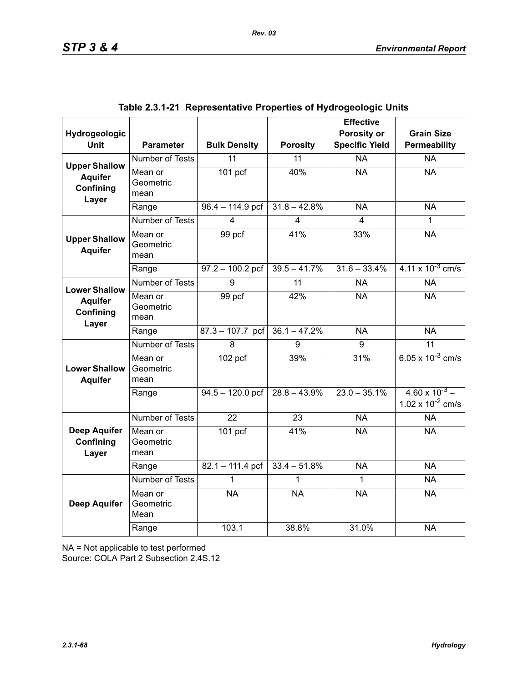| Hydrogeologic                             |                              |                      |                         | <b>Effective</b><br>Porosity or | <b>Grain Size</b>                                |
|-------------------------------------------|------------------------------|----------------------|-------------------------|---------------------------------|--------------------------------------------------|
| <b>Unit</b>                               | <b>Parameter</b>             | <b>Bulk Density</b>  | <b>Porosity</b>         | <b>Specific Yield</b>           | Permeability                                     |
| <b>Upper Shallow</b>                      | Number of Tests              | 11                   | 11                      | <b>NA</b>                       | <b>NA</b>                                        |
| <b>Aquifer</b><br>Confining<br>Layer      | Mean or<br>Geometric<br>mean | $\overline{101}$ pcf | 40%                     | <b>NA</b>                       | <b>NA</b>                                        |
|                                           | Range                        | $96.4 - 114.9$ pcf   | $31.8 - 42.8%$          | <b>NA</b>                       | <b>NA</b>                                        |
|                                           | <b>Number of Tests</b>       | 4                    | $\overline{\mathbf{4}}$ | 4                               | 1                                                |
| <b>Upper Shallow</b><br><b>Aquifer</b>    | Mean or<br>Geometric<br>mean | 99 pcf               | 41%                     | 33%                             | <b>NA</b>                                        |
|                                           | Range                        | $97.2 - 100.2$ pcf   | $39.5 - 41.7%$          | $31.6 - 33.4%$                  | $4.11 \times 10^{-3}$ cm/s                       |
| <b>Lower Shallow</b>                      | <b>Number of Tests</b>       | 9                    | $\overline{11}$         | <b>NA</b>                       | <b>NA</b>                                        |
| <b>Aquifer</b><br>Confining<br>Layer      | Mean or<br>Geometric<br>mean | 99 pcf               | 42%                     | <b>NA</b>                       | <b>NA</b>                                        |
|                                           | Range                        | $87.3 - 107.7$ pcf   | $36.1 - 47.2%$          | <b>NA</b>                       | <b>NA</b>                                        |
|                                           | <b>Number of Tests</b>       | 8                    | 9                       | 9                               | 11                                               |
| <b>Lower Shallow</b><br><b>Aquifer</b>    | Mean or<br>Geometric<br>mean | $102$ pcf            | 39%                     | 31%                             | 6.05 x $10^{-3}$ cm/s                            |
|                                           | Range                        | $94.5 - 120.0$ pcf   | $28.8 - 43.9\%$         | $23.0 - 35.1\%$                 | $4.60 \times 10^{-3}$ –<br>1.02 x $10^{-2}$ cm/s |
|                                           | Number of Tests              | 22                   | 23                      | <b>NA</b>                       | <b>NA</b>                                        |
| <b>Deep Aquifer</b><br>Confining<br>Layer | Mean or<br>Geometric<br>mean | $101$ pcf            | 41%                     | <b>NA</b>                       | <b>NA</b>                                        |
|                                           | Range                        | $82.1 - 111.4$ pcf   | $33.4 - 51.8%$          | <b>NA</b>                       | <b>NA</b>                                        |
|                                           | Number of Tests              | 1                    |                         | 1                               | <b>NA</b>                                        |
| <b>Deep Aquifer</b>                       | Mean or<br>Geometric<br>Mean | <b>NA</b>            | <b>NA</b>               | <b>NA</b>                       | <b>NA</b>                                        |
|                                           | Range                        | 103.1                | 38.8%                   | 31.0%                           | <b>NA</b>                                        |

|  | Table 2.3.1-21  Representative Properties of Hydrogeologic Units |  |  |  |
|--|------------------------------------------------------------------|--|--|--|
|--|------------------------------------------------------------------|--|--|--|

NA = Not applicable to test performed

Source: COLA Part 2 Subsection 2.4S.12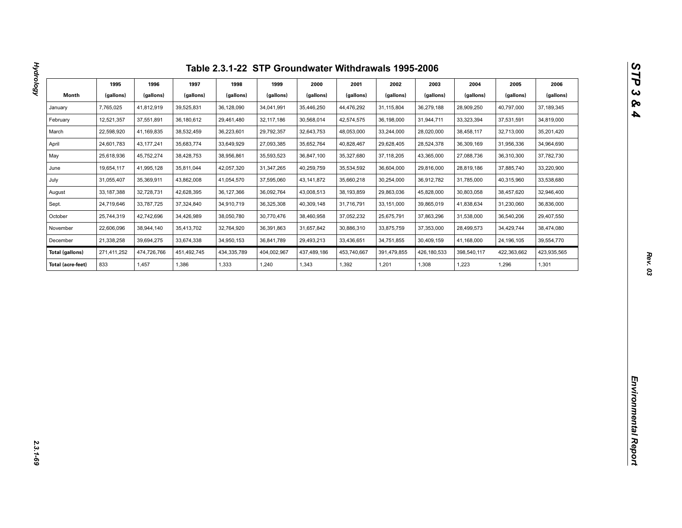|                        | 1995         | 1996         | 1997        | 1998        | 1999        | 2000         | 2001        | 2002        | 2003        | 2004        | 2005        | 2006         |
|------------------------|--------------|--------------|-------------|-------------|-------------|--------------|-------------|-------------|-------------|-------------|-------------|--------------|
| Month                  | (gallons)    | (gallons)    | (gallons)   | (gallons)   | (gallons)   | (gallons)    | (gallons)   | (gallons)   | (gallons)   | (gallons)   | (gallons)   | (gallons)    |
| January                | 7,765,025    | 41,812,919   | 39,525,831  | 36,128,090  | 34,041,991  | 35,446,250   | 44,476,292  | 31,115,804  | 36,279,188  | 28,909,250  | 40,797,000  | 37, 189, 345 |
| February               | 12,521,357   | 37,551,891   | 36,180,612  | 29,461,480  | 32,117,186  | 30,568,014   | 42,574,575  | 36,198,000  | 31,944,711  | 33,323,394  | 37,531,591  | 34,819,000   |
| March                  | 22,598,920   | 41,169,835   | 38,532,459  | 36,223,601  | 29,792,357  | 32,643,753   | 48,053,000  | 33,244,000  | 28,020,000  | 38,458,117  | 32,713,000  | 35,201,420   |
| April                  | 24,601,783   | 43, 177, 241 | 35,683,774  | 33,649,929  | 27,093,385  | 35,652,764   | 40,828,467  | 29,628,405  | 28,524,378  | 36,309,169  | 31,956,336  | 34,964,690   |
| May                    | 25,618,936   | 45,752,274   | 38,428,753  | 38,956,861  | 35,593,523  | 36,847,100   | 35,327,680  | 37,118,205  | 43,365,000  | 27,088,736  | 36,310,300  | 37,782,730   |
| June                   | 19,654,117   | 41,995,128   | 35,811,044  | 42,057,320  | 31,347,265  | 40,259,759   | 35,534,592  | 36,604,000  | 29,816,000  | 28,819,186  | 37,885,740  | 33,220,900   |
| July                   | 31,055,407   | 35,369,911   | 43,862,008  | 41,054,570  | 37,595,060  | 43, 141, 872 | 35,660,218  | 30,254,000  | 36,912,782  | 31,785,000  | 40,315,960  | 33,538,680   |
| August                 | 33, 187, 388 | 32,728,731   | 42,628,395  | 36,127,366  | 36,092,764  | 43,008,513   | 38,193,859  | 29,863,036  | 45,828,000  | 30,803,058  | 38,457,620  | 32,946,400   |
| Sept.                  | 24,719,646   | 33,787,725   | 37,324,840  | 34,910,719  | 36,325,308  | 40,309,148   | 31,716,791  | 33,151,000  | 39,865,019  | 41,838,634  | 31,230,060  | 36,836,000   |
| October                | 25,744,319   | 42,742,696   | 34,426,989  | 38,050,780  | 30,770,476  | 38,460,958   | 37,052,232  | 25,675,791  | 37,863,296  | 31,538,000  | 36,540,206  | 29,407,550   |
| November               | 22,606,096   | 38,944,140   | 35,413,702  | 32,764,920  | 36,391,863  | 31,657,842   | 30,886,310  | 33,875,759  | 37,353,000  | 28,499,573  | 34,429,744  | 38,474,080   |
| December               | 21,338,258   | 39,694,275   | 33,674,338  | 34,950,153  | 36,841,789  | 29,493,213   | 33,436,651  | 34,751,855  | 30,409,159  | 41,168,000  | 24,196,105  | 39,554,770   |
| <b>Total (gallons)</b> | 271,411,252  | 474,726,766  | 451,492,745 | 434,335,789 | 404,002,967 | 437,489,186  | 453,740,667 | 391,479,855 | 426,180,533 | 398,540,117 | 422,363,662 | 423,935,565  |
| Total (acre-feet)      | 833          | 1,457        | 1,386       | 1,333       | 1,240       | 1,343        | 1,392       | 1,201       | 1,308       | 1,223       | 1,296       | 1,301        |
|                        |              |              |             |             |             |              |             |             |             |             |             |              |
|                        |              |              |             |             |             |              |             |             |             |             |             |              |
|                        |              |              |             |             |             |              |             |             |             |             |             |              |
|                        |              |              |             |             |             |              |             |             |             |             |             |              |
|                        |              |              |             |             |             |              |             |             |             |             |             |              |
|                        |              |              |             |             |             |              |             |             |             |             |             |              |
|                        |              |              |             |             |             |              |             |             |             |             |             |              |
|                        |              |              |             |             |             |              |             |             |             |             |             |              |
|                        |              |              |             |             |             |              |             |             |             |             |             |              |
|                        |              |              |             |             |             |              |             |             |             |             |             |              |